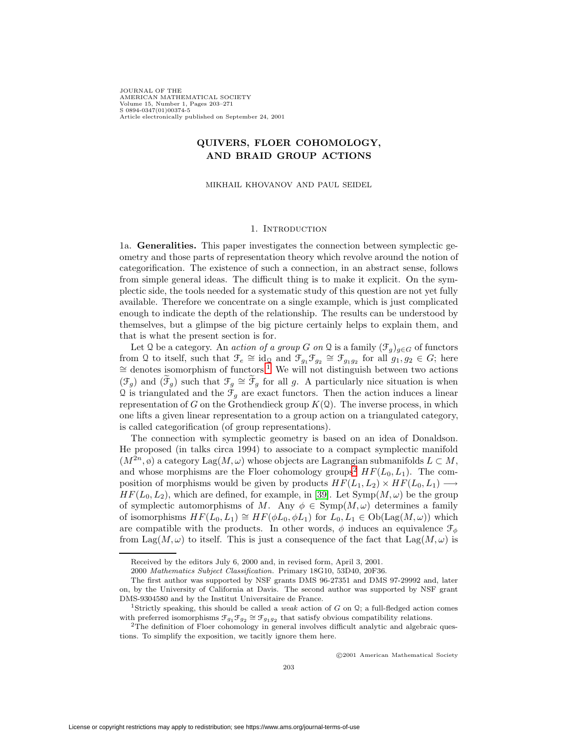JOURNAL OF THE AMERICAN MATHEMATICAL SOCIETY Volume 15, Number 1, Pages 203–271 S 0894-0347(01)00374-5 Article electronically published on September 24, 2001

## **QUIVERS, FLOER COHOMOLOGY, AND BRAID GROUP ACTIONS**

MIKHAIL KHOVANOV AND PAUL SEIDEL

### 1. INTRODUCTION

<span id="page-0-2"></span>1a. **Generalities.** This paper investigates the connection between symplectic geometry and those parts of representation theory which revolve around the notion of categorification. The existence of such a connection, in an abstract sense, follows from simple general ideas. The difficult thing is to make it explicit. On the symplectic side, the tools needed for a systematic study of this question are not yet fully available. Therefore we concentrate on a single example, which is just complicated enough to indicate the depth of the relationship. The results can be understood by themselves, but a glimpse of the big picture certainly helps to explain them, and that is what the present section is for.

Let Q be a category. An *action of a group G on* Q is a family  $(\mathcal{F}_q)_{q \in G}$  of functors from Q to itself, such that  $\mathcal{F}_e \cong id_{\Omega}$  and  $\mathcal{F}_{g_1}\mathcal{F}_{g_2} \cong \mathcal{F}_{g_1g_2}$  $\mathcal{F}_{g_1}\mathcal{F}_{g_2} \cong \mathcal{F}_{g_1g_2}$  $\mathcal{F}_{g_1}\mathcal{F}_{g_2} \cong \mathcal{F}_{g_1g_2}$  for all  $g_1, g_2 \in G$ ; here  $\cong$  denotes isomorphism of functors.<sup>1</sup> We will not distinguish between two actions  $(\mathfrak{F}_g)$  and  $(\mathfrak{F}_g)$  such that  $\mathfrak{F}_g \cong \mathfrak{F}_g$  for all g. A particularly nice situation is when  $\Omega$  is triangulated and the  $\mathcal{F}_g$  are exact functors. Then the action induces a linear representation of G on the Grothendieck group  $K(2)$ . The inverse process, in which one lifts a given linear representation to a group action on a triangulated category, is called categorification (of group representations).

The connection with symplectic geometry is based on an idea of Donaldson. He proposed (in talks circa 1994) to associate to a compact symplectic manifold  $(M^{2n}, \emptyset)$  a category Lag $(M, \omega)$  whose objects are Lagrangian submanifolds  $L \subset M$ , and whose morphisms are the Floer cohomology groups<sup>[2](#page-0-1)</sup>  $HF(L_0, L_1)$ . The composition of morphisms would be given by products  $HF(L_1, L_2) \times HF(L_0, L_1) \longrightarrow$  $HF(L_0, L_2)$ , which are defined, for example, in [\[39\]](#page-68-0). Let  $\text{Symp}(M, \omega)$  be the group of symplectic automorphisms of M. Any  $\phi \in \text{Symp}(M,\omega)$  determines a family of isomorphisms  $HF(L_0, L_1) \cong HF(\phi L_0, \phi L_1)$  for  $L_0, L_1 \in Ob(\text{Lag}(M, \omega))$  which are compatible with the products. In other words,  $\phi$  induces an equivalence  $\mathcal{F}_{\phi}$ from Lag( $M, \omega$ ) to itself. This is just a consequence of the fact that Lag( $M, \omega$ ) is

c 2001 American Mathematical Society

Received by the editors July 6, 2000 and, in revised form, April 3, 2001.

<sup>2000</sup> Mathematics Subject Classification. Primary 18G10, 53D40, 20F36.

The first author was supported by NSF grants DMS 96-27351 and DMS 97-29992 and, later on, by the University of California at Davis. The second author was supported by NSF grant DMS-9304580 and by the Institut Universitaire de France.

<span id="page-0-0"></span><sup>&</sup>lt;sup>1</sup>Strictly speaking, this should be called a *weak* action of G on Q; a full-fledged action comes with preferred isomorphisms  $\mathcal{F}_{g_1}\mathcal{F}_{g_2} \cong \mathcal{F}_{g_1g_2}$  that satisfy obvious compatibility relations. <sup>2</sup>The definition of Floer cohomology in general involves difficult analytic and algebraic ques-

<span id="page-0-1"></span>tions. To simplify the exposition, we tacitly ignore them here.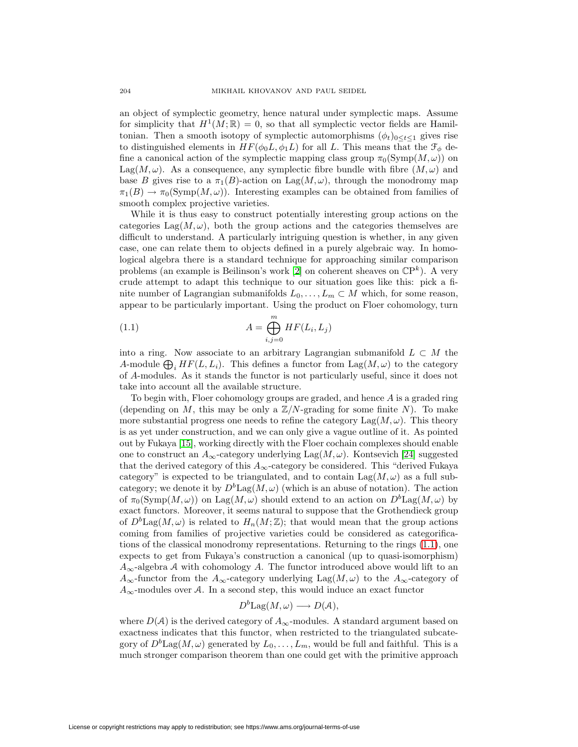an object of symplectic geometry, hence natural under symplectic maps. Assume for simplicity that  $H^1(M;\mathbb{R}) = 0$ , so that all symplectic vector fields are Hamiltonian. Then a smooth isotopy of symplectic automorphisms  $(\phi_t)_{0 \leq t \leq 1}$  gives rise to distinguished elements in  $HF(\phi_0 L, \phi_1 L)$  for all L. This means that the  $\mathcal{F}_{\phi}$  define a canonical action of the symplectic mapping class group  $\pi_0(Symp(M,\omega))$  on Lag( $M,\omega$ ). As a consequence, any symplectic fibre bundle with fibre  $(M,\omega)$  and base B gives rise to a  $\pi_1(B)$ -action on Lag $(M,\omega)$ , through the monodromy map  $\pi_1(B) \to \pi_0(\mathrm{Symp}(M,\omega))$ . Interesting examples can be obtained from families of smooth complex projective varieties.

While it is thus easy to construct potentially interesting group actions on the categories Lag( $M, \omega$ ), both the group actions and the categories themselves are difficult to understand. A particularly intriguing question is whether, in any given case, one can relate them to objects defined in a purely algebraic way. In homological algebra there is a standard technique for approaching similar comparison problems (an example is Beilinson's work [\[2\]](#page-67-0) on coherent sheaves on  $\mathbb{CP}^k$ ). A very crude attempt to adapt this technique to our situation goes like this: pick a finite number of Lagrangian submanifolds  $L_0, \ldots, L_m \subset M$  which, for some reason, appear to be particularly important. Using the product on Floer cohomology, turn

<span id="page-1-0"></span>(1.1) 
$$
A = \bigoplus_{i,j=0}^{m} HF(L_i, L_j)
$$

into a ring. Now associate to an arbitrary Lagrangian submanifold  $L \subset M$  the A-module  $\bigoplus_i HF(L, L_i)$ . This defines a functor from  $\text{Lag}(M, \omega)$  to the category of A-modules. As it stands the functor is not particularly useful, since it does not take into account all the available structure.

To begin with, Floer cohomology groups are graded, and hence  $A$  is a graded ring (depending on M, this may be only a  $\mathbb{Z}/N$ -grading for some finite N). To make more substantial progress one needs to refine the category Lag $(M, \omega)$ . This theory is as yet under construction, and we can only give a vague outline of it. As pointed out by Fukaya [\[15\]](#page-67-1), working directly with the Floer cochain complexes should enable one to construct an  $A_{\infty}$ -category underlying  $\text{Lag}(M,\omega)$ . Kontsevich [\[24\]](#page-67-2) suggested that the derived category of this  $A_\infty$  -category be considered. This "derived Fukaya category" is expected to be triangulated, and to contain  $\text{Lag}(M,\omega)$  as a full subcategory; we denote it by  $D^b \text{Lag}(M, \omega)$  (which is an abuse of notation). The action of  $\pi_0(\mathrm{Symp}(M,\omega))$  on Lag $(M,\omega)$  should extend to an action on  $D^b\mathrm{Lag}(M,\omega)$  by exact functors. Moreover, it seems natural to suppose that the Grothendieck group of  $D^b$ Lag $(M, \omega)$  is related to  $H_n(M; \mathbb{Z})$ ; that would mean that the group actions coming from families of projective varieties could be considered as categorifications of the classical monodromy representations. Returning to the rings [\(1.1\)](#page-1-0), one expects to get from Fukaya's construction a canonical (up to quasi-isomorphism)  $A_{\infty}$ -algebra A with cohomology A. The functor introduced above would lift to an  $A_{\infty}$ -functor from the  $A_{\infty}$ -category underlying Lag( $M, \omega$ ) to the  $A_{\infty}$ -category of  $A_{\infty}$ -modules over A. In a second step, this would induce an exact functor

$$
D^b \text{Lag}(M,\omega) \longrightarrow D(\mathcal{A}),
$$

where  $D(\mathcal{A})$  is the derived category of  $A_{\infty}$ -modules. A standard argument based on exactness indicates that this functor, when restricted to the triangulated subcategory of  $D^b \text{Lag}(M, \omega)$  generated by  $L_0, \ldots, L_m$ , would be full and faithful. This is a much stronger comparison theorem than one could get with the primitive approach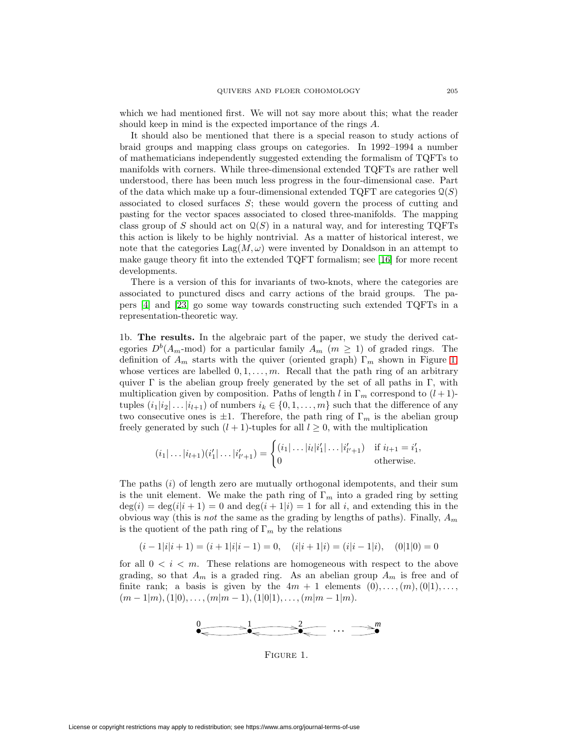which we had mentioned first. We will not say more about this; what the reader should keep in mind is the expected importance of the rings A.

It should also be mentioned that there is a special reason to study actions of braid groups and mapping class groups on categories. In 1992–1994 a number of mathematicians independently suggested extending the formalism of TQFTs to manifolds with corners. While three-dimensional extended TQFTs are rather well understood, there has been much less progress in the four-dimensional case. Part of the data which make up a four-dimensional extended TQFT are categories  $\mathcal{Q}(S)$ associated to closed surfaces  $S$ ; these would govern the process of cutting and pasting for the vector spaces associated to closed three-manifolds. The mapping class group of S should act on  $\mathcal{Q}(S)$  in a natural way, and for interesting TQFTs this action is likely to be highly nontrivial. As a matter of historical interest, we note that the categories  $\text{Lag}(M,\omega)$  were invented by Donaldson in an attempt to make gauge theory fit into the extended TQFT formalism; see [\[16\]](#page-67-3) for more recent developments.

There is a version of this for invariants of two-knots, where the categories are associated to punctured discs and carry actions of the braid groups. The papers [\[4\]](#page-67-4) and [\[23\]](#page-67-5) go some way towards constructing such extended TQFTs in a representation-theoretic way.

<span id="page-2-1"></span>1b. **The results.** In the algebraic part of the paper, we study the derived categories  $D^{b}(A_{m} \text{-mod})$  for a particular family  $A_{m}$   $(m \geq 1)$  of graded rings. The definition of  $A_m$  starts with the quiver (oriented graph)  $\Gamma_m$  shown in Figure [1,](#page-2-0) whose vertices are labelled  $0, 1, \ldots, m$ . Recall that the path ring of an arbitrary quiver  $\Gamma$  is the abelian group freely generated by the set of all paths in  $\Gamma$ , with multiplication given by composition. Paths of length l in  $\Gamma_m$  correspond to  $(l+1)$ tuples  $(i_1|i_2|\ldots|i_{l+1})$  of numbers  $i_k \in \{0,1,\ldots,m\}$  such that the difference of any two consecutive ones is  $\pm 1$ . Therefore, the path ring of  $\Gamma_m$  is the abelian group freely generated by such  $(l + 1)$ -tuples for all  $l \geq 0$ , with the multiplication

$$
(i_1|\ldots|i_{l+1})(i'_1|\ldots|i'_{l'+1}) = \begin{cases} (i_1|\ldots|i_l|i'_1|\ldots|i'_{l'+1}) & \text{if } i_{l+1} = i'_1, \\ 0 & \text{otherwise.} \end{cases}
$$

The paths  $(i)$  of length zero are mutually orthogonal idempotents, and their sum is the unit element. We make the path ring of  $\Gamma_m$  into a graded ring by setting  $deg(i) = deg(i|i + 1) = 0$  and  $deg(i + 1|i) = 1$  for all i, and extending this in the obvious way (this is *not* the same as the grading by lengths of paths). Finally,  $A_m$ is the quotient of the path ring of  $\Gamma_m$  by the relations

$$
(i-1|i|i+1) = (i+1|i|i-1) = 0, \quad (i|i+1|i) = (i|i-1|i), \quad (0|1|0) = 0
$$

for all  $0 < i < m$ . These relations are homogeneous with respect to the above grading, so that  $A_m$  is a graded ring. As an abelian group  $A_m$  is free and of finite rank; a basis is given by the  $4m + 1$  elements  $(0), \ldots, (m), (0|1), \ldots$ ,  $(m-1|m),(1|0),\ldots,(m|m-1),(1|0|1),\ldots,(m|m-1|m).$ 



<span id="page-2-0"></span>Figure 1.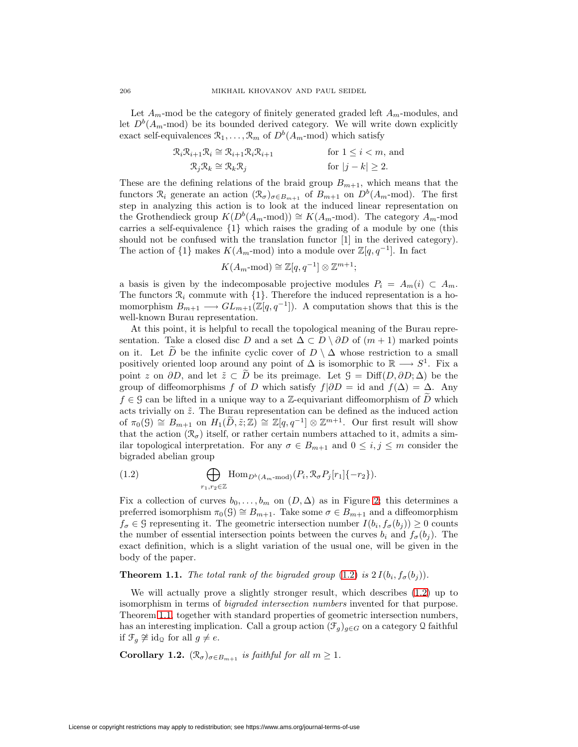Let  $A_m$ -mod be the category of finitely generated graded left  $A_m$ -modules, and let  $D^b(A_m\text{-mod})$  be its bounded derived category. We will write down explicitly exact self-equivalences  $\mathcal{R}_1,\ldots,\mathcal{R}_m$  of  $D^b(A_m\text{-mod})$  which satisfy

$$
\mathcal{R}_i \mathcal{R}_{i+1} \mathcal{R}_i \cong \mathcal{R}_{i+1} \mathcal{R}_i \mathcal{R}_{i+1}
$$
 for  $1 \le i < m$ , and  

$$
\mathcal{R}_j \mathcal{R}_k \cong \mathcal{R}_k \mathcal{R}_j
$$
 for  $|j - k| \ge 2$ .

These are the defining relations of the braid group  $B_{m+1}$ , which means that the functors  $\mathcal{R}_i$  generate an action  $(\mathcal{R}_{\sigma})_{\sigma \in B_{m+1}}$  of  $B_{m+1}$  on  $D^b(A_m \text{-mod})$ . The first step in analyzing this action is to look at the induced linear representation on the Grothendieck group  $K(D^b(A_m\text{-mod})) \cong K(A_m\text{-mod})$ . The category  $A_m\text{-mod}$ carries a self-equivalence {1} which raises the grading of a module by one (this should not be confused with the translation functor [1] in the derived category). The action of  $\{1\}$  makes  $K(A_m \text{-mod})$  into a module over  $\mathbb{Z}[q, q^{-1}]$ . In fact

$$
K(A_m \text{-}\mathrm{mod}) \cong \mathbb{Z}[q, q^{-1}] \otimes \mathbb{Z}^{m+1};
$$

a basis is given by the indecomposable projective modules  $P_i = A_m(i) \subset A_m$ . The functors  $\mathcal{R}_i$  commute with  $\{1\}$ . Therefore the induced representation is a homomorphism  $B_{m+1} \longrightarrow GL_{m+1}(\mathbb{Z}[q, q^{-1}])$ . A computation shows that this is the well-known Burau representation.

At this point, it is helpful to recall the topological meaning of the Burau representation. Take a closed disc D and a set  $\Delta \subset D \setminus \partial D$  of  $(m+1)$  marked points on it. Let  $\widetilde{D}$  be the infinite cyclic cover of  $D \setminus \Delta$  whose restriction to a small positively oriented loop around any point of  $\Delta$  is isomorphic to  $\mathbb{R} \longrightarrow S^1$ . Fix a point z on  $\partial D$ , and let  $\tilde{z} \subset D$  be its preimage. Let  $\mathcal{G} = \text{Diff}(D, \partial D; \Delta)$  be the group of diffeomorphisms f of D which satisfy  $f|\partial D = id$  and  $f(\Delta) = \Delta$ . Any  $f \in \mathcal{G}$  can be lifted in a unique way to a Z-equivariant diffeomorphism of D which acts trivially on  $\tilde{z}$ . The Burau representation can be defined as the induced action of  $\pi_0(\mathcal{G}) \cong B_{m+1}$  on  $H_1(\widetilde{D}, \widetilde{z}; \mathbb{Z}) \cong \mathbb{Z}[q, q^{-1}] \otimes \mathbb{Z}^{m+1}$ . Our first result will show that the action  $(\mathcal{R}_{\sigma})$  itself, or rather certain numbers attached to it, admits a similar topological interpretation. For any  $\sigma \in B_{m+1}$  and  $0 \le i, j \le m$  consider the bigraded abelian group

<span id="page-3-0"></span>(1.2) 
$$
\bigoplus_{r_1,r_2\in\mathbb{Z}} \text{Hom}_{D^b(A_m\text{-}\mathrm{mod})}(P_i,\mathcal{R}_{\sigma}P_j[r_1]\{-r_2\}).
$$

Fix a collection of curves  $b_0, \ldots, b_m$  on  $(D, \Delta)$  as in Figure [2;](#page-4-0) this determines a preferred isomorphism  $\pi_0(\mathcal{G}) \cong B_{m+1}$ . Take some  $\sigma \in B_{m+1}$  and a diffeomorphism  $f_{\sigma} \in \mathcal{G}$  representing it. The geometric intersection number  $I(b_i, f_{\sigma}(b_i)) \geq 0$  counts the number of essential intersection points between the curves  $b_i$  and  $f_{\sigma}(b_i)$ . The exact definition, which is a slight variation of the usual one, will be given in the body of the paper.

### <span id="page-3-1"></span>**Theorem 1.1.** The total rank of the bigraded group  $(1.2)$  is  $2 I(b_i, f_{\sigma}(b_i))$ .

We will actually prove a slightly stronger result, which describes [\(1.2\)](#page-3-0) up to isomorphism in terms of bigraded intersection numbers invented for that purpose. Theorem [1.1,](#page-3-1) together with standard properties of geometric intersection numbers, has an interesting implication. Call a group action  $(\mathcal{F}_g)_{g\in G}$  on a category Q faithful if  $\mathcal{F}_g \not\cong \text{id}_{\mathfrak{Q}}$  for all  $g \neq e$ .

<span id="page-3-2"></span>**Corollary 1.2.**  $(\mathcal{R}_{\sigma})_{\sigma \in B_{m+1}}$  is faithful for all  $m \geq 1$ .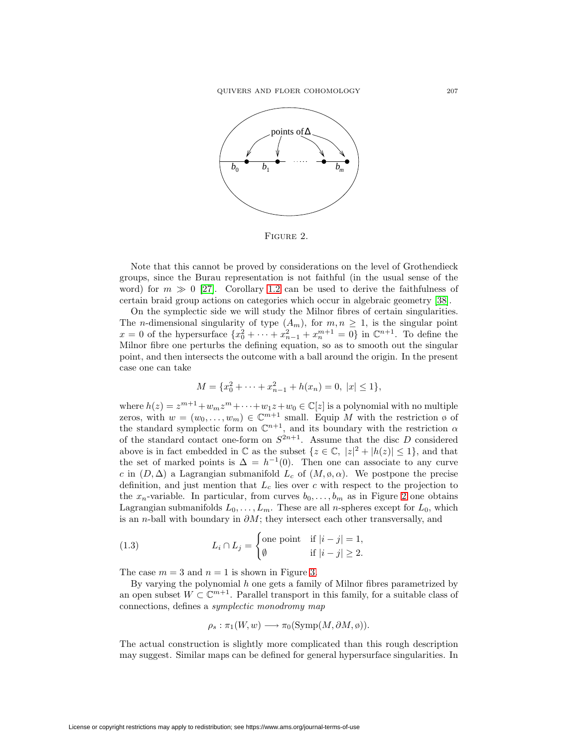

<span id="page-4-0"></span>FIGURE 2.

Note that this cannot be proved by considerations on the level of Grothendieck groups, since the Burau representation is not faithful (in the usual sense of the word) for  $m \gg 0$  [\[27\]](#page-67-6). Corollary [1.2](#page-3-2) can be used to derive the faithfulness of certain braid group actions on categories which occur in algebraic geometry [\[38\]](#page-68-1).

On the symplectic side we will study the Milnor fibres of certain singularities. The *n*-dimensional singularity of type  $(A_m)$ , for  $m, n \geq 1$ , is the singular point  $x = 0$  of the hypersurface  $\{x_0^2 + \cdots + x_{n-1}^2 + x_n^{m+1} = 0\}$  in  $\mathbb{C}^{n+1}$ . To define the Milnor fibre one perturbs the defining equation, so as to smooth out the singular point, and then intersects the outcome with a ball around the origin. In the present case one can take

$$
M = \{x_0^2 + \dots + x_{n-1}^2 + h(x_n) = 0, \ |x| \le 1\},\
$$

where  $h(z) = z^{m+1} + w_m z^m + \cdots + w_1 z + w_0 \in \mathbb{C}[z]$  is a polynomial with no multiple zeros, with  $w = (w_0, \ldots, w_m) \in \mathbb{C}^{m+1}$  small. Equip M with the restriction  $\emptyset$  of the standard symplectic form on  $\mathbb{C}^{n+1}$ , and its boundary with the restriction  $\alpha$ of the standard contact one-form on  $S^{2n+1}$ . Assume that the disc D considered above is in fact embedded in  $\mathbb C$  as the subset  $\{z \in \mathbb C, |z|^2 + |h(z)| \leq 1\}$ , and that the set of marked points is  $\Delta = h^{-1}(0)$ . Then one can associate to any curve c in  $(D, \Delta)$  a Lagrangian submanifold  $L_c$  of  $(M, \emptyset, \alpha)$ . We postpone the precise definition, and just mention that  $L_c$  lies over c with respect to the projection to the  $x_n$ -variable. In particular, from curves  $b_0, \ldots, b_m$  as in Figure [2](#page-4-0) one obtains Lagrangian submanifolds  $L_0, \ldots, L_m$ . These are all *n*-spheres except for  $L_0$ , which is an n-ball with boundary in  $\partial M$ ; they intersect each other transversally, and

<span id="page-4-1"></span>(1.3) 
$$
L_i \cap L_j = \begin{cases} \text{one point} & \text{if } |i - j| = 1, \\ \emptyset & \text{if } |i - j| \ge 2. \end{cases}
$$

The case  $m = 3$  and  $n = 1$  is shown in Figure [3.](#page-5-0)

By varying the polynomial  $h$  one gets a family of Milnor fibres parametrized by an open subset  $W \subset \mathbb{C}^{m+1}$ . Parallel transport in this family, for a suitable class of connections, defines a symplectic monodromy map

$$
\rho_s : \pi_1(W, w) \longrightarrow \pi_0(\mathrm{Symp}(M, \partial M, \emptyset)).
$$

The actual construction is slightly more complicated than this rough description may suggest. Similar maps can be defined for general hypersurface singularities. In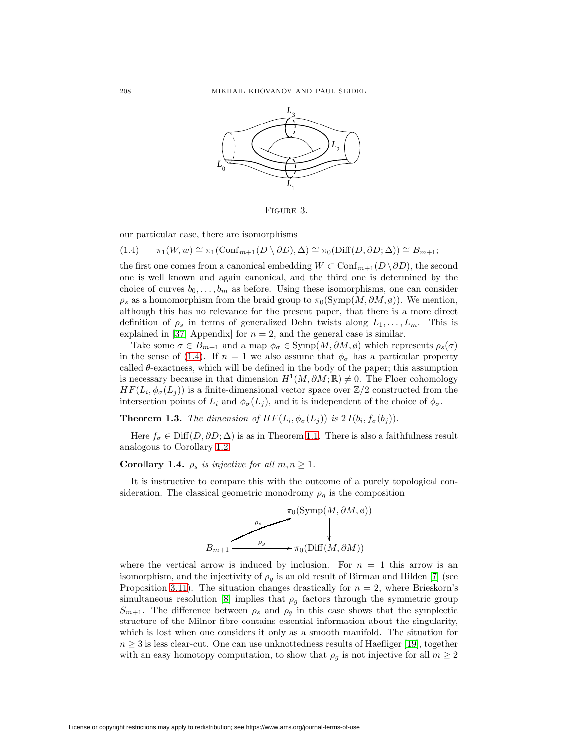

<span id="page-5-0"></span>Figure 3.

<span id="page-5-1"></span>our particular case, there are isomorphisms

$$
(1.4) \qquad \pi_1(W, w) \cong \pi_1(\text{Conf}_{m+1}(D \setminus \partial D), \Delta) \cong \pi_0(\text{Diff}(D, \partial D; \Delta)) \cong B_{m+1};
$$

the first one comes from a canonical embedding  $W \subset \text{Conf}_{m+1}(D \setminus \partial D)$ , the second one is well known and again canonical, and the third one is determined by the choice of curves  $b_0, \ldots, b_m$  as before. Using these isomorphisms, one can consider  $\rho_s$  as a homomorphism from the braid group to  $\pi_0(\mathrm{Symp}(M, \partial M, \emptyset))$ . We mention, although this has no relevance for the present paper, that there is a more direct definition of  $\rho_s$  in terms of generalized Dehn twists along  $L_1,\ldots,L_m$ . This is explained in [\[37,](#page-68-2) Appendix] for  $n = 2$ , and the general case is similar.

Take some  $\sigma \in B_{m+1}$  and a map  $\phi_{\sigma} \in \text{Symp}(M, \partial M, \phi)$  which represents  $\rho_s(\sigma)$ in the sense of [\(1.4\)](#page-5-1). If  $n = 1$  we also assume that  $\phi_{\sigma}$  has a particular property called  $\theta$ -exactness, which will be defined in the body of the paper; this assumption is necessary because in that dimension  $H^1(M, \partial M; \mathbb{R}) \neq 0$ . The Floer cohomology  $HF(L_i, \phi_{\sigma}(L_i))$  is a finite-dimensional vector space over  $\mathbb{Z}/2$  constructed from the intersection points of  $L_i$  and  $\phi_{\sigma}(L_j)$ , and it is independent of the choice of  $\phi_{\sigma}$ .

<span id="page-5-2"></span>**Theorem 1.3.** The dimension of  $HF(L_i, \phi_{\sigma}(L_j))$  is  $2 I(b_i, f_{\sigma}(b_j))$ .

<span id="page-5-3"></span>Here  $f_{\sigma} \in \text{Diff}(D, \partial D; \Delta)$  is as in Theorem [1.1.](#page-3-1) There is also a faithfulness result analogous to Corollary [1.2:](#page-3-2)

## **Corollary 1.4.**  $\rho_s$  is injective for all  $m, n \geq 1$ .

It is instructive to compare this with the outcome of a purely topological consideration. The classical geometric monodromy  $\rho_g$  is the composition



where the vertical arrow is induced by inclusion. For  $n = 1$  this arrow is an isomorphism, and the injectivity of  $\rho_q$  is an old result of Birman and Hilden [\[7\]](#page-67-7) (see Proposition [3.11\)](#page-21-0). The situation changes drastically for  $n = 2$ , where Brieskorn's simultaneous resolution [\[8\]](#page-67-8) implies that  $\rho<sub>g</sub>$  factors through the symmetric group  $S_{m+1}$ . The difference between  $\rho_s$  and  $\rho_g$  in this case shows that the symplectic structure of the Milnor fibre contains essential information about the singularity, which is lost when one considers it only as a smooth manifold. The situation for  $n \geq 3$  is less clear-cut. One can use unknottedness results of Haefliger [\[19\]](#page-67-9), together with an easy homotopy computation, to show that  $\rho_g$  is not injective for all  $m \geq 2$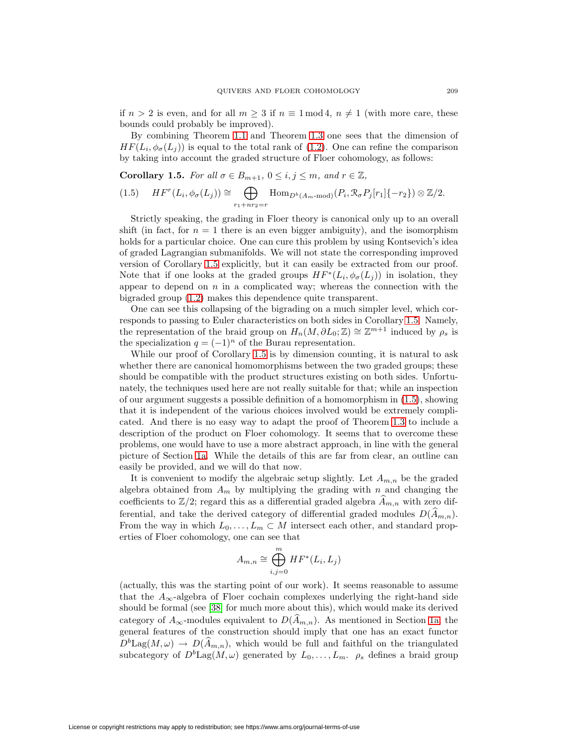if  $n > 2$  is even, and for all  $m \geq 3$  if  $n \equiv 1 \mod 4$ ,  $n \neq 1$  (with more care, these bounds could probably be improved).

By combining Theorem [1.1](#page-3-1) and Theorem [1.3](#page-5-2) one sees that the dimension of  $HF(L_i, \phi_{\sigma}(L_i))$  is equal to the total rank of [\(1.2\)](#page-3-0). One can refine the comparison by taking into account the graded structure of Floer cohomology, as follows:

<span id="page-6-1"></span><span id="page-6-0"></span>**Corollary 1.5.** For all  $\sigma \in B_{m+1}$ ,  $0 \le i, j \le m$ , and  $r \in \mathbb{Z}$ ,

$$
(1.5) \quad HF^r(L_i, \phi_\sigma(L_j)) \cong \bigoplus_{r_1 + nr_2 = r} \text{Hom}_{D^b(A_m \text{-}\mathrm{mod})}(P_i, \mathcal{R}_\sigma P_j[r_1]\{-r_2\}) \otimes \mathbb{Z}/2.
$$

Strictly speaking, the grading in Floer theory is canonical only up to an overall shift (in fact, for  $n = 1$  there is an even bigger ambiguity), and the isomorphism holds for a particular choice. One can cure this problem by using Kontsevich's idea of graded Lagrangian submanifolds. We will not state the corresponding improved version of Corollary [1.5](#page-6-0) explicitly, but it can easily be extracted from our proof. Note that if one looks at the graded groups  $HF^*(L_i, \phi_\sigma(L_i))$  in isolation, they appear to depend on  $n$  in a complicated way; whereas the connection with the bigraded group [\(1.2\)](#page-3-0) makes this dependence quite transparent.

One can see this collapsing of the bigrading on a much simpler level, which corresponds to passing to Euler characteristics on both sides in Corollary [1.5.](#page-6-0) Namely, the representation of the braid group on  $H_n(M, \partial L_0; \mathbb{Z}) \cong \mathbb{Z}^{m+1}$  induced by  $\rho_s$  is the specialization  $q = (-1)^n$  of the Burau representation.

While our proof of Corollary [1.5](#page-6-0) is by dimension counting, it is natural to ask whether there are canonical homomorphisms between the two graded groups; these should be compatible with the product structures existing on both sides. Unfortunately, the techniques used here are not really suitable for that; while an inspection of our argument suggests a possible definition of a homomorphism in [\(1.5\)](#page-6-1), showing that it is independent of the various choices involved would be extremely complicated. And there is no easy way to adapt the proof of Theorem [1.3](#page-5-2) to include a description of the product on Floer cohomology. It seems that to overcome these problems, one would have to use a more abstract approach, in line with the general picture of Section [1a.](#page-0-2) While the details of this are far from clear, an outline can easily be provided, and we will do that now.

It is convenient to modify the algebraic setup slightly. Let  $A_{m,n}$  be the graded algebra obtained from  $A_m$  by multiplying the grading with n and changing the coefficients to  $\mathbb{Z}/2$ ; regard this as a differential graded algebra  $A_{m,n}$  with zero differential, and take the derived category of differential graded modules  $D(\widehat{A}_{m,n})$ . From the way in which  $L_0, \ldots, L_m \subset M$  intersect each other, and standard properties of Floer cohomology, one can see that

$$
A_{m,n} \cong \bigoplus_{i,j=0}^{m} HF^*(L_i, L_j)
$$

(actually, this was the starting point of our work). It seems reasonable to assume that the  $A_{\infty}$ -algebra of Floer cochain complexes underlying the right-hand side should be formal (see [\[38\]](#page-68-1) for much more about this), which would make its derived category of  $A_{\infty}$ -modules equivalent to  $D(A_{m,n})$ . As mentioned in Section [1a,](#page-0-2) the general features of the construction should imply that one has an exact functor  $D^b \text{Lag}(M,\omega) \to D(\widehat{A}_{m,n}),$  which would be full and faithful on the triangulated subcategory of  $D^b$ Lag $(M, \omega)$  generated by  $L_0, \ldots, L_m$ .  $\rho_s$  defines a braid group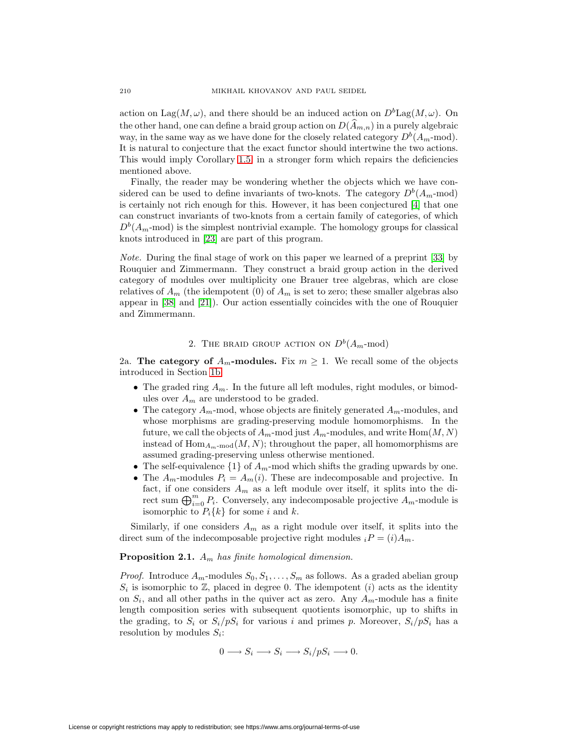action on  $\text{Lag}(M,\omega)$ , and there should be an induced action on  $D^b\text{Lag}(M,\omega)$ . On the other hand, one can define a braid group action on  $D(\widehat{A}_{m,n})$  in a purely algebraic way, in the same way as we have done for the closely related category  $D^{b}(A_{m} \text{-mod}).$ It is natural to conjecture that the exact functor should intertwine the two actions. This would imply Corollary [1.5,](#page-6-0) in a stronger form which repairs the deficiencies mentioned above.

Finally, the reader may be wondering whether the objects which we have considered can be used to define invariants of two-knots. The category  $D^b(A_m \text{-mod})$ is certainly not rich enough for this. However, it has been conjectured [\[4\]](#page-67-4) that one can construct invariants of two-knots from a certain family of categories, of which  $D<sup>b</sup>(A<sub>m</sub>$ -mod) is the simplest nontrivial example. The homology groups for classical knots introduced in [\[23\]](#page-67-5) are part of this program.

Note. During the final stage of work on this paper we learned of a preprint [\[33\]](#page-68-3) by Rouquier and Zimmermann. They construct a braid group action in the derived category of modules over multiplicity one Brauer tree algebras, which are close relatives of  $A_m$  (the idempotent (0) of  $A_m$  is set to zero; these smaller algebras also appear in [\[38\]](#page-68-1) and [\[21\]](#page-67-10)). Our action essentially coincides with the one of Rouquier and Zimmermann.

## 2. THE BRAID GROUP ACTION ON  $D^b(A_m\text{-mod})$

2a. **The category of**  $A_m$ -modules. Fix  $m \geq 1$ . We recall some of the objects introduced in Section [1b:](#page-2-1)

- The graded ring  $A_m$ . In the future all left modules, right modules, or bimodules over  $A_m$  are understood to be graded.
- The category  $A_m$ -mod, whose objects are finitely generated  $A_m$ -modules, and whose morphisms are grading-preserving module homomorphisms. In the future, we call the objects of  $A_m$ -mod just  $A_m$ -modules, and write  $Hom(M, N)$ instead of  $\text{Hom}_{A_{m}\text{-mod}}(M,N)$ ; throughout the paper, all homomorphisms are assumed grading-preserving unless otherwise mentioned.
- The self-equivalence  $\{1\}$  of  $A_m$ -mod which shifts the grading upwards by one.
- The  $A_m$ -modules  $P_i = A_m(i)$ . These are indecomposable and projective. In fact, if one considers  $A_m$  as a left module over itself, it splits into the direct sum  $\bigoplus_{i=0}^m P_i$ . Conversely, any indecomposable projective  $A_m$ -module is isomorphic to  $P_i\{k\}$  for some i and k.

<span id="page-7-0"></span>Similarly, if one considers  $A_m$  as a right module over itself, it splits into the direct sum of the indecomposable projective right modules  $i = (i)A_m$ .

#### **Proposition 2.1.**  $A_m$  has finite homological dimension.

*Proof.* Introduce  $A_m$ -modules  $S_0, S_1, \ldots, S_m$  as follows. As a graded abelian group  $S_i$  is isomorphic to  $\mathbb{Z}$ , placed in degree 0. The idempotent (i) acts as the identity on  $S_i$ , and all other paths in the quiver act as zero. Any  $A_m$ -module has a finite length composition series with subsequent quotients isomorphic, up to shifts in the grading, to  $S_i$  or  $S_i/pS_i$  for various i and primes p. Moreover,  $S_i/pS_i$  has a resolution by modules  $S_i$ :

$$
0 \longrightarrow S_i \longrightarrow S_i \longrightarrow S_i/pS_i \longrightarrow 0.
$$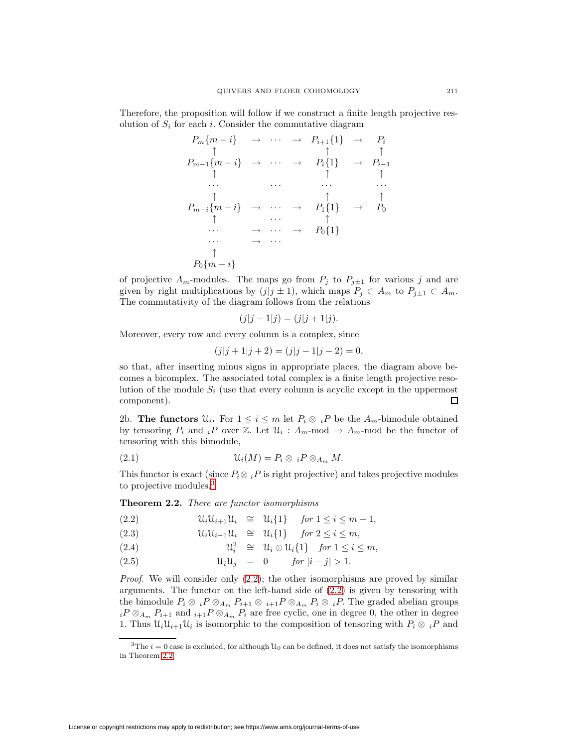Therefore, the proposition will follow if we construct a finite length projective resolution of  $S_i$  for each i. Consider the commutative diagram

$$
P_m\{m-i\} \rightarrow \cdots \rightarrow P_{i+1}\{1\} \rightarrow P_i
$$
\n
$$
\uparrow \uparrow \uparrow \uparrow \uparrow
$$
\n
$$
P_{m-1}\{m-i\} \rightarrow \cdots \rightarrow P_i\{1\} \rightarrow P_{i-1}
$$
\n
$$
\uparrow \uparrow \uparrow \uparrow \uparrow
$$
\n
$$
\cdots \cdots \cdots \cdots \cdots \cdots
$$
\n
$$
P_{m-i}\{m-i\} \rightarrow \cdots \rightarrow P_1\{1\} \rightarrow P_0
$$
\n
$$
\uparrow \cdots \uparrow \uparrow \uparrow
$$
\n
$$
\cdots \rightarrow \cdots \rightarrow P_0\{1\}
$$
\n
$$
\cdots \rightarrow \cdots
$$
\n
$$
\uparrow
$$
\n
$$
P_0\{m-i\}
$$

of projective  $A_m$ -modules. The maps go from  $P_j$  to  $P_{j\pm 1}$  for various j and are given by right multiplications by  $(j|j \pm 1)$ , which maps  $P_j \subset A_m$  to  $P_{j\pm 1} \subset A_m$ . The commutativity of the diagram follows from the relations

$$
(j|j-1|j) = (j|j+1|j).
$$

Moreover, every row and every column is a complex, since

$$
(j|j+1|j+2) = (j|j-1|j-2) = 0,
$$

so that, after inserting minus signs in appropriate places, the diagram above becomes a bicomplex. The associated total complex is a finite length projective resolution of the module  $S_i$  (use that every column is acyclic except in the uppermost component).  $\Box$ 

2b. **The functors**  $\mathcal{U}_i$ . For  $1 \leq i \leq m$  let  $P_i \otimes {}_{i}P$  be the  $A_m$ -bimodule obtained by tensoring  $P_i$  and  $iP$  over Z. Let  $\mathcal{U}_i$ :  $A_m$ -mod  $\rightarrow A_m$ -mod be the functor of tensoring with this bimodule,

<span id="page-8-3"></span>(2.1) Ui(M) = P<sup>i</sup> ⊗ <sup>i</sup>P ⊗<sup>A</sup><sup>m</sup> M.

<span id="page-8-2"></span>This functor is exact (since  $P_i \otimes {}_{i}P$  is right projective) and takes projective modules to projective modules.[3](#page-8-0)

**Theorem 2.2.** There are functor isomorphisms

<span id="page-8-1"></span>UiU<sup>i</sup>+1U<sup>i</sup> (2.2) ∼= Ui{1} for 1 ≤ i ≤ m − 1,

(2.3) 
$$
\mathcal{U}_i \mathcal{U}_{i-1} \mathcal{U}_i \cong \mathcal{U}_i \{1\} \quad \text{for } 2 \leq i \leq m,
$$

(2.4) 
$$
\mathcal{U}_i^2 \cong \mathcal{U}_i \oplus \mathcal{U}_i \{1\} \quad \text{for } 1 \leq i \leq m,
$$

(2.5) UiU<sup>j</sup> = 0 for |i − j| > 1.

*Proof.* We will consider only  $(2.2)$ ; the other isomorphisms are proved by similar arguments. The functor on the left-hand side of [\(2.2\)](#page-8-1) is given by tensoring with the bimodule  $P_i \otimes iP \otimes_{A_m} P_{i+1} \otimes iP P \otimes_{A_m} P_i \otimes iP$ . The graded abelian groups  $iP \otimes_{A_m} P_{i+1}$  and  $i+1P \otimes_{A_m} P_i$  are free cyclic, one in degree 0, the other in degree 1. Thus  $\mathcal{U}_i\mathcal{U}_{i+1}\mathcal{U}_i$  is isomorphic to the composition of tensoring with  $P_i \otimes_i P$  and

<span id="page-8-0"></span><sup>&</sup>lt;sup>3</sup>The  $i = 0$  case is excluded, for although  $\mathcal{U}_0$  can be defined, it does not satisfy the isomorphisms in Theorem [2.2.](#page-8-2)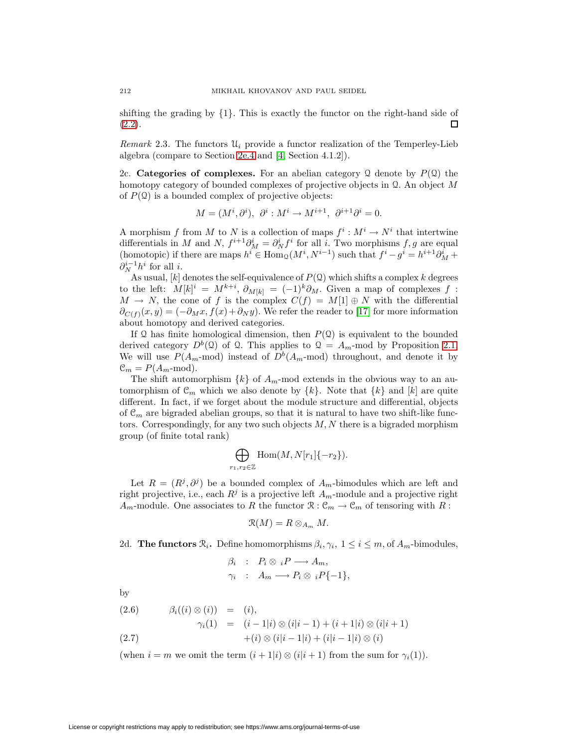shifting the grading by  $\{1\}$ . This is exactly the functor on the right-hand side of  $\Box$  $(2.2).$  $(2.2).$ 

*Remark* 2.3. The functors  $\mathcal{U}_i$  provide a functor realization of the Temperley-Lieb algebra (compare to Section [2e.4](#page-15-0) and [\[4,](#page-67-4) Section 4.1.2]).

2c. **Categories of complexes.** For an abelian category Q denote by  $P(\mathcal{Q})$  the homotopy category of bounded complexes of projective objects in  $\mathcal Q$ . An object M of  $P(\mathcal{Q})$  is a bounded complex of projective objects:

$$
M = (M^i, \partial^i), \ \partial^i : M^i \to M^{i+1}, \ \partial^{i+1} \partial^i = 0.
$$

A morphism f from M to N is a collection of maps  $f^i : M^i \to N^i$  that intertwine differentials in M and N,  $f^{i+1}\partial_M^i = \partial_N^i f^i$  for all i. Two morphisms  $f, g$  are equal (homotopic) if there are maps  $h^i \in \text{Hom}_{\mathcal{Q}}(M^i, N^{i-1})$  such that  $f^i - g^i = h^{i+1}\partial_M^i +$  $\partial_N^{i-1}h^i$  for all *i*.

As usual,  $[k]$  denotes the self-equivalence of  $P(Q)$  which shifts a complex k degrees to the left:  $M[k]^i = M^{k+i}, \partial_{M[k]} = (-1)^k \partial_M$ . Given a map of complexes f:  $M \to N$ , the cone of f is the complex  $C(f) = M[1] \oplus N$  with the differential  $\partial_{C(f)}(x, y) = (-\partial_M x, f(x) + \partial_N y)$ . We refer the reader to [\[17\]](#page-67-11) for more information about homotopy and derived categories.

If  $\Omega$  has finite homological dimension, then  $P(\Omega)$  is equivalent to the bounded derived category  $D^b(2)$  of 2. This applies to  $\mathcal{Q} = A_m$ -mod by Proposition [2.1.](#page-7-0) We will use  $P(A_m \text{-mod})$  instead of  $D^b(A_m \text{-mod})$  throughout, and denote it by  $\mathcal{C}_m = P(A_m \text{-mod}).$ 

The shift automorphism  $\{k\}$  of  $A_m$ -mod extends in the obvious way to an automorphism of  $\mathcal{C}_m$  which we also denote by  $\{k\}$ . Note that  $\{k\}$  and  $[k]$  are quite different. In fact, if we forget about the module structure and differential, objects of  $\mathcal{C}_m$  are bigraded abelian groups, so that it is natural to have two shift-like functors. Correspondingly, for any two such objects  $M, N$  there is a bigraded morphism group (of finite total rank)

$$
\bigoplus_{r_1,r_2\in\mathbb{Z}} \text{Hom}(M,N[r_1]\{-r_2\}).
$$

Let  $R = (R^j, \partial^j)$  be a bounded complex of  $A_m$ -bimodules which are left and right projective, i.e., each  $R^j$  is a projective left  $A_m$ -module and a projective right  $A_m$ -module. One associates to R the functor  $\mathcal{R} : \mathcal{C}_m \to \mathcal{C}_m$  of tensoring with R:

$$
\mathfrak{R}(M)=R\otimes_{A_m} M.
$$

2d. **The functors**  $\mathcal{R}_i$ . Define homomorphisms  $\beta_i, \gamma_i, 1 \leq i \leq m$ , of  $A_m$ -bimodules,

$$
\beta_i : P_i \otimes {}_{i}P \longrightarrow A_m,
$$
  

$$
\gamma_i : A_m \longrightarrow P_i \otimes {}_{i}P\{-1\},
$$

by

<span id="page-9-0"></span>(2.6) 
$$
\beta_i((i) \otimes (i)) = (i), \n\gamma_i(1) = (i-1|i) \otimes (i|i-1) + (i+1|i) \otimes (i|i+1) \n+ (i) \otimes (i|i-1|i) + (i|i-1|i) \otimes (i)
$$

(when  $i = m$  we omit the term  $(i + 1|i) \otimes (i|i + 1)$  from the sum for  $\gamma_i(1)$ ).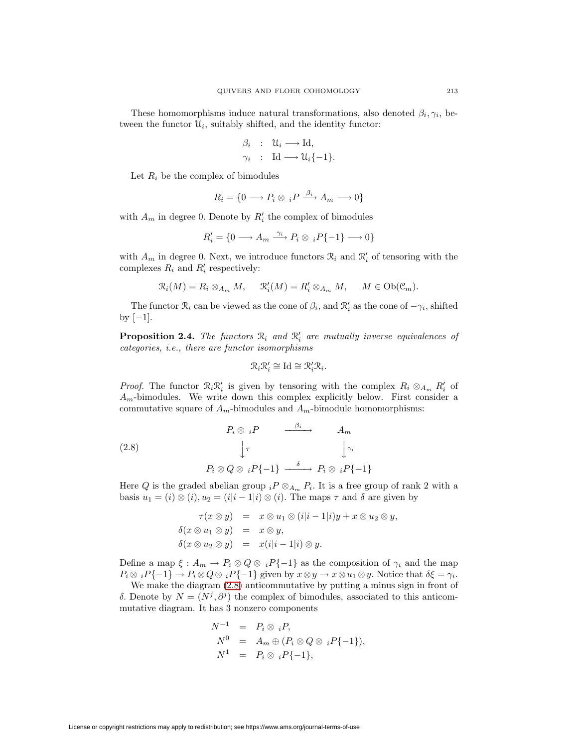These homomorphisms induce natural transformations, also denoted  $\beta_i, \gamma_i$ , between the functor  $\mathcal{U}_i$ , suitably shifted, and the identity functor:

$$
\beta_i : \mathcal{U}_i \longrightarrow \mathrm{Id}, \n\gamma_i : \mathrm{Id} \longrightarrow \mathcal{U}_i\{-1\}.
$$

Let  $R_i$  be the complex of bimodules

$$
R_i = \{0 \longrightarrow P_i \otimes {}_{i}P \xrightarrow{\beta_i} A_m \longrightarrow 0\}
$$

with  $A_m$  in degree 0. Denote by  $R'_i$  the complex of bimodules

$$
R'_i = \{0 \longrightarrow A_m \xrightarrow{\gamma_i} P_i \otimes {}_{i}P\{-1\} \longrightarrow 0\}
$$

with  $A_m$  in degree 0. Next, we introduce functors  $\mathcal{R}_i$  and  $\mathcal{R}'_i$  of tensoring with the complexes  $R_i$  and  $R'_i$  respectively:

$$
\mathcal{R}_i(M) = R_i \otimes_{A_m} M, \quad \mathcal{R}'_i(M) = R'_i \otimes_{A_m} M, \quad M \in \text{Ob}(\mathcal{C}_m).
$$

<span id="page-10-1"></span>The functor  $\mathcal{R}_i$  can be viewed as the cone of  $\beta_i$ , and  $\mathcal{R}'_i$  as the cone of  $-\gamma_i$ , shifted by  $[-1]$ .

**Proposition 2.4.** The functors  $\mathcal{R}_i$  and  $\mathcal{R}'_i$  are mutually inverse equivalences of categories, i.e., there are functor isomorphisms

$$
\mathcal{R}_i \mathcal{R}'_i \cong \text{Id} \cong \mathcal{R}'_i \mathcal{R}_i.
$$

*Proof.* The functor  $\mathcal{R}_i \mathcal{R}'_i$  is given by tensoring with the complex  $R_i \otimes_{A_m} R'_i$  of  $A_m$ -bimodules. We write down this complex explicitly below. First consider a commutative square of  $A_m$ -bimodules and  $A_m$ -bimodule homomorphisms:

<span id="page-10-0"></span>(2.8)  
\n
$$
P_i \otimes {}_{i}P \xrightarrow{\beta_i} A_m
$$
\n
$$
\downarrow \tau \qquad \qquad \downarrow \gamma_i
$$
\n
$$
P_i \otimes Q \otimes {}_{i}P\{-1\} \xrightarrow{\delta} P_i \otimes {}_{i}P\{-1\}
$$

Here Q is the graded abelian group  $i^P \otimes_{A_m} P_i$ . It is a free group of rank 2 with a basis  $u_1 = (i) \otimes (i), u_2 = (i|i - 1|i) \otimes (i)$ . The maps  $\tau$  and  $\delta$  are given by

$$
\tau(x \otimes y) = x \otimes u_1 \otimes (i|i-1|i)y + x \otimes u_2 \otimes y,
$$
  
\n
$$
\delta(x \otimes u_1 \otimes y) = x \otimes y,
$$
  
\n
$$
\delta(x \otimes u_2 \otimes y) = x(i|i-1|i) \otimes y.
$$

Define a map  $\xi : A_m \to P_i \otimes Q \otimes {}_{i}P\{-1\}$  as the composition of  $\gamma_i$  and the map  $P_i \otimes iP\{-1\} \to P_i \otimes Q \otimes iP\{-1\}$  given by  $x \otimes y \to x \otimes u_1 \otimes y$ . Notice that  $\delta \xi = \gamma_i$ .

We make the diagram [\(2.8\)](#page-10-0) anticommutative by putting a minus sign in front of δ. Denote by  $N = (N<sup>j</sup>, \partial<sup>j</sup>)$  the complex of bimodules, associated to this anticommutative diagram. It has 3 nonzero components

$$
N^{-1} = P_i \otimes {}_{i}P,
$$
  
\n
$$
N^{0} = A_m \oplus (P_i \otimes Q \otimes {}_{i}P\{-1\}),
$$
  
\n
$$
N^{1} = P_i \otimes {}_{i}P\{-1\},
$$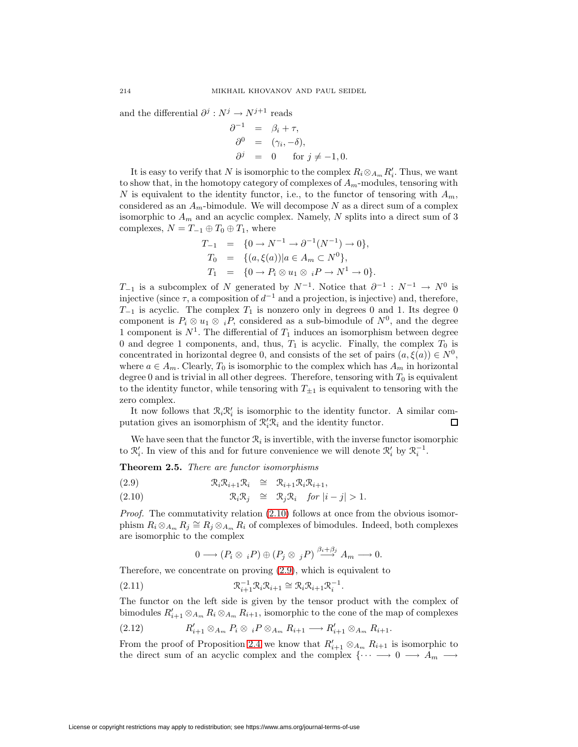and the differential  $\partial^j : N^j \to N^{j+1}$  reads

$$
\begin{array}{rcl}\n\partial^{-1} &=& \beta_i + \tau, \\
\partial^0 &=& (\gamma_i, -\delta), \\
\partial^j &=& 0 \quad \text{for } j \neq -1, 0.\n\end{array}
$$

It is easy to verify that N is isomorphic to the complex  $R_i \otimes_{A_m} R'_i$ . Thus, we want to show that, in the homotopy category of complexes of  $A_m$ -modules, tensoring with N is equivalent to the identity functor, i.e., to the functor of tensoring with  $A_m$ , considered as an  $A<sub>m</sub>$ -bimodule. We will decompose N as a direct sum of a complex isomorphic to  $A_m$  and an acyclic complex. Namely, N splits into a direct sum of 3 complexes,  $N = T_{-1} \oplus T_0 \oplus T_1$ , where

$$
T_{-1} = \{0 \to N^{-1} \to \partial^{-1}(N^{-1}) \to 0\},
$$
  
\n
$$
T_0 = \{(a, \xi(a)) | a \in A_m \subset N^0\},
$$
  
\n
$$
T_1 = \{0 \to P_i \otimes u_1 \otimes iP \to N^1 \to 0\}.
$$

 $T_{-1}$  is a subcomplex of N generated by  $N^{-1}$ . Notice that  $\partial^{-1}: N^{-1} \to N^0$  is injective (since  $\tau$ , a composition of  $d^{-1}$  and a projection, is injective) and, therefore,  $T_{-1}$  is acyclic. The complex  $T_1$  is nonzero only in degrees 0 and 1. Its degree 0 component is  $P_i \otimes u_1 \otimes iP$ , considered as a sub-bimodule of  $N^0$ , and the degree 1 component is  $N^1$ . The differential of  $T_1$  induces an isomorphism between degree 0 and degree 1 components, and, thus,  $T_1$  is acyclic. Finally, the complex  $T_0$  is concentrated in horizontal degree 0, and consists of the set of pairs  $(a, \xi(a)) \in N^0$ , where  $a \in A_m$ . Clearly,  $T_0$  is isomorphic to the complex which has  $A_m$  in horizontal degree 0 and is trivial in all other degrees. Therefore, tensoring with  $T_0$  is equivalent to the identity functor, while tensoring with  $T_{\pm 1}$  is equivalent to tensoring with the zero complex.

It now follows that  $\mathcal{R}_i \mathcal{R}'_i$  is isomorphic to the identity functor. A similar computation gives an isomorphism of  $\mathcal{R}'_i \mathcal{R}_i$  and the identity functor. □

<span id="page-11-3"></span>We have seen that the functor  $\mathcal{R}_i$  is invertible, with the inverse functor isomorphic to  $\mathcal{R}'_i$ . In view of this and for future convenience we will denote  $\mathcal{R}'_i$  by  $\mathcal{R}_i^{-1}$ .

**Theorem 2.5.** There are functor isomorphisms

<span id="page-11-0"></span>(2.9) 
$$
\mathcal{R}_i \mathcal{R}_{i+1} \mathcal{R}_i \cong \mathcal{R}_{i+1} \mathcal{R}_i \mathcal{R}_{i+1},
$$

(2.10) 
$$
\mathcal{R}_i \mathcal{R}_j \cong \mathcal{R}_j \mathcal{R}_i \quad \text{for } |i - j| > 1.
$$

Proof. The commutativity relation  $(2.10)$  follows at once from the obvious isomorphism  $R_i \otimes_{A_m} R_j \cong R_j \otimes_{A_m} R_i$  of complexes of bimodules. Indeed, both complexes are isomorphic to the complex

$$
0 \longrightarrow (P_i \otimes {}_{i}P) \oplus (P_j \otimes {}_{j}P) \stackrel{\beta_i+\beta_j}{\longrightarrow} A_m \longrightarrow 0.
$$

<span id="page-11-2"></span>Therefore, we concentrate on proving [\(2.9\)](#page-11-0), which is equivalent to

(2.11) 
$$
\mathcal{R}_{i+1}^{-1} \mathcal{R}_i \mathcal{R}_{i+1} \cong \mathcal{R}_i \mathcal{R}_{i+1} \mathcal{R}_i^{-1}.
$$

<span id="page-11-1"></span>The functor on the left side is given by the tensor product with the complex of bimodules  $R'_{i+1} \otimes_{A_m} R_i \otimes_{A_m} R_{i+1}$ , isomorphic to the cone of the map of complexes

(2.12) 
$$
R'_{i+1} \otimes_{A_m} P_i \otimes {}_{i}P \otimes_{A_m} R_{i+1} \longrightarrow R'_{i+1} \otimes_{A_m} R_{i+1}.
$$

From the proof of Proposition [2.4](#page-10-1) we know that  $R'_{i+1} \otimes_{A_m} R_{i+1}$  is isomorphic to the direct sum of an acyclic complex and the complex  $\{\cdots \longrightarrow 0 \longrightarrow A_m \longrightarrow$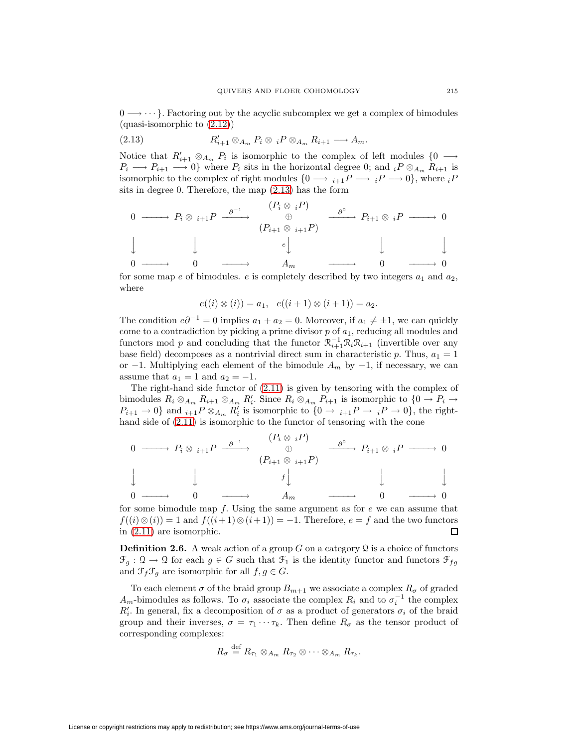<span id="page-12-0"></span> $0 \longrightarrow \cdots$ . Factoring out by the acyclic subcomplex we get a complex of bimodules (quasi-isomorphic to [\(2.12\)](#page-11-1))

$$
(2.13) \t\t R'_{i+1} \otimes_{A_m} P_i \otimes {}_{i}P \otimes_{A_m} R_{i+1} \longrightarrow A_m.
$$

Notice that  $R'_{i+1} \otimes_{A_m} P_i$  is isomorphic to the complex of left modules  $\{0 \longrightarrow$  $P_i \longrightarrow P_{i+1} \longrightarrow 0$ } where  $P_i$  sits in the horizontal degree 0; and  $iP \otimes_{A_m} R_{i+1}$  is isomorphic to the complex of right modules  $\{0 \longrightarrow i+1}P \longrightarrow iP \longrightarrow 0\}$ , where  $iP$ sits in degree 0. Therefore, the map [\(2.13\)](#page-12-0) has the form

$$
\begin{array}{ccccccc}\n0 & \longrightarrow & P_i \otimes & {}_{i+1}P & \xrightarrow{\partial^{-1}} & & (P_i \otimes & {}_{i}P) & & \xrightarrow{\partial^0} & P_{i+1} \otimes & {}_{i}P & \longrightarrow & 0 \\
 & & & & & & & & & & \\
\downarrow & & & & & & & & & & & \\
\downarrow & & & & & & & & & & & & \\
0 & \longrightarrow & & 0 & \longrightarrow & & A_m & \longrightarrow & 0 & \longrightarrow & 0 \\
\end{array}
$$

for some map e of bimodules. e is completely described by two integers  $a_1$  and  $a_2$ , where

$$
e((i) \otimes (i)) = a_1, e((i+1) \otimes (i+1)) = a_2.
$$

The condition  $e\partial^{-1} = 0$  implies  $a_1 + a_2 = 0$ . Moreover, if  $a_1 \neq \pm 1$ , we can quickly come to a contradiction by picking a prime divisor  $p$  of  $a<sub>1</sub>$ , reducing all modules and functors mod p and concluding that the functor  $\mathcal{R}_{i+1}^{-1}\mathcal{R}_i\mathcal{R}_{i+1}$  (invertible over any base field) decomposes as a nontrivial direct sum in characteristic p. Thus,  $a_1 = 1$ or −1. Multiplying each element of the bimodule  $A_m$  by −1, if necessary, we can assume that  $a_1 = 1$  and  $a_2 = -1$ .

The right-hand side functor of [\(2.11\)](#page-11-2) is given by tensoring with the complex of bimodules  $R_i \otimes_{A_m} R_{i+1} \otimes_{A_m} R'_i$ . Since  $R_i \otimes_{A_m} P_{i+1}$  is isomorphic to  $\{0 \to P_i \to$  $P_{i+1} \to 0$ } and  ${}_{i+1}P \otimes_{A_m} R'_i$  is isomorphic to  $\{0 \to {}_{i+1}P \to {}_{i}P \to 0\}$ , the righthand side of [\(2.11\)](#page-11-2) is isomorphic to the functor of tensoring with the cone

$$
\begin{array}{ccccccccc}\n0 & \longrightarrow & P_i \otimes & {}_{i+1}P & \xrightarrow{\partial^{-1}} & & & & & & \\
0 & \longrightarrow & P_i \otimes & {}_{i+1}P & & & & & & & \\
\downarrow & & & & & & & & & & & \\
\downarrow & & & & & & & & & & & \\
0 & \longrightarrow & & & & & & & & & \\
0 & \longrightarrow & & & & & & & & & \\
\end{array}
$$
\n
$$
\begin{array}{ccccccccc}\n(P_i \otimes & {}_{i}P) & & & & & & & & & & & & \\
\oplus & & & & & & & & & & & & \\
(P_{i+1} \otimes & {}_{i+1}P) & & & & & & & & & & \\
\end{array}
$$

for some bimodule map  $f$ . Using the same argument as for  $e$  we can assume that  $f((i) \otimes (i)) = 1$  and  $f((i+1) \otimes (i+1)) = -1$ . Therefore,  $e = f$  and the two functors in [\(2.11\)](#page-11-2) are isomorphic. П

**Definition 2.6.** A weak action of a group  $G$  on a category  $\mathcal Q$  is a choice of functors  $\mathfrak{F}_q : \Omega \to \Omega$  for each  $g \in G$  such that  $\mathfrak{F}_1$  is the identity functor and functors  $\mathfrak{F}_{fq}$ and  $\mathfrak{F}_f \mathfrak{F}_g$  are isomorphic for all  $f, g \in G$ .

To each element  $\sigma$  of the braid group  $B_{m+1}$  we associate a complex  $R_{\sigma}$  of graded  $A_m$ -bimodules as follows. To  $\sigma_i$  associate the complex  $R_i$  and to  $\sigma_i^{-1}$  the complex  $R_i'$ . In general, fix a decomposition of  $\sigma$  as a product of generators  $\sigma_i$  of the braid group and their inverses,  $\sigma = \tau_1 \cdots \tau_k$ . Then define  $R_{\sigma}$  as the tensor product of corresponding complexes:

$$
R_{\sigma} \stackrel{\text{def}}{=} R_{\tau_1} \otimes_{A_m} R_{\tau_2} \otimes \cdots \otimes_{A_m} R_{\tau_k}.
$$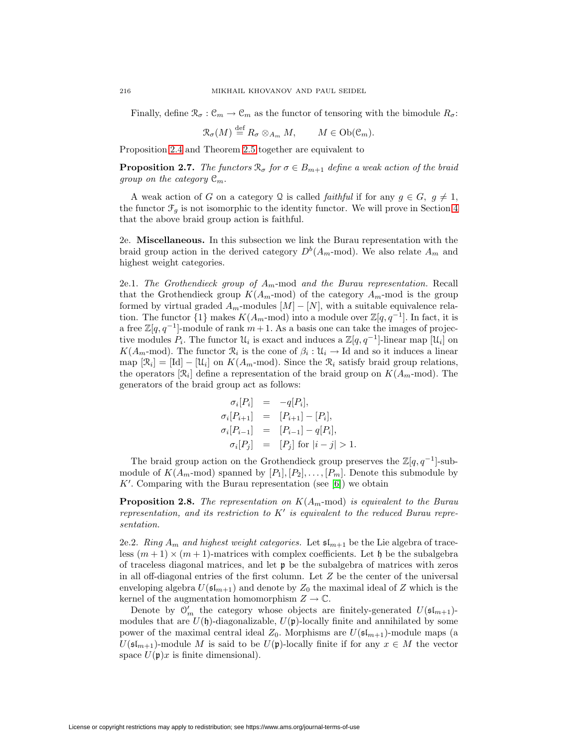Finally, define  $\mathcal{R}_{\sigma}: \mathcal{C}_m \to \mathcal{C}_m$  as the functor of tensoring with the bimodule  $R_{\sigma}$ :

$$
\mathcal{R}_{\sigma}(M) \stackrel{\text{def}}{=} R_{\sigma} \otimes_{A_m} M, \qquad M \in \text{Ob}(\mathcal{C}_m).
$$

Proposition [2.4](#page-10-1) and Theorem [2.5](#page-11-3) together are equivalent to

**Proposition 2.7.** The functors  $\mathcal{R}_{\sigma}$  for  $\sigma \in B_{m+1}$  define a weak action of the braid group on the category  $\mathcal{C}_m$ .

A weak action of G on a category Q is called *faithful* if for any  $g \in G$ ,  $g \neq 1$ , the functor  $\mathcal{F}_q$  is not isomorphic to the identity functor. We will prove in Section [4](#page-30-0) that the above braid group action is faithful.

2e. **Miscellaneous.** In this subsection we link the Burau representation with the braid group action in the derived category  $D^b(A_m \text{-mod})$ . We also relate  $A_m$  and highest weight categories.

2e.1. The Grothendieck group of  $A_m$ -mod and the Burau representation. Recall that the Grothendieck group  $K(A_m \text{-mod})$  of the category  $A_m \text{-mod}$  is the group formed by virtual graded  $A_m$ -modules  $[M] - [N]$ , with a suitable equivalence relation. The functor  $\{1\}$  makes  $K(A_m$ -mod) into a module over  $\mathbb{Z}[q, q^{-1}]$ . In fact, it is a free  $\mathbb{Z}[q, q^{-1}]$ -module of rank  $m + 1$ . As a basis one can take the images of projective modules  $P_i$ . The functor  $\mathcal{U}_i$  is exact and induces a  $\mathbb{Z}[q, q^{-1}]$ -linear map  $[\mathcal{U}_i]$  on  $K(A_m \text{-mod})$ . The functor  $\mathcal{R}_i$  is the cone of  $\beta_i : \mathcal{U}_i \to \text{Id}$  and so it induces a linear map  $[\mathfrak{R}_i] = [\text{Id}] - [\mathfrak{U}_i]$  on  $K(A_m \text{-mod})$ . Since the  $\mathfrak{R}_i$  satisfy braid group relations, the operators  $[\mathcal{R}_i]$  define a representation of the braid group on  $K(A_m \text{-mod})$ . The generators of the braid group act as follows:

$$
\sigma_i[P_i] = -q[P_i],
$$
  
\n
$$
\sigma_i[P_{i+1}] = [P_{i+1}] - [P_i],
$$
  
\n
$$
\sigma_i[P_{i-1}] = [P_{i-1}] - q[P_i],
$$
  
\n
$$
\sigma_i[P_j] = [P_j] \text{ for } |i-j| > 1.
$$

The braid group action on the Grothendieck group preserves the  $\mathbb{Z}[q, q^{-1}]$ -submodule of  $K(A_m \text{-mod})$  spanned by  $[P_1], [P_2], \ldots, [P_m]$ . Denote this submodule by  $K'$ . Comparing with the Burau representation (see [\[6\]](#page-67-12)) we obtain

**Proposition 2.8.** The representation on  $K(A_m \text{-mod})$  is equivalent to the Burau representation, and its restriction to  $K'$  is equivalent to the reduced Burau representation.

2e.2. Ring  $A_m$  and highest weight categories. Let  $\mathfrak{sl}_{m+1}$  be the Lie algebra of traceless  $(m+1) \times (m+1)$ -matrices with complex coefficients. Let  $\mathfrak h$  be the subalgebra of traceless diagonal matrices, and let p be the subalgebra of matrices with zeros in all off-diagonal entries of the first column. Let  $Z$  be the center of the universal enveloping algebra  $U(\mathfrak{sl}_{m+1})$  and denote by  $Z_0$  the maximal ideal of Z which is the kernel of the augmentation homomorphism  $Z \to \mathbb{C}$ .

Denote by  $\mathcal{O}'_m$  the category whose objects are finitely-generated  $U(\mathfrak{sl}_{m+1})$ modules that are  $U(\mathfrak{h})$ -diagonalizable,  $U(\mathfrak{p})$ -locally finite and annihilated by some power of the maximal central ideal  $Z_0$ . Morphisms are  $U(\mathfrak{sl}_{m+1})$ -module maps (a  $U(\mathfrak{sl}_{m+1})$ -module M is said to be  $U(\mathfrak{p})$ -locally finite if for any  $x \in M$  the vector space  $U(\mathfrak{p})x$  is finite dimensional).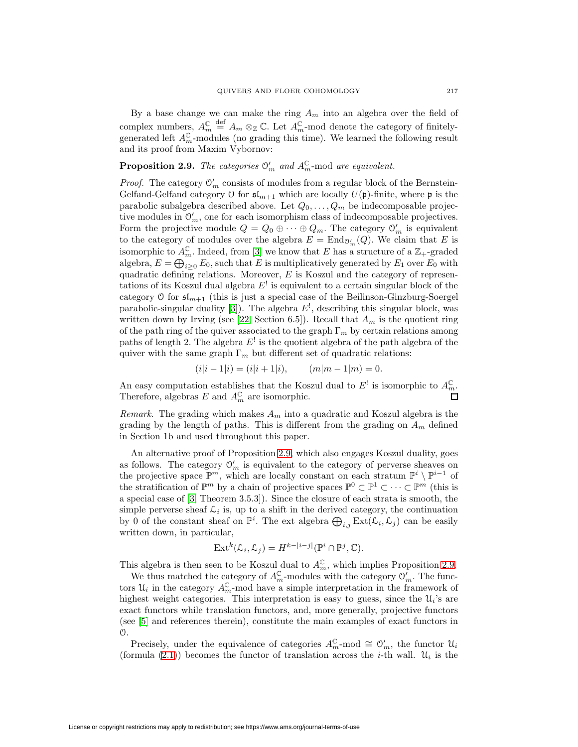By a base change we can make the ring  $A_m$  into an algebra over the field of complex numbers,  $A_m^{\mathbb{C}}$ def  $A_m$  ⊗<sub>ℤ</sub> ℂ. Let  $A_m^{\mathbb{C}}$ -mod denote the category of finitelygenerated left  $A_m^{\mathbb{C}}$ -modules (no grading this time). We learned the following result and its proof from Maxim Vybornov:

# <span id="page-14-0"></span>**Proposition 2.9.** The categories  $\mathcal{O}'_m$  and  $A_m^{\mathbb{C}}$ -mod are equivalent.

*Proof.* The category  $\mathcal{O}'_m$  consists of modules from a regular block of the Bernstein-Gelfand-Gelfand category  $\mathfrak O$  for  $\mathfrak{sl}_{m+1}$  which are locally  $U(\mathfrak p)\text{-finite},$  where  $\mathfrak p$  is the parabolic subalgebra described above. Let  $Q_0, \ldots, Q_m$  be indecomposable projective modules in  $\mathcal{O}'_m$ , one for each isomorphism class of indecomposable projectives. Form the projective module  $Q = Q_0 \oplus \cdots \oplus Q_m$ . The category  $\mathcal{O}'_m$  is equivalent to the category of modules over the algebra  $E = \text{End}_{\mathcal{O}'_m}(Q)$ . We claim that E is isomorphic to  $A_m^{\mathbb{C}}$ . Indeed, from [\[3\]](#page-67-13) we know that E has a structure of a  $\mathbb{Z}_+$ -graded algebra,  $E = \bigoplus_{i \geq 0} E_0$ , such that E is multiplicatively generated by  $E_1$  over  $E_0$  with quadratic defining relations. Moreover,  $E$  is Koszul and the category of representations of its Koszul dual algebra  $E^!$  is equivalent to a certain singular block of the category O for  $\mathfrak{sl}_{m+1}$  (this is just a special case of the Beilinson-Ginzburg-Soergel parabolic-singular duality [\[3\]](#page-67-13)). The algebra  $E^!$ , describing this singular block, was written down by Irving (see [\[22,](#page-67-14) Section 6.5]). Recall that  $A_m$  is the quotient ring of the path ring of the quiver associated to the graph  $\Gamma_m$  by certain relations among paths of length 2. The algebra  $E^!$  is the quotient algebra of the path algebra of the quiver with the same graph  $\Gamma_m$  but different set of quadratic relations:

$$
(i|i-1|i) = (i|i+1|i), \qquad (m|m-1|m) = 0.
$$

An easy computation establishes that the Koszul dual to  $E^!$  is isomorphic to  $A_m^{\mathbb{C}}$ . Therefore, algebras E and  $A_m^{\mathbb{C}}$  are isomorphic.

Remark. The grading which makes  $A_m$  into a quadratic and Koszul algebra is the grading by the length of paths. This is different from the grading on  $A_m$  defined in Section 1b and used throughout this paper.

An alternative proof of Proposition [2.9,](#page-14-0) which also engages Koszul duality, goes as follows. The category  $\mathcal{O}'_m$  is equivalent to the category of perverse sheaves on the projective space  $\mathbb{P}^m$ , which are locally constant on each stratum  $\mathbb{P}^i \setminus \mathbb{P}^{i-1}$  of the stratification of  $\mathbb{P}^m$  by a chain of projective spaces  $\mathbb{P}^0 \subset \mathbb{P}^1 \subset \cdots \subset \mathbb{P}^m$  (this is a special case of [\[3,](#page-67-13) Theorem 3.5.3]). Since the closure of each strata is smooth, the simple perverse sheaf  $\mathcal{L}_i$  is, up to a shift in the derived category, the continuation by 0 of the constant sheaf on  $\mathbb{P}^i$ . The ext algebra  $\bigoplus_{i,j} \text{Ext}(\mathcal{L}_i, \mathcal{L}_j)$  can be easily written down, in particular,

$$
\operatorname{Ext}^k(\mathcal{L}_i, \mathcal{L}_j) = H^{k-|i-j|}(\mathbb{P}^i \cap \mathbb{P}^j, \mathbb{C}).
$$

This algebra is then seen to be Koszul dual to  $A_m^{\mathbb{C}}$ , which implies Proposition [2.9.](#page-14-0)

We thus matched the category of  $A_m^{\mathbb{C}}$ -modules with the category  $\mathcal{O}'_m$ . The functors  $\mathcal{U}_i$  in the category  $A_m^{\mathbb{C}}$ -mod have a simple interpretation in the framework of highest weight categories. This interpretation is easy to guess, since the  $\mathcal{U}_i$ 's are exact functors while translation functors, and, more generally, projective functors (see [\[5\]](#page-67-15) and references therein), constitute the main examples of exact functors in O.

Precisely, under the equivalence of categories  $A_m^{\mathbb{C}}$ -mod  $\cong \mathcal{O}'_m$ , the functor  $\mathcal{U}_i$ (formula [\(2.1\)](#page-8-3)) becomes the functor of translation across the *i*-th wall.  $\mathcal{U}_i$  is the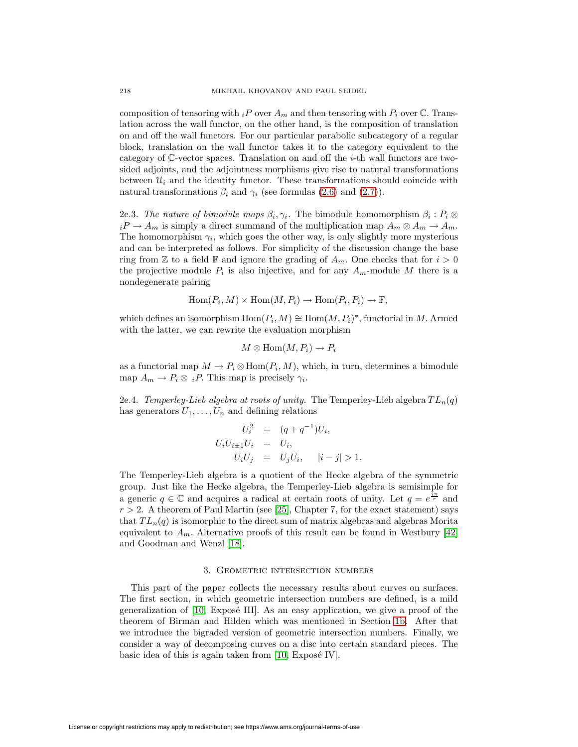composition of tensoring with  $i\in P$  over  $A_m$  and then tensoring with  $P_i$  over  $\mathbb C$ . Translation across the wall functor, on the other hand, is the composition of translation on and off the wall functors. For our particular parabolic subcategory of a regular block, translation on the wall functor takes it to the category equivalent to the category of  $\mathbb{C}$ -vector spaces. Translation on and off the *i*-th wall functors are twosided adjoints, and the adjointness morphisms give rise to natural transformations between  $\mathcal{U}_i$  and the identity functor. These transformations should coincide with natural transformations  $\beta_i$  and  $\gamma_i$  (see formulas [\(2.6\)](#page-9-0) and [\(2.7\)](#page-9-0)).

2e.3. The nature of bimodule maps  $\beta_i, \gamma_i$ . The bimodule homomorphism  $\beta_i : P_i \otimes$  $iP \to A_m$  is simply a direct summand of the multiplication map  $A_m \otimes A_m \to A_m$ . The homomorphism  $\gamma_i$ , which goes the other way, is only slightly more mysterious and can be interpreted as follows. For simplicity of the discussion change the base ring from  $\mathbb Z$  to a field  $\mathbb F$  and ignore the grading of  $A_m$ . One checks that for  $i > 0$ the projective module  $P_i$  is also injective, and for any  $A_m$ -module M there is a nondegenerate pairing

$$
Hom(P_i, M) \times Hom(M, P_i) \to Hom(P_i, P_i) \to \mathbb{F},
$$

which defines an isomorphism  $Hom(P_i, M) \cong Hom(M, P_i)^*$ , functorial in M. Armed with the latter, we can rewrite the evaluation morphism

$$
M\otimes\operatorname{Hom}(M,P_i)\to P_i
$$

as a functorial map  $M \to P_i \otimes \text{Hom}(P_i, M)$ , which, in turn, determines a bimodule map  $A_m \to P_i \otimes iP$ . This map is precisely  $\gamma_i$ .

<span id="page-15-0"></span>2e.4. Temperley-Lieb algebra at roots of unity. The Temperley-Lieb algebra  $TL_n(q)$ has generators  $U_1, \ldots, U_n$  and defining relations

$$
U_i^2 = (q + q^{-1})U_i,
$$
  
\n
$$
U_i U_{i\pm 1} U_i = U_i,
$$
  
\n
$$
U_i U_j = U_j U_i, \quad |i - j| > 1.
$$

The Temperley-Lieb algebra is a quotient of the Hecke algebra of the symmetric group. Just like the Hecke algebra, the Temperley-Lieb algebra is semisimple for a generic  $q \in \mathbb{C}$  and acquires a radical at certain roots of unity. Let  $q = e^{\frac{i\pi}{r}}$  and  $r > 2$ . A theorem of Paul Martin (see [\[25\]](#page-67-16), Chapter 7, for the exact statement) says that  $TL_n(q)$  is isomorphic to the direct sum of matrix algebras and algebras Morita equivalent to  $A_m$ . Alternative proofs of this result can be found in Westbury [\[42\]](#page-68-4) and Goodman and Wenzl [\[18\]](#page-67-17).

#### 3. Geometric intersection numbers

This part of the paper collects the necessary results about curves on surfaces. The first section, in which geometric intersection numbers are defined, is a mild generalization of  $[10, \text{Expose III}]$  $[10, \text{Expose III}]$ . As an easy application, we give a proof of the theorem of Birman and Hilden which was mentioned in Section [1b.](#page-2-1) After that we introduce the bigraded version of geometric intersection numbers. Finally, we consider a way of decomposing curves on a disc into certain standard pieces. The basic idea of this is again taken from  $[10, Ex$  $[10, Ex$ posé IV].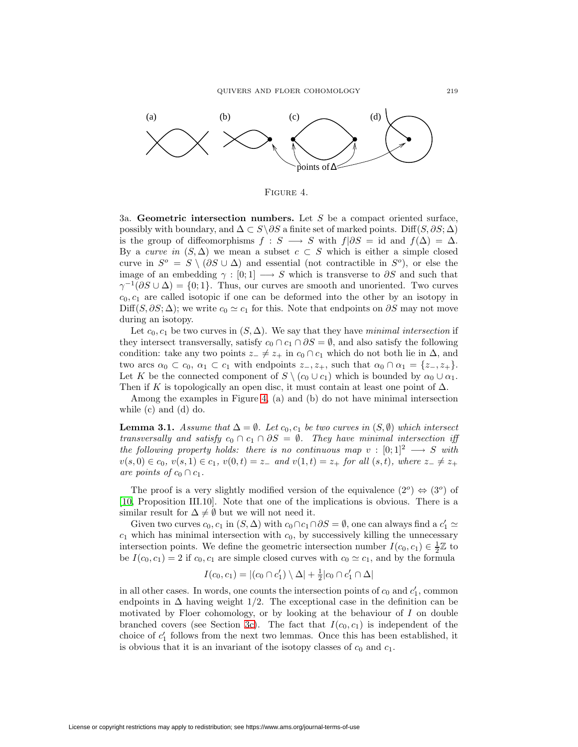

<span id="page-16-0"></span>Figure 4.

<span id="page-16-2"></span>3a. **Geometric intersection numbers.** Let S be a compact oriented surface, possibly with boundary, and  $\Delta \subset S \backslash \partial S$  a finite set of marked points. Diff(S,  $\partial S$ ;  $\Delta$ ) is the group of diffeomorphisms  $f : S \longrightarrow S$  with  $f|\partial S = id$  and  $f(\Delta) = \Delta$ . By a curve in  $(S, \Delta)$  we mean a subset  $c \subset S$  which is either a simple closed curve in  $S^{\circ} = S \setminus (\partial S \cup \Delta)$  and essential (not contractible in  $S^{\circ}$ ), or else the image of an embedding  $\gamma : [0; 1] \longrightarrow S$  which is transverse to  $\partial S$  and such that  $\gamma^{-1}(\partial S \cup \Delta) = \{0, 1\}.$  Thus, our curves are smooth and unoriented. Two curves  $c_0, c_1$  are called isotopic if one can be deformed into the other by an isotopy in Diff(S,  $\partial S$ ;  $\Delta$ ); we write  $c_0 \simeq c_1$  for this. Note that endpoints on  $\partial S$  may not move during an isotopy.

Let  $c_0, c_1$  be two curves in  $(S, \Delta)$ . We say that they have minimal intersection if they intersect transversally, satisfy  $c_0 \cap c_1 \cap \partial S = \emptyset$ , and also satisfy the following condition: take any two points  $z_-\neq z_+$  in  $c_0 \cap c_1$  which do not both lie in  $\Delta$ , and two arcs  $\alpha_0 \subset c_0$ ,  $\alpha_1 \subset c_1$  with endpoints  $z_-, z_+$ , such that  $\alpha_0 \cap \alpha_1 = \{z_-, z_+\}$ . Let K be the connected component of  $S \setminus (c_0 \cup c_1)$  which is bounded by  $\alpha_0 \cup \alpha_1$ . Then if K is topologically an open disc, it must contain at least one point of  $\Delta$ .

<span id="page-16-3"></span>Among the examples in Figure [4,](#page-16-0) (a) and (b) do not have minimal intersection while (c) and (d) do.

**Lemma 3.1.** Assume that  $\Delta = \emptyset$ . Let  $c_0, c_1$  be two curves in  $(S, \emptyset)$  which intersect transversally and satisfy  $c_0 \cap c_1 \cap \partial S = \emptyset$ . They have minimal intersection iff the following property holds: there is no continuous map  $v : [0; 1]^2 \longrightarrow S$  with  $v(s, 0) \in c_0, v(s, 1) \in c_1, v(0, t) = z_- \text{ and } v(1, t) = z_+ \text{ for all } (s, t), \text{ where } z_- \neq z_+$ are points of  $c_0 \cap c_1$ .

The proof is a very slightly modified version of the equivalence  $(2^o) \Leftrightarrow (3^o)$  of [\[10,](#page-67-18) Proposition III.10]. Note that one of the implications is obvious. There is a similar result for  $\Delta \neq \emptyset$  but we will not need it.

Given two curves  $c_0, c_1$  in  $(S, \Delta)$  with  $c_0 \cap c_1 \cap \partial S = \emptyset$ , one can always find a  $c'_1 \simeq$  $c_1$  which has minimal intersection with  $c_0$ , by successively killing the unnecessary intersection points. We define the geometric intersection number  $I(c_0, c_1) \in \frac{1}{2}\mathbb{Z}$  to be  $I(c_0, c_1) = 2$  if  $c_0, c_1$  are simple closed curves with  $c_0 \simeq c_1$ , and by the formula

$$
I(c_0, c_1) = |(c_0 \cap c'_1) \setminus \Delta| + \frac{1}{2}|c_0 \cap c'_1 \cap \Delta|
$$

<span id="page-16-1"></span>in all other cases. In words, one counts the intersection points of  $c_0$  and  $c'_1$ , common endpoints in  $\Delta$  having weight 1/2. The exceptional case in the definition can be motivated by Floer cohomology, or by looking at the behaviour of  $I$  on double branched covers (see Section [3c\)](#page-19-0). The fact that  $I(c_0, c_1)$  is independent of the choice of  $c_1'$  follows from the next two lemmas. Once this has been established, it is obvious that it is an invariant of the isotopy classes of  $c_0$  and  $c_1$ .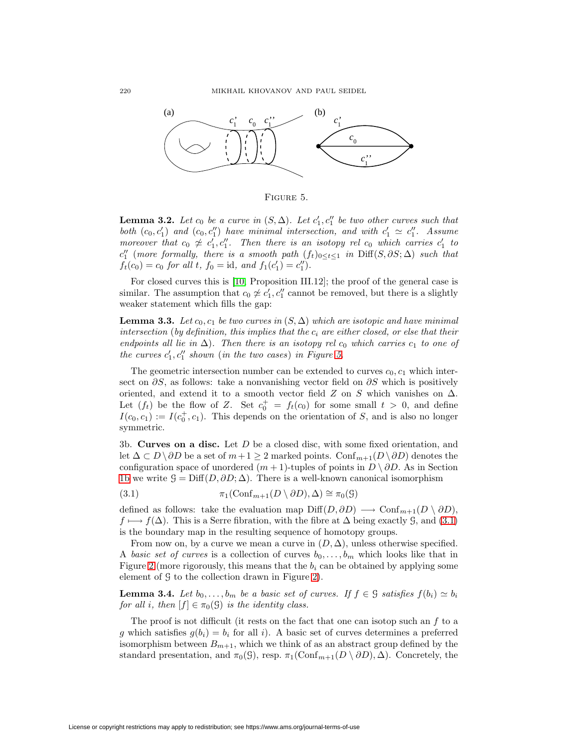

<span id="page-17-0"></span>Figure 5.

**Lemma 3.2.** Let  $c_0$  be a curve in  $(S, \Delta)$ . Let  $c'_1, c''_1$  be two other curves such that both  $(c_0, c'_1)$  and  $(c_0, c''_1)$  have minimal intersection, and with  $c'_1 \simeq c''_1$ . Assume moreover that  $c_0 \not\cong c'_1, c''_1$ . Then there is an isotopy rel  $c_0$  which carries  $c'_1$  to  $c_1''$  (more formally, there is a smooth path  $(f_t)_{0 \leq t \leq 1}$  in  $\text{Diff}(S, \partial S; \Delta)$  such that  $f_t(c_0) = c_0$  for all t,  $f_0 = id$ , and  $f_1(c'_1) = c''_1$ .

For closed curves this is [\[10,](#page-67-18) Proposition III.12]; the proof of the general case is similar. The assumption that  $c_0 \not\approx c_1', c_1''$  cannot be removed, but there is a slightly weaker statement which fills the gap:

<span id="page-17-3"></span>**Lemma 3.3.** Let  $c_0, c_1$  be two curves in  $(S, \Delta)$  which are isotopic and have minimal intersection (by definition, this implies that the  $c_i$  are either closed, or else that their endpoints all lie in  $\Delta$ ). Then there is an isotopy rel  $c_0$  which carries  $c_1$  to one of the curves  $c'_1, c''_1$  shown (in the two cases) in Figure [5.](#page-17-0)

The geometric intersection number can be extended to curves  $c_0, c_1$  which intersect on  $\partial S$ , as follows: take a nonvanishing vector field on  $\partial S$  which is positively oriented, and extend it to a smooth vector field  $Z$  on  $S$  which vanishes on  $\Delta$ . Let  $(f_t)$  be the flow of Z. Set  $c_0^+ = f_t(c_0)$  for some small  $t > 0$ , and define  $I(c_0, c_1) := I(c_0^+, c_1)$ . This depends on the orientation of S, and is also no longer symmetric.

<span id="page-17-4"></span>3b. **Curves on a disc.** Let D be a closed disc, with some fixed orientation, and let  $\Delta \subset D \setminus \partial D$  be a set of  $m+1 \geq 2$  marked points. Conf $_{m+1}(D \setminus \partial D)$  denotes the configuration space of unordered  $(m + 1)$ -tuples of points in  $D \setminus \partial D$ . As in Section [1b](#page-2-1) we write  $\mathcal{G} = \text{Diff}(D, \partial D; \Delta)$ . There is a well-known canonical isomorphism

<span id="page-17-1"></span>(3.1) 
$$
\pi_1(\text{Conf}_{m+1}(D \setminus \partial D), \Delta) \cong \pi_0(\mathcal{G})
$$

defined as follows: take the evaluation map  $\text{Diff}(D, \partial D) \longrightarrow \text{Conf}_{m+1}(D \setminus \partial D)$ ,  $f \mapsto f(\Delta)$ . This is a Serre fibration, with the fibre at  $\Delta$  being exactly G, and [\(3.1\)](#page-17-1) is the boundary map in the resulting sequence of homotopy groups.

From now on, by a curve we mean a curve in  $(D, \Delta)$ , unless otherwise specified. A basic set of curves is a collection of curves  $b_0, \ldots, b_m$  which looks like that in Figure [2](#page-4-0) (more rigorously, this means that the  $b_i$  can be obtained by applying some element of G to the collection drawn in Figure [2\)](#page-4-0).

<span id="page-17-2"></span>**Lemma 3.4.** Let  $b_0, \ldots, b_m$  be a basic set of curves. If  $f \in \mathcal{G}$  satisfies  $f(b_i) \simeq b_i$ for all i, then  $[f] \in \pi_0(\mathcal{G})$  is the identity class.

The proof is not difficult (it rests on the fact that one can isotop such an  $f$  to a g which satisfies  $g(b_i) = b_i$  for all i). A basic set of curves determines a preferred isomorphism between  $B_{m+1}$ , which we think of as an abstract group defined by the standard presentation, and  $\pi_0(\mathcal{G})$ , resp.  $\pi_1(\text{Conf}_{m+1}(D \setminus \partial D), \Delta)$ . Concretely, the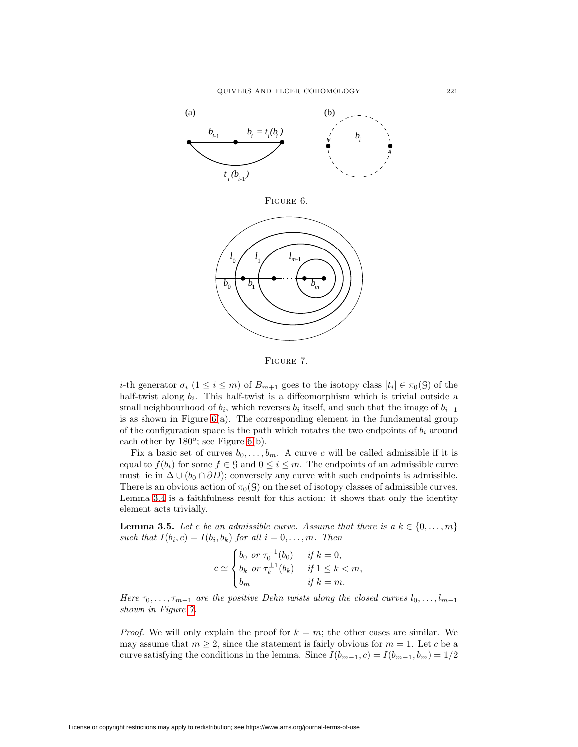<span id="page-18-0"></span>

<span id="page-18-1"></span>Figure 7.

i-th generator  $\sigma_i$   $(1 \leq i \leq m)$  of  $B_{m+1}$  goes to the isotopy class  $[t_i] \in \pi_0(\mathcal{G})$  of the half-twist along  $b_i$ . This half-twist is a diffeomorphism which is trivial outside a small neighbourhood of  $b_i$ , which reverses  $b_i$  itself, and such that the image of  $b_{i-1}$ is as shown in Figure  $6(a)$ . The corresponding element in the fundamental group of the configuration space is the path which rotates the two endpoints of  $b_i$  around each other by  $180^\circ$ ; see Figure [6\(](#page-18-0)b).

Fix a basic set of curves  $b_0, \ldots, b_m$ . A curve c will be called admissible if it is equal to  $f(b_i)$  for some  $f \in \mathcal{G}$  and  $0 \leq i \leq m$ . The endpoints of an admissible curve must lie in  $\Delta \cup (b_0 \cap \partial D)$ ; conversely any curve with such endpoints is admissible. There is an obvious action of  $\pi_0(\mathcal{G})$  on the set of isotopy classes of admissible curves. Lemma [3.4](#page-17-2) is a faithfulness result for this action: it shows that only the identity element acts trivially.

<span id="page-18-2"></span>**Lemma 3.5.** Let c be an admissible curve. Assume that there is a  $k \in \{0, \ldots, m\}$ such that  $I(b_i, c) = I(b_i, b_k)$  for all  $i = 0, \ldots, m$ . Then

$$
c \simeq \begin{cases} b_0 & \text{or } \tau_0^{-1}(b_0) & \text{if } k = 0, \\ b_k & \text{or } \tau_k^{\pm 1}(b_k) & \text{if } 1 \le k < m, \\ b_m & \text{if } k = m. \end{cases}
$$

Here  $\tau_0, \ldots, \tau_{m-1}$  are the positive Dehn twists along the closed curves  $l_0, \ldots, l_{m-1}$ shown in Figure [7.](#page-18-1)

*Proof.* We will only explain the proof for  $k = m$ ; the other cases are similar. We may assume that  $m \geq 2$ , since the statement is fairly obvious for  $m = 1$ . Let c be a curve satisfying the conditions in the lemma. Since  $I(b_{m-1}, c) = I(b_{m-1}, b_m) = 1/2$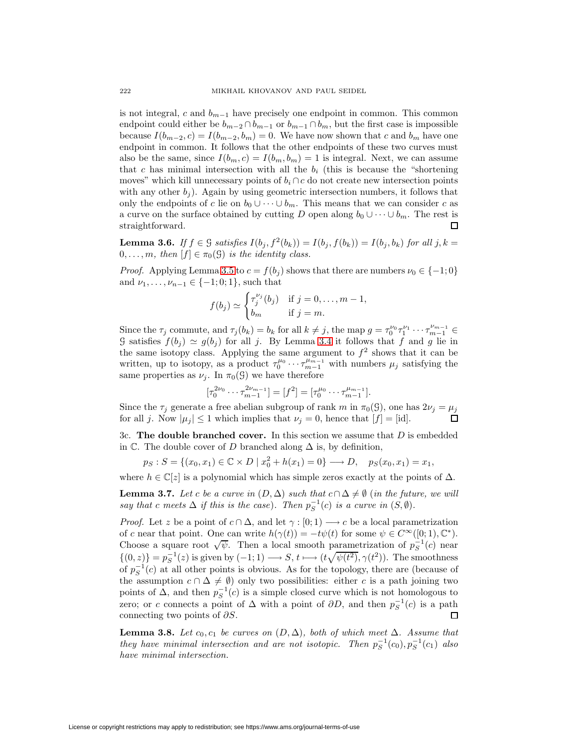is not integral, c and  $b_{m-1}$  have precisely one endpoint in common. This common endpoint could either be  $b_{m-2} \cap b_{m-1}$  or  $b_{m-1} \cap b_m$ , but the first case is impossible because  $I(b_{m-2}, c) = I(b_{m-2}, b_m) = 0$ . We have now shown that c and  $b_m$  have one endpoint in common. It follows that the other endpoints of these two curves must also be the same, since  $I(b_m, c) = I(b_m, b_m) = 1$  is integral. Next, we can assume that c has minimal intersection with all the  $b_i$  (this is because the "shortening") moves" which kill unnecessary points of  $b_i \cap c$  do not create new intersection points with any other  $b_i$ ). Again by using geometric intersection numbers, it follows that only the endpoints of c lie on  $b_0 \cup \cdots \cup b_m$ . This means that we can consider c as a curve on the surface obtained by cutting D open along  $b_0 \cup \cdots \cup b_m$ . The rest is straightforward. □

<span id="page-19-2"></span>**Lemma 3.6.** If  $f \in \mathcal{G}$  satisfies  $I(b_i, f^2(b_k)) = I(b_i, f(b_k)) = I(b_i, b_k)$  for all  $j, k =$  $0,\ldots,m$ , then  $[f] \in \pi_0(\mathcal{G})$  is the identity class.

*Proof.* Applying Lemma [3.5](#page-18-2) to  $c = f(b_i)$  shows that there are numbers  $\nu_0 \in \{-1, 0\}$ and  $\nu_1, \ldots, \nu_{n-1} \in \{-1; 0; 1\}$ , such that

$$
f(b_j) \simeq \begin{cases} \tau_j^{\nu_j}(b_j) & \text{if } j = 0, \dots, m-1, \\ b_m & \text{if } j = m. \end{cases}
$$

Since the  $\tau_j$  commute, and  $\tau_j(b_k) = b_k$  for all  $k \neq j$ , the map  $g = \tau_0^{v_0} \tau_1^{v_1} \cdots \tau_{m-1}^{v_{m-1}} \in$ G satisfies  $f(b_j) \simeq g(b_j)$  for all j. By Lemma [3.4](#page-17-2) it follows that f and g lie in the same isotopy class. Applying the same argument to  $f^2$  shows that it can be written, up to isotopy, as a product  $\tau_0^{\mu_0} \cdots \tau_{m-1}^{\mu_{m-1}}$  with numbers  $\mu_j$  satisfying the same properties as  $\nu_j$ . In  $\pi_0(\mathcal{G})$  we have therefore

$$
[\tau_0^{2\nu_0} \cdots \tau_{m-1}^{2\nu_{m-1}}] = [f^2] = [\tau_0^{\mu_0} \cdots \tau_{m-1}^{\mu_{m-1}}].
$$

Since the  $\tau_j$  generate a free abelian subgroup of rank m in  $\pi_0(\mathcal{G})$ , one has  $2\nu_j = \mu_j$ for all j. Now  $|\mu_j| \leq 1$  which implies that  $\nu_j = 0$ , hence that  $[f] = [id]$ .  $\Box$ 

<span id="page-19-0"></span>3c. **The double branched cover.** In this section we assume that D is embedded in  $\mathbb C$ . The double cover of D branched along  $\Delta$  is, by definition,

$$
p_S : S = \{(x_0, x_1) \in \mathbb{C} \times D \mid x_0^2 + h(x_1) = 0\} \longrightarrow D, \quad p_S(x_0, x_1) = x_1,
$$

where  $h \in \mathbb{C}[z]$  is a polynomial which has simple zeros exactly at the points of  $\Delta$ .

**Lemma 3.7.** Let c be a curve in  $(D, \Delta)$  such that  $c \cap \Delta \neq \emptyset$  (in the future, we will say that c meets  $\Delta$  if this is the case). Then  $p_S^{-1}(c)$  is a curve in  $(S, \emptyset)$ .

*Proof.* Let z be a point of  $c \cap \Delta$ , and let  $\gamma : [0; 1) \longrightarrow c$  be a local parametrization of c near that point. One can write  $h(\gamma(t)) = -t\psi(t)$  for some  $\psi \in C^{\infty}([0; 1), \mathbb{C}^*).$ Choose a square root  $\sqrt{\psi}$ . Then a local smooth parametrization of  $p_S^{-1}(c)$  near  $\{(0, z)\}=p_S^{-1}(z)$  is given by  $(-1, 1) \longrightarrow S$ ,  $t \longmapsto (t\sqrt{\psi(t^2)}, \gamma(t^2))$ . The smoothness of  $p_S^{-1}(c)$  at all other points is obvious. As for the topology, there are (because of the assumption  $c \cap \Delta \neq \emptyset$  only two possibilities: either c is a path joining two points of  $\Delta$ , and then  $p_S^{-1}(c)$  is a simple closed curve which is not homologous to zero; or c connects a point of  $\Delta$  with a point of  $\partial D$ , and then  $p_S^{-1}(c)$  is a path connecting two points of  $\partial S$ .

<span id="page-19-1"></span>**Lemma 3.8.** Let  $c_0, c_1$  be curves on  $(D, \Delta)$ , both of which meet  $\Delta$ . Assume that they have minimal intersection and are not isotopic. Then  $p_S^{-1}(c_0), p_S^{-1}(c_1)$  also have minimal intersection.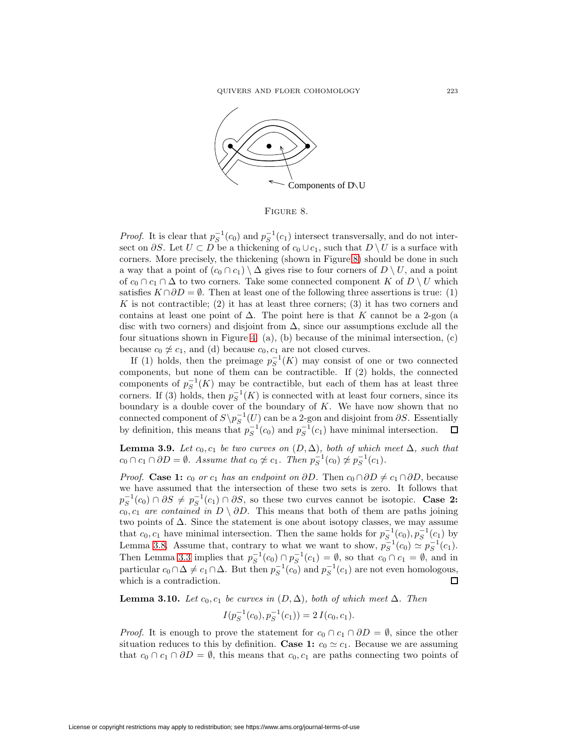

<span id="page-20-0"></span>Figure 8.

*Proof.* It is clear that  $p_S^{-1}(c_0)$  and  $p_S^{-1}(c_1)$  intersect transversally, and do not intersect on  $\partial S$ . Let  $U \subset D$  be a thickening of  $c_0 \cup c_1$ , such that  $D \setminus U$  is a surface with corners. More precisely, the thickening (shown in Figure [8\)](#page-20-0) should be done in such a way that a point of  $(c_0 \cap c_1) \setminus \Delta$  gives rise to four corners of  $D \setminus U$ , and a point of  $c_0 \cap c_1 \cap \Delta$  to two corners. Take some connected component K of  $D \setminus U$  which satisfies  $K \cap \partial D = \emptyset$ . Then at least one of the following three assertions is true: (1) K is not contractible; (2) it has at least three corners; (3) it has two corners and contains at least one point of  $\Delta$ . The point here is that K cannot be a 2-gon (a disc with two corners) and disjoint from  $\Delta$ , since our assumptions exclude all the four situations shown in Figure [4:](#page-16-0) (a), (b) because of the minimal intersection, (c) because  $c_0 \not\cong c_1$ , and (d) because  $c_0, c_1$  are not closed curves.

If (1) holds, then the preimage  $p_S^{-1}(K)$  may consist of one or two connected components, but none of them can be contractible. If (2) holds, the connected components of  $p_S^{-1}(K)$  may be contractible, but each of them has at least three corners. If (3) holds, then  $p_S^{-1}(K)$  is connected with at least four corners, since its boundary is a double cover of the boundary of  $K$ . We have now shown that no connected component of  $S \backslash p_S^{-1}(U)$  can be a 2-gon and disjoint from  $\partial S$ . Essentially by definition, this means that  $p_S^{-1}(c_0)$  and  $p_S^{-1}(c_1)$  have minimal intersection. 口

<span id="page-20-1"></span>**Lemma 3.9.** Let  $c_0, c_1$  be two curves on  $(D, \Delta)$ , both of which meet  $\Delta$ , such that  $c_0 \cap c_1 \cap \partial D = \emptyset$ . Assume that  $c_0 \not\approx c_1$ . Then  $p_S^{-1}(c_0) \not\approx p_S^{-1}(c_1)$ .

*Proof.* **Case 1:**  $c_0$  or  $c_1$  has an endpoint on ∂D. Then  $c_0 \cap \partial D \neq c_1 \cap \partial D$ , because we have assumed that the intersection of these two sets is zero. It follows that  $p_S^{-1}(c_0) \cap \partial S \neq p_S^{-1}(c_1) \cap \partial S$ , so these two curves cannot be isotopic. **Case 2:**  $c_0, c_1$  are contained in  $D \setminus \partial D$ . This means that both of them are paths joining two points of ∆. Since the statement is one about isotopy classes, we may assume that  $c_0, c_1$  have minimal intersection. Then the same holds for  $p_S^{-1}(c_0), p_S^{-1}(c_1)$  by Lemma [3.8.](#page-19-1) Assume that, contrary to what we want to show,  $p_S^{-1}(c_0) \simeq p_S^{-1}(c_1)$ . Then Lemma [3.3](#page-17-3) implies that  $p_S^{-1}(c_0) \cap p_S^{-1}(c_1) = \emptyset$ , so that  $c_0 \cap c_1 = \emptyset$ , and in particular  $c_0 \cap \Delta \neq c_1 \cap \Delta$ . But then  $p_S^{-1}(c_0)$  and  $p_S^{-1}(c_1)$  are not even homologous, which is a contradiction.

<span id="page-20-2"></span>**Lemma 3.10.** Let  $c_0, c_1$  be curves in  $(D, \Delta)$ , both of which meet  $\Delta$ . Then

$$
I(p_S^{-1}(c_0), p_S^{-1}(c_1)) = 2 I(c_0, c_1).
$$

*Proof.* It is enough to prove the statement for  $c_0 \cap c_1 \cap \partial D = \emptyset$ , since the other situation reduces to this by definition. **Case 1:**  $c_0 \simeq c_1$ . Because we are assuming that  $c_0 \cap c_1 \cap \partial D = \emptyset$ , this means that  $c_0, c_1$  are paths connecting two points of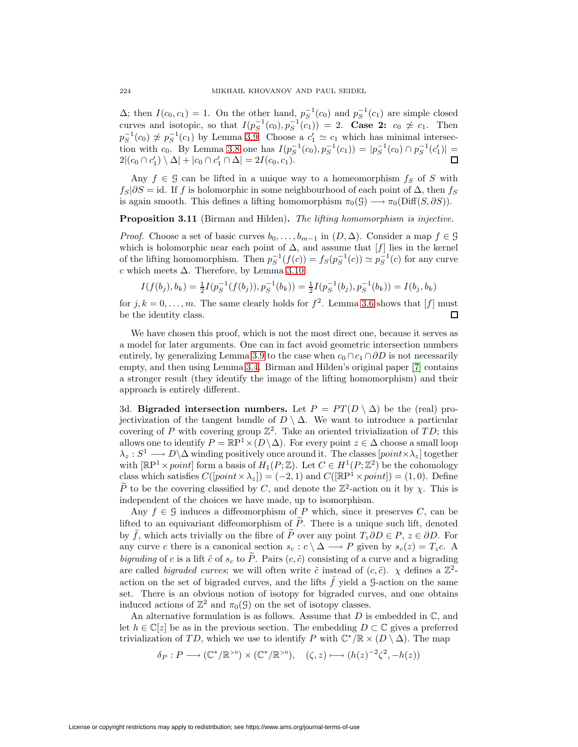$\Delta$ ; then  $I(c_0, c_1) = 1$ . On the other hand,  $p_S^{-1}(c_0)$  and  $p_S^{-1}(c_1)$  are simple closed curves and isotopic, so that  $I(p_S^{-1}(c_0), p_S^{-1}(c_1)) = 2$ . **Case 2:**  $c_0 \not\approx c_1$ . Then  $p_S^{-1}(c_0) \not\approx p_S^{-1}(c_1)$  by Lemma [3.9.](#page-20-1) Choose a  $c'_1 \simeq c_1$  which has minimal intersection with  $c_0$ . By Lemma [3.8](#page-19-1) one has  $I(p_S^{-1}(c_0), p_S^{-1}(c_1)) = |p_S^{-1}(c_0) \cap p_S^{-1}(c_1')|$  $2|(c_0 \cap c'_1) \setminus \Delta| + |c_0 \cap c'_1 \cap \Delta| = 2I(c_0, c_1).$ 

Any  $f \in \mathcal{G}$  can be lifted in a unique way to a homeomorphism  $f_S$  of S with  $f_S|\partial S = id$ . If f is holomorphic in some neighbourhood of each point of  $\Delta$ , then  $f_S$ is again smooth. This defines a lifting homomorphism  $\pi_0(\mathcal{G}) \longrightarrow \pi_0(\text{Diff}(S, \partial S)).$ 

<span id="page-21-0"></span>**Proposition 3.11** (Birman and Hilden). The lifting homomorphism is injective.

*Proof.* Choose a set of basic curves  $b_0, \ldots, b_{m-1}$  in  $(D, \Delta)$ . Consider a map  $f \in \mathcal{G}$ which is holomorphic near each point of  $\Delta$ , and assume that  $[f]$  lies in the kernel of the lifting homomorphism. Then  $p_S^{-1}(f(c)) = f_S(p_S^{-1}(c)) \simeq p_S^{-1}(c)$  for any curve c which meets  $\Delta$ . Therefore, by Lemma [3.10,](#page-20-2)

$$
I(f(b_j), b_k) = \frac{1}{2}I(p_S^{-1}(f(b_j)), p_S^{-1}(b_k)) = \frac{1}{2}I(p_S^{-1}(b_j), p_S^{-1}(b_k)) = I(b_j, b_k)
$$

for  $j, k = 0, \ldots, m$ . The same clearly holds for  $f^2$ . Lemma [3.6](#page-19-2) shows that [f] must be the identity class. 口

We have chosen this proof, which is not the most direct one, because it serves as a model for later arguments. One can in fact avoid geometric intersection numbers entirely, by generalizing Lemma [3.9](#page-20-1) to the case when  $c_0 \cap c_1 \cap \partial D$  is not necessarily empty, and then using Lemma [3.4.](#page-17-2) Birman and Hilden's original paper [\[7\]](#page-67-7) contains a stronger result (they identify the image of the lifting homomorphism) and their approach is entirely different.

<span id="page-21-1"></span>3d. **Bigraded intersection numbers.** Let  $P = PT(D \setminus \Delta)$  be the (real) projectivization of the tangent bundle of  $D \setminus \Delta$ . We want to introduce a particular covering of P with covering group  $\mathbb{Z}^2$ . Take an oriented trivialization of TD; this allows one to identify  $P = \mathbb{R}P^1 \times (D \setminus \Delta)$ . For every point  $z \in \Delta$  choose a small loop  $\lambda_z : S^1 \longrightarrow D\backslash \Delta$  winding positively once around it. The classes  $[point \times \lambda_z]$  together with  $[\mathbb{R}P^1 \times point]$  form a basis of  $H_1(P; \mathbb{Z})$ . Let  $C \in H^1(P; \mathbb{Z}^2)$  be the cohomology class which satisfies  $C([point \times \lambda_z]) = (-2, 1)$  and  $C([{\mathbb{R}}P^1 \times point]) = (1, 0)$ . Define  $\widetilde{P}$  to be the covering classified by C, and denote the  $\mathbb{Z}^2$ -action on it by  $\chi$ . This is independent of the choices we have made, up to isomorphism.

Any  $f \in \mathcal{G}$  induces a diffeomorphism of P which, since it preserves C, can be lifted to an equivariant diffeomorphism of  $\tilde{P}$ . There is a unique such lift, denoted by  $\tilde{f}$ , which acts trivially on the fibre of  $\tilde{P}$  over any point  $T_z \partial D \in P$ ,  $z \in \partial D$ . For any curve c there is a canonical section  $s_c : c \setminus \Delta \longrightarrow P$  given by  $s_c(z) = T_z c$ . A bigrading of c is a lift  $\tilde{c}$  of  $s_c$  to  $\tilde{P}$ . Pairs  $(c, \tilde{c})$  consisting of a curve and a bigrading are called *bigraded curves*; we will often write  $\tilde{c}$  instead of  $(c, \tilde{c})$ .  $\chi$  defines a  $\mathbb{Z}^2$ action on the set of bigraded curves, and the lifts  $\tilde{f}$  yield a G-action on the same set. There is an obvious notion of isotopy for bigraded curves, and one obtains induced actions of  $\mathbb{Z}^2$  and  $\pi_0(\mathcal{G})$  on the set of isotopy classes.

An alternative formulation is as follows. Assume that  $D$  is embedded in  $\mathbb{C}$ , and let  $h \in \mathbb{C}[z]$  be as in the previous section. The embedding  $D \subset \mathbb{C}$  gives a preferred trivialization of TD, which we use to identify P with  $\mathbb{C}^*/\mathbb{R} \times (D \setminus \Delta)$ . The map

$$
\delta_P: P \longrightarrow (\mathbb{C}^*/\mathbb{R}^{>0}) \times (\mathbb{C}^*/\mathbb{R}^{>0}), \quad (\zeta, z) \longmapsto (h(z)^{-2}\zeta^2, -h(z))
$$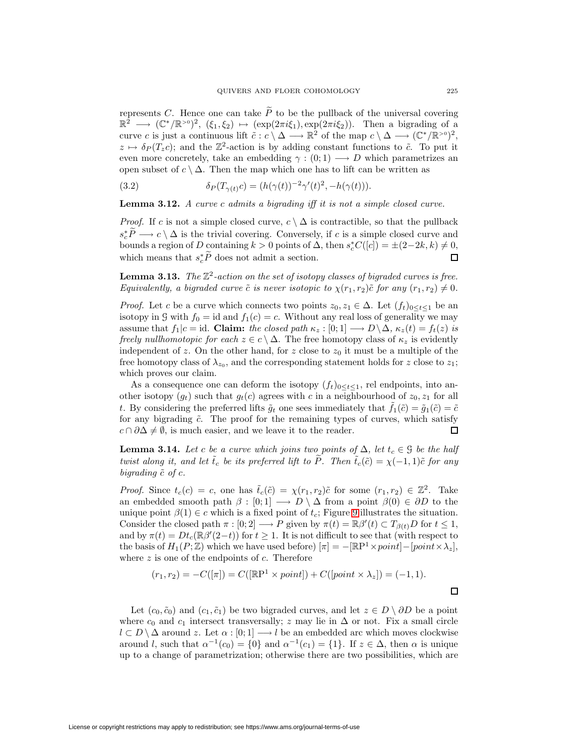represents C. Hence one can take  $\tilde{P}$  to be the pullback of the universal covering  $\mathbb{R}^2 \longrightarrow (\mathbb{C}^*/\mathbb{R}^{>0})^2$ ,  $(\xi_1, \xi_2) \mapsto (\exp(2\pi i \xi_1), \exp(2\pi i \xi_2))$ . Then a bigrading of a curve c is just a continuous lift  $\tilde{c}: c \setminus \Delta \longrightarrow \mathbb{R}^2$  of the map  $c \setminus \Delta \longrightarrow (\mathbb{C}^*/\mathbb{R}^{>0})^2$ ,  $z \mapsto \delta_P (T_z c)$ ; and the  $\mathbb{Z}^2$ -action is by adding constant functions to  $\tilde{c}$ . To put it even more concretely, take an embedding  $\gamma : (0,1) \longrightarrow D$  which parametrizes an open subset of  $c \setminus \Delta$ . Then the map which one has to lift can be written as

<span id="page-22-2"></span>(3.2) 
$$
\delta_P(T_{\gamma(t)}c) = (h(\gamma(t))^{-2}\gamma'(t)^2, -h(\gamma(t))).
$$

**Lemma 3.12.** A curve c admits a bigrading iff it is not a simple closed curve.

*Proof.* If c is not a simple closed curve,  $c \setminus \Delta$  is contractible, so that the pullback  $s_c^*P \longrightarrow c \setminus \Delta$  is the trivial covering. Conversely, if c is a simple closed curve and bounds a region of D containing  $k > 0$  points of  $\Delta$ , then  $s_c^* C([c]) = \pm (2-2k, k) \neq 0$ , which means that  $s_c^* P$  does not admit a section.  $\Box$ 

<span id="page-22-0"></span>**Lemma 3.13.** The  $\mathbb{Z}^2$ -action on the set of isotopy classes of bigraded curves is free. Equivalently, a bigraded curve  $\tilde{c}$  is never isotopic to  $\chi(r_1, r_2)\tilde{c}$  for any  $(r_1, r_2) \neq 0$ .

*Proof.* Let c be a curve which connects two points  $z_0, z_1 \in \Delta$ . Let  $(f_t)_{0 \leq t \leq 1}$  be an isotopy in G with  $f_0 = id$  and  $f_1(c) = c$ . Without any real loss of generality we may assume that  $f_1|c = id$ . **Claim:** the closed path  $\kappa_z : [0; 1] \longrightarrow D \setminus \Delta$ ,  $\kappa_z(t) = f_t(z)$  is freely nullhomotopic for each  $z \in c \setminus \Delta$ . The free homotopy class of  $\kappa_z$  is evidently independent of z. On the other hand, for z close to  $z_0$  it must be a multiple of the free homotopy class of  $\lambda_{z_0}$ , and the corresponding statement holds for z close to  $z_1$ ; which proves our claim.

As a consequence one can deform the isotopy  $(f_t)_{0 \le t \le 1}$ , rel endpoints, into another isotopy  $(g_t)$  such that  $g_t(c)$  agrees with c in a neighbourhood of  $z_0, z_1$  for all t. By considering the preferred lifts  $\tilde{g}_t$  one sees immediately that  $f_1(\tilde{c})=\tilde{g}_1(\tilde{c})=\tilde{c}$ for any bigrading  $\tilde{c}$ . The proof for the remaining types of curves, which satisfy  $c \cap \partial \Delta \neq \emptyset$ , is much easier, and we leave it to the reader.

<span id="page-22-1"></span>**Lemma 3.14.** Let c be a curve which joins two points of  $\Delta$ , let  $t_c \in \mathcal{G}$  be the half twist along it, and let  $\tilde{t}_c$  be its preferred lift to  $\tilde{P}$ . Then  $\tilde{t}_c(\tilde{c}) = \chi(-1, 1)\tilde{c}$  for any bigrading  $\tilde{c}$  of c.

*Proof.* Since  $t_c(c) = c$ , one has  $\tilde{t}_c(\tilde{c}) = \chi(r_1, r_2)\tilde{c}$  for some  $(r_1, r_2) \in \mathbb{Z}^2$ . Take an embedded smooth path  $\beta : [0; 1] \longrightarrow D \setminus \Delta$  from a point  $\beta(0) \in \partial D$  to the unique point  $\beta(1) \in c$  which is a fixed point of  $t_c$ ; Figure [9](#page-23-0) illustrates the situation. Consider the closed path  $\pi : [0; 2] \longrightarrow P$  given by  $\pi(t) = \mathbb{R}\beta'(t) \subset T_{\beta(t)}D$  for  $t \leq 1$ , and by  $\pi(t) = Dt_c(\mathbb{R}\beta'(2-t))$  for  $t \geq 1$ . It is not difficult to see that (with respect to the basis of  $H_1(P;\mathbb{Z})$  which we have used before)  $[\pi] = -[\mathbb{R}P^1 \times point] - [point \times \lambda_z],$ where  $z$  is one of the endpoints of  $c$ . Therefore

$$
(r_1, r_2) = -C([\pi]) = C([\mathbb{R}\mathbb{P}^1 \times point]) + C([point \times \lambda_z]) = (-1, 1).
$$

Let  $(c_0, \tilde{c}_0)$  and  $(c_1, \tilde{c}_1)$  be two bigraded curves, and let  $z \in D \setminus \partial D$  be a point where  $c_0$  and  $c_1$  intersect transversally; z may lie in  $\Delta$  or not. Fix a small circle  $l \subset D \setminus \Delta$  around z. Let  $\alpha : [0;1] \longrightarrow l$  be an embedded arc which moves clockwise around l, such that  $\alpha^{-1}(c_0) = \{0\}$  and  $\alpha^{-1}(c_1) = \{1\}$ . If  $z \in \Delta$ , then  $\alpha$  is unique up to a change of parametrization; otherwise there are two possibilities, which are

 $\Box$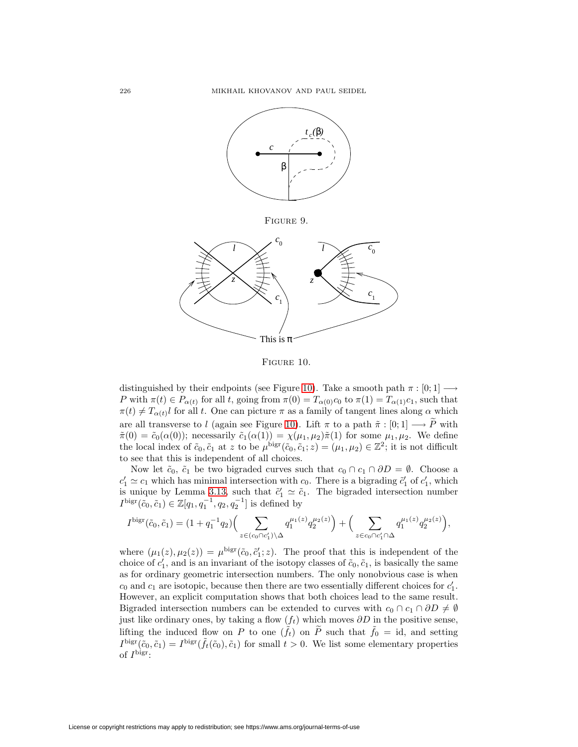

<span id="page-23-0"></span>Figure 9.



<span id="page-23-1"></span>Figure 10.

distinguished by their endpoints (see Figure [10\)](#page-23-1). Take a smooth path  $\pi : [0; 1] \longrightarrow$ P with  $\pi(t) \in P_{\alpha(t)}$  for all t, going from  $\pi(0) = T_{\alpha(0)}c_0$  to  $\pi(1) = T_{\alpha(1)}c_1$ , such that  $\pi(t) \neq T_{\alpha(t)}$ l for all t. One can picture  $\pi$  as a family of tangent lines along  $\alpha$  which are all transverse to l (again see Figure [10\)](#page-23-1). Lift  $\pi$  to a path  $\tilde{\pi} : [0;1] \longrightarrow \tilde{P}$  with  $\tilde{\pi}(0) = \tilde{c}_0(\alpha(0))$ ; necessarily  $\tilde{c}_1(\alpha(1)) = \chi(\mu_1, \mu_2) \tilde{\pi}(1)$  for some  $\mu_1, \mu_2$ . We define the local index of  $\tilde{c}_0, \tilde{c}_1$  at z to be  $\mu^{\text{bigr}}(\tilde{c}_0, \tilde{c}_1; z)=(\mu_1, \mu_2) \in \mathbb{Z}^2$ ; it is not difficult to see that this is independent of all choices.

Now let  $\tilde{c}_0$ ,  $\tilde{c}_1$  be two bigraded curves such that  $c_0 \cap c_1 \cap \partial D = \emptyset$ . Choose a  $c'_1 \simeq c_1$  which has minimal intersection with  $c_0$ . There is a bigrading  $\tilde{c}'_1$  of  $c'_1$ , which is unique by Lemma [3.13,](#page-22-0) such that  $\tilde{c}'_1 \simeq \tilde{c}_1$ . The bigraded intersection number  $I^{\text{bigr}}(\tilde{c}_0, \tilde{c}_1) \in \mathbb{Z}[q_1, q_1^{-1}, q_2, q_2^{-1}]$  is defined by

$$
I^{\mathrm{bigr}}(\tilde{c}_0,\tilde{c}_1) = (1+q_1^{-1}q_2) \Big( \sum_{z \in (c_0 \cap c'_1) \setminus \Delta} q_1^{\mu_1(z)} q_2^{\mu_2(z)} \Big) + \Big( \sum_{z \in c_0 \cap c'_1 \cap \Delta} q_1^{\mu_1(z)} q_2^{\mu_2(z)} \Big),
$$

where  $(\mu_1(z), \mu_2(z)) = \mu^{\text{bigr}}(\tilde{c}_0, \tilde{c}'_1; z)$ . The proof that this is independent of the choice of  $c'_1$ , and is an invariant of the isotopy classes of  $\tilde{c}_0, \tilde{c}_1$ , is basically the same as for ordinary geometric intersection numbers. The only nonobvious case is when  $c_0$  and  $c_1$  are isotopic, because then there are two essentially different choices for  $c_1'$ . However, an explicit computation shows that both choices lead to the same result. Bigraded intersection numbers can be extended to curves with  $c_0 \cap c_1 \cap \partial D \neq \emptyset$ just like ordinary ones, by taking a flow  $(f_t)$  which moves  $\partial D$  in the positive sense, lifting the induced flow on P to one  $(\tilde{f}_t)$  on  $\tilde{P}$  such that  $\tilde{f}_0 = id$ , and setting  $I^{\text{bigr}}(\tilde{c}_0, \tilde{c}_1) = I^{\text{bigr}}(\tilde{f}_t(\tilde{c}_0), \tilde{c}_1)$  for small  $t > 0$ . We list some elementary properties of  $I^{\text{bigr}}$ :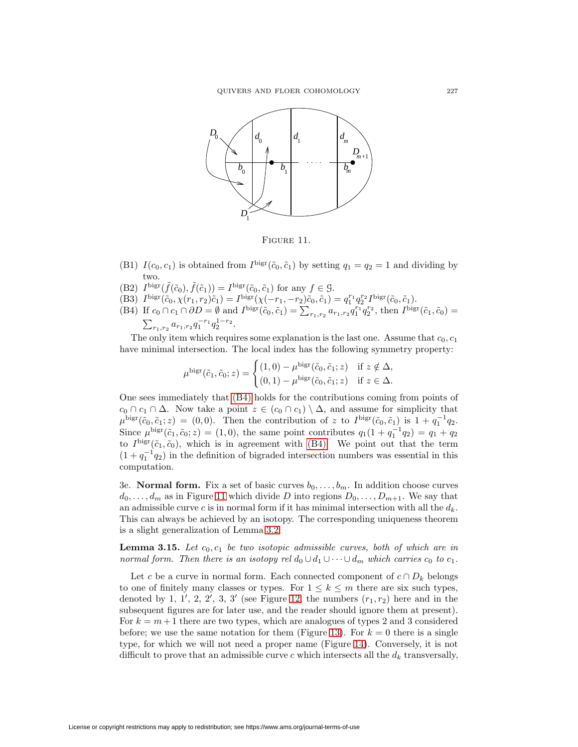

<span id="page-24-1"></span>FIGURE 11.

- <span id="page-24-3"></span>(B1)  $I(c_0, c_1)$  is obtained from  $I^{\text{bigr}}(\tilde{c}_0, \tilde{c}_1)$  by setting  $q_1 = q_2 = 1$  and dividing by two.
- <span id="page-24-4"></span>(B2)  $I^{\text{bigr}}(\tilde{f}(\tilde{c}_0), \tilde{f}(\tilde{c}_1)) = I^{\text{bigr}}(\tilde{c}_0, \tilde{c}_1)$  for any  $f \in \mathcal{G}$ .
- (B3)  $I^{\text{bigr}}(\tilde{c}_0, \chi(r_1, r_2)\tilde{c}_1) = I^{\text{bigr}}(\chi(-r_1, -r_2)\tilde{c}_0, \tilde{c}_1) = q_1^{r_1}q_2^{r_2}I^{\text{bigr}}(\tilde{c}_0, \tilde{c}_1).$
- <span id="page-24-0"></span>(B4) If  $c_0 \cap c_1 \cap \partial D = \emptyset$  and  $I^{\text{bigr}}(\tilde{c}_0, \tilde{c}_1) = \sum_{r_1, r_2} a_{r_1, r_2} q_1^{r_1} q_2^{r_2}$ , then  $I^{\text{bigr}}(\tilde{c}_1, \tilde{c}_0) =$  $\sum_{r_1,r_2} a_{r_1,r_2} q_1^{-r_1} q_2^{1-r_2}.$

The only item which requires some explanation is the last one. Assume that  $c_0, c_1$ have minimal intersection. The local index has the following symmetry property:

$$
\mu^{\text{bigr}}(\tilde{c}_1, \tilde{c}_0; z) = \begin{cases} (1,0) - \mu^{\text{bigr}}(\tilde{c}_0, \tilde{c}_1; z) & \text{if } z \notin \Delta, \\ (0,1) - \mu^{\text{bigr}}(\tilde{c}_0, \tilde{c}_1; z) & \text{if } z \in \Delta. \end{cases}
$$

One sees immediately that [\(B4\)](#page-24-0) holds for the contributions coming from points of  $c_0 \cap c_1 \cap \Delta$ . Now take a point  $z \in (c_0 \cap c_1) \setminus \Delta$ , and assume for simplicity that  $\mu^{\text{bigr}}(\tilde{c}_0, \tilde{c}_1; z) = (0, 0)$ . Then the contribution of z to  $I^{\text{bigr}}(\tilde{c}_0, \tilde{c}_1)$  is  $1 + q_1^{-1}q_2$ . Since  $\mu^{\text{bigr}}(\tilde{c}_1, \tilde{c}_0; z) = (1, 0)$ , the same point contributes  $q_1(1 + q_1^{-1}q_2) = q_1 + q_2$ to  $I<sup>big</sup>(\tilde{c}_1, \tilde{c}_0)$ , which is in agreement with [\(B4\).](#page-24-0) We point out that the term  $(1 + q_1^{-1}q_2)$  in the definition of bigraded intersection numbers was essential in this computation.

<span id="page-24-5"></span>3e. **Normal form.** Fix a set of basic curves  $b_0, \ldots, b_m$ . In addition choose curves  $d_0, \ldots, d_m$  as in Figure [11](#page-24-1) which divide D into regions  $D_0, \ldots, D_{m+1}$ . We say that an admissible curve c is in normal form if it has minimal intersection with all the  $d_k$ . This can always be achieved by an isotopy. The corresponding uniqueness theorem is a slight generalization of Lemma [3.2:](#page-16-1)

<span id="page-24-2"></span>**Lemma 3.15.** Let  $c_0, c_1$  be two isotopic admissible curves, both of which are in normal form. Then there is an isotopy rel  $d_0 \cup d_1 \cup \cdots \cup d_m$  which carries  $c_0$  to  $c_1$ .

Let c be a curve in normal form. Each connected component of  $c \cap D_k$  belongs to one of finitely many classes or types. For  $1 \leq k \leq m$  there are six such types, denoted by 1, 1', 2, 2', 3, 3' (see Figure [12;](#page-25-0) the numbers  $(r_1, r_2)$  here and in the subsequent figures are for later use, and the reader should ignore them at present). For  $k = m+1$  there are two types, which are analogues of types 2 and 3 considered before; we use the same notation for them (Figure [13\)](#page-25-1). For  $k = 0$  there is a single type, for which we will not need a proper name (Figure [14\)](#page-25-2). Conversely, it is not difficult to prove that an admissible curve c which intersects all the  $d_k$  transversally,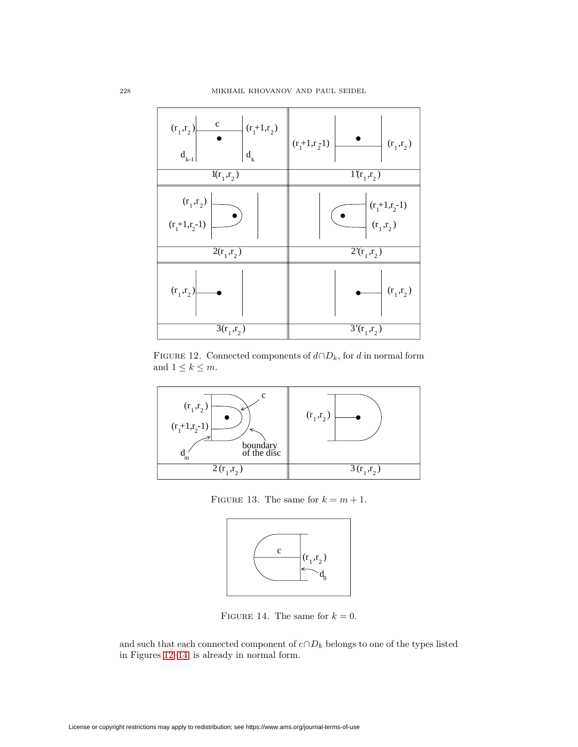| $\mathbf{C}$<br>$(r_1+1,r_2)$<br>$(r_1,r_2)$<br>$d_{k}$<br>$\mathbf{d}_{_{k-1}}$ | $(r_1+1,r_2-1)$<br>$(r_1,r_2)$                         |  |  |  |  |
|----------------------------------------------------------------------------------|--------------------------------------------------------|--|--|--|--|
| $\overline{1(r_1, r_2)}$                                                         | $\overline{1(r_1, r_2)}$                               |  |  |  |  |
| $(r_1,r_2)$<br>$(r_1+1,r_2-1)$                                                   | $(r_1+1,r_2-1)$<br>$(r_1,r_2)$                         |  |  |  |  |
| $\overline{2}(\mathbf{r}_1,\mathbf{r}_2)$                                        | $\overline{2^{\prime}(\mathbf{r}_{1},\mathbf{r}_{2})}$ |  |  |  |  |
| $(r_1,r_2)$                                                                      | $(r_1,r_2)$                                            |  |  |  |  |
| $\overline{3}({\bf r}_1,{\bf r}_2)$                                              | $3'(r_1,r_2)$                                          |  |  |  |  |

<span id="page-25-0"></span>FIGURE 12. Connected components of  $d \cap D_k$ , for d in normal form and  $1 \leq k \leq m$ .



<span id="page-25-1"></span>FIGURE 13. The same for  $k = m + 1$ .



<span id="page-25-2"></span>FIGURE 14. The same for  $k = 0$ .

and such that each connected component of  $c \cap D_k$  belongs to one of the types listed in Figures [12–](#page-25-0)[14,](#page-25-2) is already in normal form.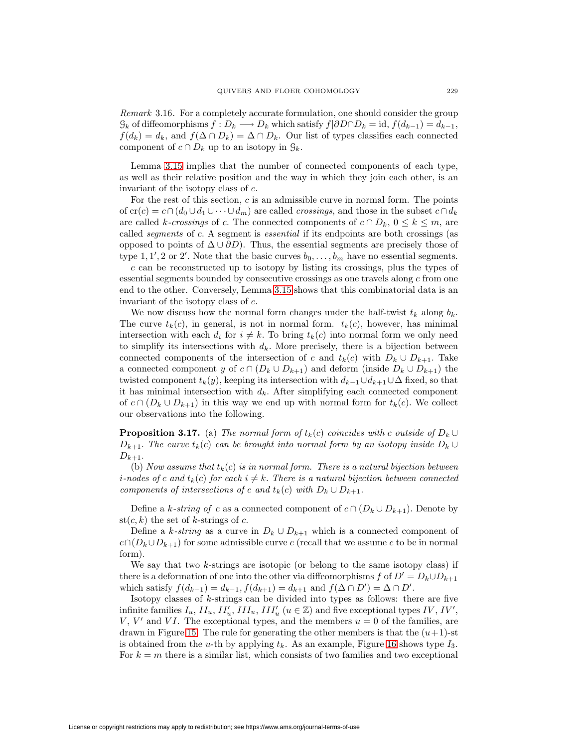Remark 3.16. For a completely accurate formulation, one should consider the group  $\mathcal{G}_k$  of diffeomorphisms  $f: D_k \longrightarrow D_k$  which satisfy  $f|\partial D \cap D_k = id$ ,  $f(d_{k-1}) = d_{k-1}$ ,  $f(d_k) = d_k$ , and  $f(\Delta \cap D_k) = \Delta \cap D_k$ . Our list of types classifies each connected component of  $c \cap D_k$  up to an isotopy in  $\mathcal{G}_k$ .

Lemma [3.15](#page-24-2) implies that the number of connected components of each type, as well as their relative position and the way in which they join each other, is an invariant of the isotopy class of c.

For the rest of this section,  $c$  is an admissible curve in normal form. The points of cr(c) = c∩(d<sub>0</sub> ∪d<sub>1</sub> ∪···∪d<sub>m</sub>) are called crossings, and those in the subset c∩d<sub>k</sub> are called k-crossings of c. The connected components of  $c \cap D_k$ ,  $0 \le k \le m$ , are called segments of c. A segment is essential if its endpoints are both crossings (as opposed to points of  $\Delta \cup \partial D$ . Thus, the essential segments are precisely those of type 1, 1', 2 or 2'. Note that the basic curves  $b_0, \ldots, b_m$  have no essential segments.

c can be reconstructed up to isotopy by listing its crossings, plus the types of essential segments bounded by consecutive crossings as one travels along c from one end to the other. Conversely, Lemma [3.15](#page-24-2) shows that this combinatorial data is an invariant of the isotopy class of c.

We now discuss how the normal form changes under the half-twist  $t_k$  along  $b_k$ . The curve  $t_k(c)$ , in general, is not in normal form.  $t_k(c)$ , however, has minimal intersection with each  $d_i$  for  $i \neq k$ . To bring  $t_k(c)$  into normal form we only need to simplify its intersections with  $d_k$ . More precisely, there is a bijection between connected components of the intersection of c and  $t_k(c)$  with  $D_k \cup D_{k+1}$ . Take a connected component y of  $c \cap (D_k \cup D_{k+1})$  and deform (inside  $D_k \cup D_{k+1}$ ) the twisted component  $t_k(y)$ , keeping its intersection with  $d_{k-1} \cup d_{k+1} \cup \Delta$  fixed, so that it has minimal intersection with  $d_k$ . After simplifying each connected component of  $c \cap (D_k \cup D_{k+1})$  in this way we end up with normal form for  $t_k(c)$ . We collect our observations into the following.

<span id="page-26-0"></span>**Proposition 3.17.** (a) The normal form of  $t_k(c)$  coincides with c outside of  $D_k \cup$  $D_{k+1}$ . The curve  $t_k(c)$  can be brought into normal form by an isotopy inside  $D_k \cup$  $D_{k+1}$ .

(b) Now assume that  $t_k(c)$  is in normal form. There is a natural bijection between *i*-nodes of c and  $t_k(c)$  for each  $i \neq k$ . There is a natural bijection between connected components of intersections of c and  $t_k(c)$  with  $D_k \cup D_{k+1}$ .

Define a k-string of c as a connected component of  $c \cap (D_k \cup D_{k+1})$ . Denote by st( $c, k$ ) the set of k-strings of c.

Define a k-string as a curve in  $D_k \cup D_{k+1}$  which is a connected component of  $c \cap (D_k \cup D_{k+1})$  for some admissible curve c (recall that we assume c to be in normal form).

We say that two  $k$ -strings are isotopic (or belong to the same isotopy class) if there is a deformation of one into the other via diffeomorphisms f of  $D' = D_k \cup D_{k+1}$ which satisfy  $f(d_{k-1}) = d_{k-1}$ ,  $f(d_{k+1}) = d_{k+1}$  and  $f(\Delta \cap D') = \Delta \cap D'$ .

Isotopy classes of k-strings can be divided into types as follows: there are five infinite families  $I_u$ ,  $II_u$ ,  $II'_u$ ,  $III_u$ ,  $III'_u$   $(u \in \mathbb{Z})$  and five exceptional types  $IV, IV',$ V, V' and VI. The exceptional types, and the members  $u = 0$  of the families, are drawn in Figure [15.](#page-27-0) The rule for generating the other members is that the  $(u+1)$ -st is obtained from the u-th by applying  $t_k$ . As an example, Figure [16](#page-27-1) shows type  $I_3$ . For  $k = m$  there is a similar list, which consists of two families and two exceptional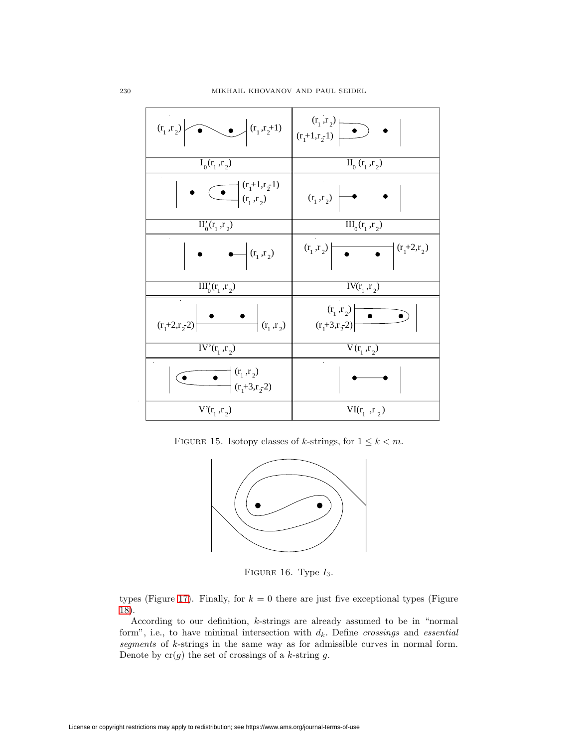| $(r_1, r_2)$<br>$\left( \mathbf{r}_{1},\mathbf{r}_{2}+1\right)$        | $(r_1, r_2)$<br>$(r_1+1,r_2-1)$                                         |
|------------------------------------------------------------------------|-------------------------------------------------------------------------|
| $I_0(r_1, r_2)$                                                        | $\overline{\mathrm{II}_{0}}\left( \mathrm{r_{1}},\mathrm{r_{2}}\right)$ |
| $\bigodot$ $\begin{pmatrix} (r_1+1,r_2-1) \\ (r_1, r_2) \end{pmatrix}$ | $(r_1, r_2)$                                                            |
| $II'_0(r_1, r_2)$                                                      | $III_0(r_1, r_2)$                                                       |
| $\leftarrow$ $(r_1, r_2)$                                              | $(r_1, r_2)$<br>$(r_1+2,r_2)$                                           |
| $\overline{\mathrm{III}_{0}^{*}(\mathrm{r}_{1}^{},\mathrm{r}_{2}^{})}$ | $IV(r_1, r_2)$                                                          |
| $(r_1, r_2)$<br>$(r_1+2,r_2-2)$                                        | $(r_1, r_2)$<br>$(r_1+3,r_2-2)$                                         |
| $\overline{IV'(r_1, r_2)}$                                             | $\overline{V}(r_1, r_2)$                                                |
| $(r_1, r_2)$<br>$\bullet$<br>$\left( r_1 + 3, r_2 - 2 \right)$         |                                                                         |
| $V(r_1, r_2)$                                                          | $VI(r_1, r_2)$                                                          |

<span id="page-27-0"></span>FIGURE 15. Isotopy classes of *k*-strings, for  $1 \leq k < m$ .



<span id="page-27-1"></span>FIGURE 16. Type  $I_3$ .

types (Figure [17\)](#page-28-0). Finally, for  $k = 0$  there are just five exceptional types (Figure [18\)](#page-28-1).

<span id="page-27-2"></span>According to our definition, k-strings are already assumed to be in "normal form", i.e., to have minimal intersection with  $d_k$ . Define *crossings* and *essential* segments of k-strings in the same way as for admissible curves in normal form. Denote by  $cr(g)$  the set of crossings of a k-string g.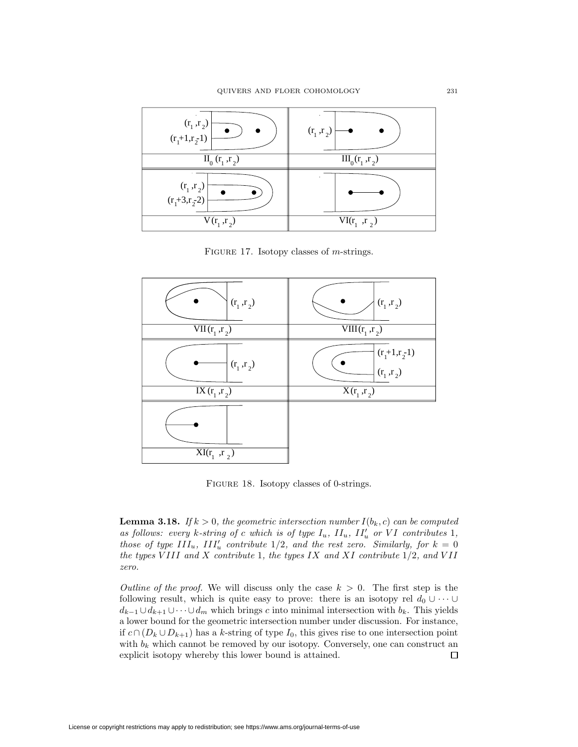

<span id="page-28-0"></span>FIGURE 17. Isotopy classes of *m*-strings.



<span id="page-28-1"></span>FIGURE 18. Isotopy classes of 0-strings.

**Lemma 3.18.** If  $k > 0$ , the geometric intersection number  $I(b_k, c)$  can be computed as follows: every k-string of c which is of type  $I_u$ ,  $II_u$ ,  $II'_u$  or VI contributes 1, those of type  $III_u$ ,  $III'_u$  contribute 1/2, and the rest zero. Similarly, for  $k = 0$ the types VIII and X contribute 1, the types IX and XI contribute  $1/2$ , and VII zero.

Outline of the proof. We will discuss only the case  $k > 0$ . The first step is the following result, which is quite easy to prove: there is an isotopy rel  $d_0 \cup \cdots \cup$  $d_{k-1} \cup d_{k+1} \cup \cdots \cup d_m$  which brings c into minimal intersection with  $b_k$ . This yields a lower bound for the geometric intersection number under discussion. For instance, if  $c ∩ (D_k ∪ D_{k+1})$  has a k-string of type  $I_0$ , this gives rise to one intersection point with  $b_k$  which cannot be removed by our isotopy. Conversely, one can construct an explicit isotopy whereby this lower bound is attained.  $\Box$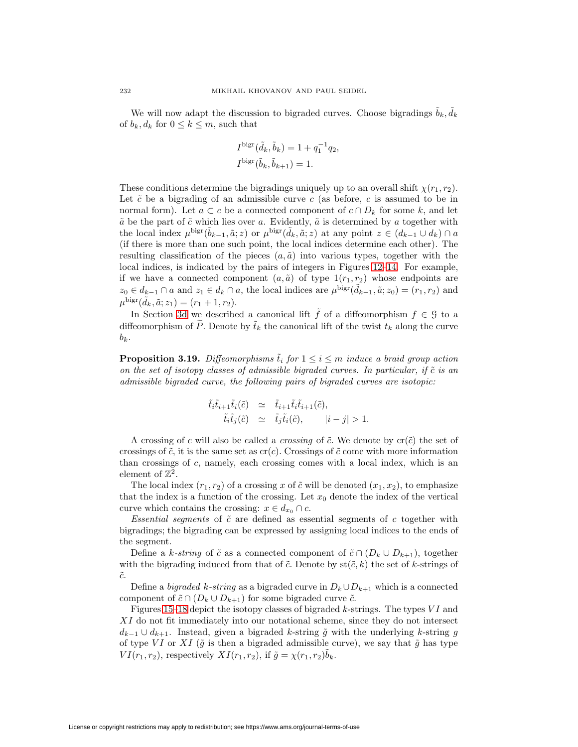We will now adapt the discussion to bigraded curves. Choose bigradings  $\tilde{b}_k, \tilde{d}_k$ of  $b_k, d_k$  for  $0 \leq k \leq m$ , such that

$$
I^{\text{bigr}}(\tilde{d}_k, \tilde{b}_k) = 1 + q_1^{-1} q_2,
$$
  

$$
I^{\text{bigr}}(\tilde{b}_k, \tilde{b}_{k+1}) = 1.
$$

These conditions determine the bigradings uniquely up to an overall shift  $\chi(r_1, r_2)$ . Let  $\tilde{c}$  be a bigrading of an admissible curve c (as before, c is assumed to be in normal form). Let  $a \subset c$  be a connected component of  $c \cap D_k$  for some k, and let  $\tilde{a}$  be the part of  $\tilde{c}$  which lies over a. Evidently,  $\tilde{a}$  is determined by a together with the local index  $\mu^{bigr}(\tilde{b}_{k-1}, \tilde{a}; z)$  or  $\mu^{bigr}(\tilde{d}_k, \tilde{a}; z)$  at any point  $z \in (d_{k-1} \cup d_k) \cap a$ (if there is more than one such point, the local indices determine each other). The resulting classification of the pieces  $(a, \tilde{a})$  into various types, together with the local indices, is indicated by the pairs of integers in Figures [12](#page-25-0)[–14.](#page-25-2) For example, if we have a connected component  $(a, \tilde{a})$  of type  $1(r_1, r_2)$  whose endpoints are  $z_0 \in d_{k-1} \cap a$  and  $z_1 \in d_k \cap a$ , the local indices are  $\mu^{\text{bigr}}(\tilde{d}_{k-1}, \tilde{a}; z_0) = (r_1, r_2)$  and  $\mu^{\text{bigr}}(\tilde{d}_k, \tilde{a}; z_1) = (r_1 + 1, r_2).$ 

In Section [3d](#page-21-1) we described a canonical lift  $\tilde{f}$  of a diffeomorphism  $f \in \mathcal{G}$  to a diffeomorphism of  $\widetilde{P}$ . Denote by  $\widetilde{t}_k$  the canonical lift of the twist  $t_k$  along the curve  $b_k$ .

<span id="page-29-0"></span>**Proposition 3.19.** Diffeomorphisms  $\tilde{t}_i$  for  $1 \leq i \leq m$  induce a braid group action on the set of isotopy classes of admissible bigraded curves. In particular, if  $\tilde{c}$  is an admissible bigraded curve, the following pairs of bigraded curves are isotopic:

$$
\begin{array}{rcl}\tilde{t}_i\tilde{t}_{i+1}\tilde{t}_i(\tilde{c}) & \simeq & \tilde{t}_{i+1}\tilde{t}_i\tilde{t}_{i+1}(\tilde{c}), \\
\tilde{t}_i\tilde{t}_j(\tilde{c}) & \simeq & \tilde{t}_j\tilde{t}_i(\tilde{c}),\n\end{array}\n\quad\n|i-j| > 1.
$$

A crossing of c will also be called a *crossing* of  $\tilde{c}$ . We denote by  $cr(\tilde{c})$  the set of crossings of  $\tilde{c}$ , it is the same set as  $cr(c)$ . Crossings of  $\tilde{c}$  come with more information than crossings of c, namely, each crossing comes with a local index, which is an element of  $\mathbb{Z}^2$ .

The local index  $(r_1, r_2)$  of a crossing x of  $\tilde{c}$  will be denoted  $(x_1, x_2)$ , to emphasize that the index is a function of the crossing. Let  $x_0$  denote the index of the vertical curve which contains the crossing:  $x \in d_{x_0} \cap c$ .

Essential segments of  $\tilde{c}$  are defined as essential segments of  $c$  together with bigradings; the bigrading can be expressed by assigning local indices to the ends of the segment.

Define a k-string of  $\tilde{c}$  as a connected component of  $\tilde{c} \cap (D_k \cup D_{k+1})$ , together with the bigrading induced from that of  $\tilde{c}$ . Denote by  $\text{st}(\tilde{c}, k)$  the set of k-strings of  $\tilde{c}.$ 

Define a *bigraded k-string* as a bigraded curve in  $D_k \cup D_{k+1}$  which is a connected component of  $\tilde{c} \cap (D_k \cup D_{k+1})$  for some bigraded curve  $\tilde{c}$ .

Figures [15](#page-27-0)[–18](#page-28-1) depict the isotopy classes of bigraded k-strings. The types  $VI$  and XI do not fit immediately into our notational scheme, since they do not intersect  $d_{k-1} \cup d_{k+1}$ . Instead, given a bigraded k-string  $\tilde{g}$  with the underlying k-string g of type VI or XI ( $\tilde{g}$  is then a bigraded admissible curve), we say that  $\tilde{g}$  has type  $VI(r_1, r_2)$ , respectively  $XI(r_1, r_2)$ , if  $\tilde{g} = \chi(r_1, r_2)\tilde{b}_k$ .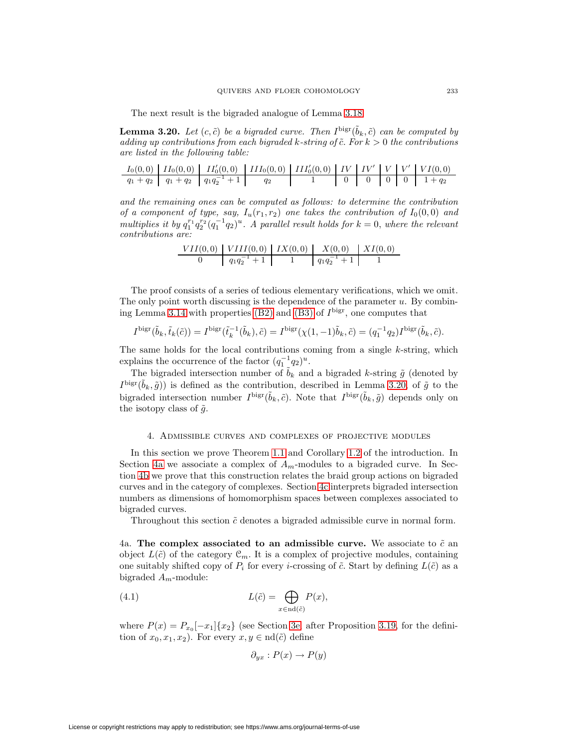The next result is the bigraded analogue of Lemma [3.18.](#page-27-2)

<span id="page-30-1"></span>**Lemma 3.20.** Let  $(c, \tilde{c})$  be a bigraded curve. Then  $I^{\text{big}}(\tilde{b}_k, \tilde{c})$  can be computed by adding up contributions from each bigraded k-string of  $\tilde{c}$ . For  $k > 0$  the contributions are listed in the following table:

|  | $I_0(0,0)$   $II_0(0,0)$   $II'_0(0,0)$   $III_0(0,0)$   $III'_0(0,0)$   $IV$   $IV'$   $V'$   $VI(0,0)$ |  |  |  |                               |
|--|----------------------------------------------------------------------------------------------------------|--|--|--|-------------------------------|
|  | $q_1+q_2$   $q_1+q_2$   $q_1q_2^{-1}+1$                                                                  |  |  |  | $0 \t 0 \t 0 \t 0 \t 1 + q_2$ |

and the remaining ones can be computed as follows: to determine the contribution of a component of type, say,  $I_u(r_1, r_2)$  one takes the contribution of  $I_0(0, 0)$  and multiplies it by  $q_1^{r_1}q_2^{r_2}(q_1^{-1}q_2)^u$ . A parallel result holds for  $k = 0$ , where the relevant contributions are:

| $VII(0,0)$ $VIII(0,0)$ $IX(0,0)$ $X(0,0)$ $X(0,0)$ |                 |  |
|----------------------------------------------------|-----------------|--|
| $q_1q_2^{-1} +$                                    | $q_1q_2^{-1}+1$ |  |

The proof consists of a series of tedious elementary verifications, which we omit. The only point worth discussing is the dependence of the parameter  $u$ . By combin-ing Lemma [3.14](#page-22-1) with properties [\(B2\)](#page-24-3) and [\(B3\)](#page-24-4) of  $I<sup>big</sup>$ , one computes that

$$
I^{\text{bigr}}(\tilde{b}_k, \tilde{t}_k(\tilde{c})) = I^{\text{bigr}}(\tilde{t}_k^{-1}(\tilde{b}_k), \tilde{c}) = I^{\text{bigr}}(\chi(1, -1)\tilde{b}_k, \tilde{c}) = (q_1^{-1}q_2)I^{\text{bigr}}(\tilde{b}_k, \tilde{c}).
$$

The same holds for the local contributions coming from a single k-string, which explains the occurrence of the factor  $(q_1^{-1}q_2)^u$ .

The bigraded intersection number of  $\tilde{b}_k$  and a bigraded k-string  $\tilde{g}$  (denoted by  $I^{\text{bigr}}(\tilde{b}_k, \tilde{g})$  is defined as the contribution, described in Lemma [3.20,](#page-30-1) of  $\tilde{g}$  to the bigraded intersection number  $I^{\text{bigr}}(\tilde{b}_k, \tilde{c})$ . Note that  $I^{\text{bigr}}(\tilde{b}_k, \tilde{g})$  depends only on the isotopy class of  $\tilde{q}$ .

#### 4. Admissible curves and complexes of projective modules

<span id="page-30-0"></span>In this section we prove Theorem [1.1](#page-3-1) and Corollary [1.2](#page-3-2) of the introduction. In Section [4a](#page-30-2) we associate a complex of  $A_m$ -modules to a bigraded curve. In Section [4b](#page-33-0) we prove that this construction relates the braid group actions on bigraded curves and in the category of complexes. Section [4c](#page-40-0) interprets bigraded intersection numbers as dimensions of homomorphism spaces between complexes associated to bigraded curves.

Throughout this section  $\tilde{c}$  denotes a bigraded admissible curve in normal form.

<span id="page-30-2"></span>4a. **The complex associated to an admissible curve.** We associate to  $\tilde{c}$  an object  $L(\tilde{c})$  of the category  $\mathcal{C}_m$ . It is a complex of projective modules, containing one suitably shifted copy of  $P_i$  for every *i*-crossing of  $\tilde{c}$ . Start by defining  $L(\tilde{c})$  as a bigraded  $A_m$ -module:

<span id="page-30-3"></span>(4.1) 
$$
L(\tilde{c}) = \bigoplus_{x \in \text{nd}(\tilde{c})} P(x),
$$

where  $P(x) = P_{x_0}[-x_1]\{x_2\}$  (see Section [3e,](#page-24-5) after Proposition [3.19,](#page-29-0) for the definition of  $x_0, x_1, x_2$ . For every  $x, y \in \text{nd}(\tilde{c})$  define

$$
\partial_{yx}: P(x) \to P(y)
$$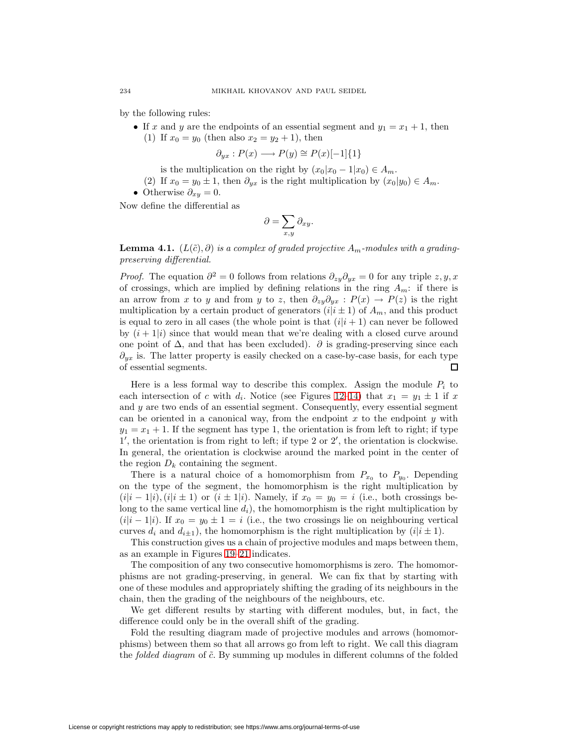by the following rules:

• If x and y are the endpoints of an essential segment and  $y_1 = x_1 + 1$ , then (1) If  $x_0 = y_0$  (then also  $x_2 = y_2 + 1$ ), then

$$
\partial_{yx}: P(x) \longrightarrow P(y) \cong P(x)[-1]\{1\}
$$

- is the multiplication on the right by  $(x_0|x_0 1|x_0) \in A_m$ .
- (2) If  $x_0 = y_0 \pm 1$ , then  $\partial_{yx}$  is the right multiplication by  $(x_0|y_0) \in A_m$ .
- Otherwise  $\partial_{xy} = 0$ .

Now define the differential as

$$
\partial = \sum_{x,y} \partial_{xy}.
$$

**Lemma 4.1.**  $(L(\tilde{c}), \partial)$  is a complex of graded projective  $A_m$ -modules with a gradingpreserving differential.

*Proof.* The equation  $\partial^2 = 0$  follows from relations  $\partial_{zy}\partial_{yx} = 0$  for any triple  $z, y, x$ of crossings, which are implied by defining relations in the ring  $A_m$ : if there is an arrow from x to y and from y to z, then  $\partial_{zy}\partial_{yx}$  :  $P(x) \rightarrow P(z)$  is the right multiplication by a certain product of generators  $(i|i \pm 1)$  of  $A_m$ , and this product is equal to zero in all cases (the whole point is that  $(i|i + 1)$  can never be followed by  $(i + 1|i)$  since that would mean that we're dealing with a closed curve around one point of  $\Delta$ , and that has been excluded).  $\partial$  is grading-preserving since each  $\partial_{yx}$  is. The latter property is easily checked on a case-by-case basis, for each type of essential segments.  $\Box$ 

Here is a less formal way to describe this complex. Assign the module  $P_i$  to each intersection of c with  $d_i$ . Notice (see Figures [12–](#page-25-0)[14\)](#page-25-2) that  $x_1 = y_1 \pm 1$  if x and y are two ends of an essential segment. Consequently, every essential segment can be oriented in a canonical way, from the endpoint  $x$  to the endpoint  $y$  with  $y_1 = x_1 + 1$ . If the segment has type 1, the orientation is from left to right; if type  $1'$ , the orientation is from right to left; if type 2 or  $2'$ , the orientation is clockwise. In general, the orientation is clockwise around the marked point in the center of the region  $D_k$  containing the segment.

There is a natural choice of a homomorphism from  $P_{x_0}$  to  $P_{y_0}$ . Depending on the type of the segment, the homomorphism is the right multiplication by  $(i|i-1|i), (i|i \pm 1)$  or  $(i \pm 1|i)$ . Namely, if  $x_0 = y_0 = i$  (i.e., both crossings belong to the same vertical line  $d_i$ ), the homomorphism is the right multiplication by  $(i|i-1|i)$ . If  $x_0 = y_0 \pm 1 = i$  (i.e., the two crossings lie on neighbouring vertical curves  $d_i$  and  $d_{i\pm 1}$ ), the homomorphism is the right multiplication by  $(i|i \pm 1)$ .

This construction gives us a chain of projective modules and maps between them, as an example in Figures [19–](#page-32-0)[21](#page-32-1) indicates.

The composition of any two consecutive homomorphisms is zero. The homomorphisms are not grading-preserving, in general. We can fix that by starting with one of these modules and appropriately shifting the grading of its neighbours in the chain, then the grading of the neighbours of the neighbours, etc.

We get different results by starting with different modules, but, in fact, the difference could only be in the overall shift of the grading.

Fold the resulting diagram made of projective modules and arrows (homomorphisms) between them so that all arrows go from left to right. We call this diagram the *folded diagram* of  $\tilde{c}$ . By summing up modules in different columns of the folded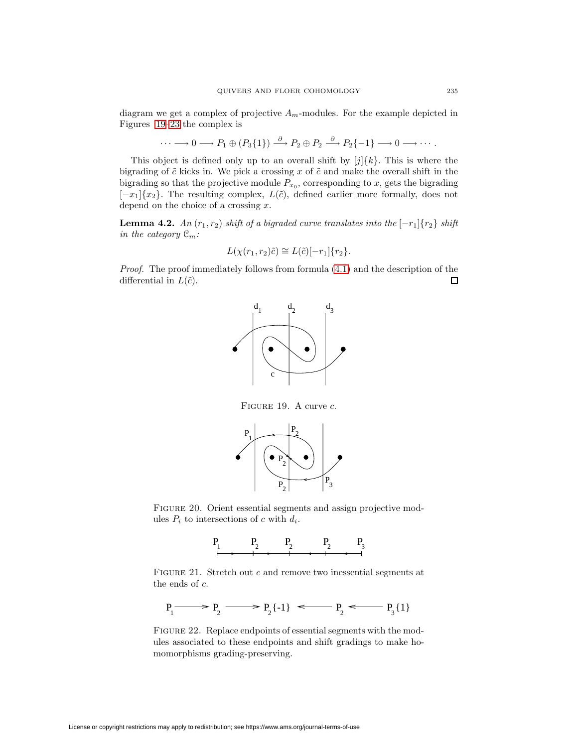diagram we get a complex of projective  $A_m$ -modules. For the example depicted in Figures [19](#page-32-0)[–23](#page-33-1) the complex is

$$
\cdots \longrightarrow 0 \longrightarrow P_1 \oplus (P_3\{1\}) \stackrel{\partial}{\longrightarrow} P_2 \oplus P_2 \stackrel{\partial}{\longrightarrow} P_2\{-1\} \longrightarrow 0 \longrightarrow \cdots.
$$

This object is defined only up to an overall shift by  $[j](k)$ . This is where the bigrading of  $\tilde{c}$  kicks in. We pick a crossing x of  $\tilde{c}$  and make the overall shift in the bigrading so that the projective module  $P_{x_0}$ , corresponding to x, gets the bigrading  $[-x_1]\{x_2\}$ . The resulting complex,  $L(\tilde{c})$ , defined earlier more formally, does not depend on the choice of a crossing  $x$ .

<span id="page-32-2"></span>**Lemma 4.2.** An  $(r_1, r_2)$  shift of a bigraded curve translates into the  $[-r_1]\{r_2\}$  shift in the category  $\mathfrak{C}_m$ :

$$
L(\chi(r_1, r_2)\tilde{c}) \cong L(\tilde{c})[-r_1]\{r_2\}.
$$

Proof. The proof immediately follows from formula  $(4.1)$  and the description of the differential in  $L(\tilde{c})$ . 口



FIGURE 19. A curve c.

<span id="page-32-0"></span>

FIGURE 20. Orient essential segments and assign projective modules  $P_i$  to intersections of c with  $d_i$ .



<span id="page-32-1"></span>FIGURE 21. Stretch out c and remove two inessential segments at the ends of c.

$$
P_1 \longrightarrow P_2 \longrightarrow P_2 \{-1\} \longleftarrow P_2 \longleftarrow P_3 \{1\}
$$

FIGURE 22. Replace endpoints of essential segments with the modules associated to these endpoints and shift gradings to make homomorphisms grading-preserving.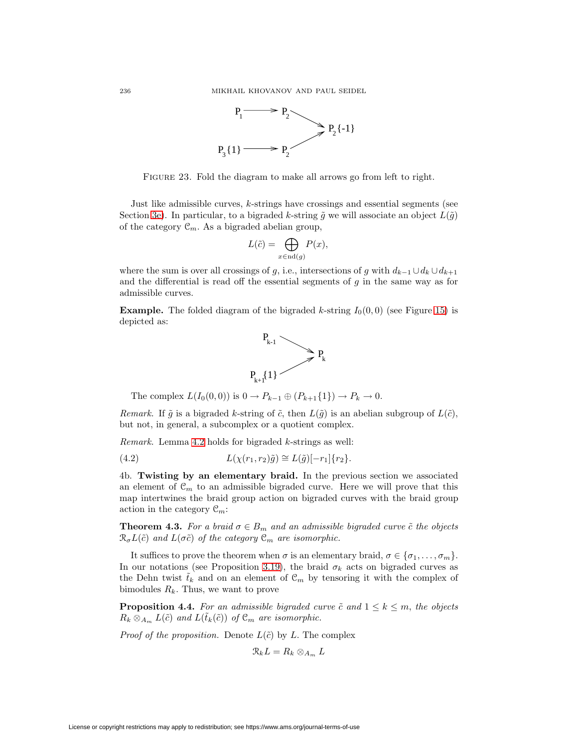

<span id="page-33-1"></span>FIGURE 23. Fold the diagram to make all arrows go from left to right.

Just like admissible curves, k-strings have crossings and essential segments (see Section [3e\)](#page-24-5). In particular, to a bigraded k-string  $\tilde{g}$  we will associate an object  $L(\tilde{g})$ of the category  $\mathcal{C}_m$ . As a bigraded abelian group,

$$
L(\tilde{c}) = \bigoplus_{x \in \text{nd}(g)} P(x),
$$

where the sum is over all crossings of g, i.e., intersections of g with  $d_{k-1} \cup d_k \cup d_{k+1}$ and the differential is read off the essential segments of  $g$  in the same way as for admissible curves.

**Example.** The folded diagram of the bigraded k-string  $I_0(0,0)$  (see Figure [15\)](#page-27-0) is depicted as:



The complex  $L(I_0(0, 0))$  is  $0 \to P_{k-1} \oplus (P_{k+1}\{1\}) \to P_k \to 0$ .

Remark. If  $\tilde{g}$  is a bigraded k-string of  $\tilde{c}$ , then  $L(\tilde{g})$  is an abelian subgroup of  $L(\tilde{c})$ , but not, in general, a subcomplex or a quotient complex.

<span id="page-33-2"></span>Remark. Lemma [4.2](#page-32-2) holds for bigraded k-strings as well:

(4.2) 
$$
L(\chi(r_1, r_2)\tilde{g}) \cong L(\tilde{g})[-r_1]\{r_2\}.
$$

<span id="page-33-0"></span>4b. **Twisting by an elementary braid.** In the previous section we associated an element of  $\mathfrak{C}_m$  to an admissible bigraded curve. Here we will prove that this map intertwines the braid group action on bigraded curves with the braid group action in the category  $\mathcal{C}_m$ :

<span id="page-33-4"></span>**Theorem 4.3.** For a braid  $\sigma \in B_m$  and an admissible bigraded curve  $\tilde{c}$  the objects  $\mathcal{R}_{\sigma}L(\tilde{c})$  and  $L(\sigma\tilde{c})$  of the category  $\mathcal{C}_m$  are isomorphic.

It suffices to prove the theorem when  $\sigma$  is an elementary braid,  $\sigma \in {\sigma_1, \ldots, \sigma_m}$ . In our notations (see Proposition [3.19\)](#page-29-0), the braid  $\sigma_k$  acts on bigraded curves as the Dehn twist  $\tilde{t}_k$  and on an element of  $\mathcal{C}_m$  by tensoring it with the complex of bimodules  $R_k$ . Thus, we want to prove

<span id="page-33-3"></span>**Proposition 4.4.** For an admissible bigraded curve  $\tilde{c}$  and  $1 \leq k \leq m$ , the objects  $R_k \otimes_{A_m} L(\tilde{c})$  and  $L(\tilde{t}_k(\tilde{c}))$  of  $\mathfrak{C}_m$  are isomorphic.

*Proof of the proposition.* Denote  $L(\tilde{c})$  by L. The complex

$$
\mathfrak{R}_k L = R_k \otimes_{A_m} L
$$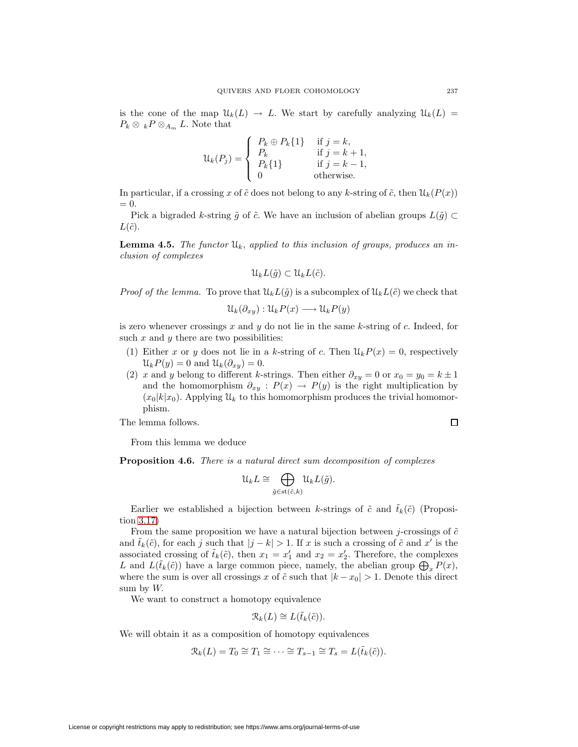is the cone of the map  $\mathcal{U}_k(L) \to L$ . We start by carefully analyzing  $\mathcal{U}_k(L) =$  $P_k \otimes {}_{k}P \otimes_{A_m}L$ . Note that

$$
\mathcal{U}_k(P_j) = \begin{cases} P_k \oplus P_k\{1\} & \text{if } j = k, \\ P_k & \text{if } j = k + 1, \\ P_k\{1\} & \text{if } j = k - 1, \\ 0 & \text{otherwise.} \end{cases}
$$

In particular, if a crossing x of  $\tilde{c}$  does not belong to any k-string of  $\tilde{c}$ , then  $\mathcal{U}_k(P(x))$  $= 0.$ 

<span id="page-34-0"></span>Pick a bigraded k-string  $\tilde{g}$  of  $\tilde{c}$ . We have an inclusion of abelian groups  $L(\tilde{g}) \subset$  $L(\tilde{c})$ .

**Lemma 4.5.** The functor  $\mathcal{U}_k$ , applied to this inclusion of groups, produces an inclusion of complexes

$$
\mathfrak{U}_k L(\tilde{g}) \subset \mathfrak{U}_k L(\tilde{c}).
$$

*Proof of the lemma.* To prove that  $\mathcal{U}_k L(\tilde{g})$  is a subcomplex of  $\mathcal{U}_k L(\tilde{c})$  we check that

$$
\mathcal{U}_k(\partial_{xy}): \mathcal{U}_k P(x) \longrightarrow \mathcal{U}_k P(y)
$$

is zero whenever crossings  $x$  and  $y$  do not lie in the same  $k$ -string of  $c$ . Indeed, for such  $x$  and  $y$  there are two possibilities:

- (1) Either x or y does not lie in a k-string of c. Then  $\mathcal{U}_k P(x)=0$ , respectively  $\mathcal{U}_k P(y) = 0$  and  $\mathcal{U}_k(\partial_{xy})=0$ .
- (2) x and y belong to different k-strings. Then either  $\partial_{xy} = 0$  or  $x_0 = y_0 = k \pm 1$ and the homomorphism  $\partial_{xy}$ :  $P(x) \rightarrow P(y)$  is the right multiplication by  $(x_0|k|x_0)$ . Applying  $\mathcal{U}_k$  to this homomorphism produces the trivial homomorphism.

The lemma follows.

From this lemma we deduce

**Proposition 4.6.** There is a natural direct sum decomposition of complexes

$$
\mathfrak{U}_k L \cong \bigoplus_{\tilde{g} \in \text{st}(\tilde{c},k)} \mathfrak{U}_k L(\tilde{g}).
$$

Earlier we established a bijection between k-strings of  $\tilde{c}$  and  $\tilde{t}_k(\tilde{c})$  (Proposition [3.17\)](#page-26-0)

From the same proposition we have a natural bijection between j-crossings of  $\tilde{c}$ and  $\tilde{t}_k(\tilde{c})$ , for each j such that  $|j - k| > 1$ . If x is such a crossing of  $\tilde{c}$  and  $x'$  is the associated crossing of  $\tilde{t}_k(\tilde{c})$ , then  $x_1 = x'_1$  and  $x_2 = x'_2$ . Therefore, the complexes L and  $L(\tilde{t}_k(\tilde{c}))$  have a large common piece, namely, the abelian group  $\bigoplus_x P(x)$ , where the sum is over all crossings x of  $\tilde{c}$  such that  $|k - x_0| > 1$ . Denote this direct sum by  $W$ .

We want to construct a homotopy equivalence

$$
\mathcal{R}_k(L) \cong L(\tilde{t}_k(\tilde{c})).
$$

We will obtain it as a composition of homotopy equivalences

$$
\mathcal{R}_k(L) = T_0 \cong T_1 \cong \cdots \cong T_{s-1} \cong T_s = L(\tilde{t}_k(\tilde{c})).
$$

License or copyright restrictions may apply to redistribution; see https://www.ams.org/journal-terms-of-use

 $\Box$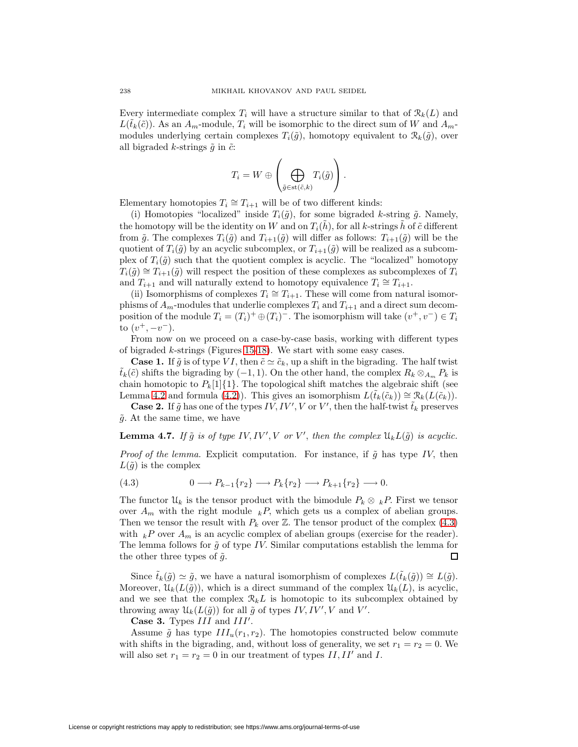Every intermediate complex  $T_i$  will have a structure similar to that of  $\mathcal{R}_k(L)$  and  $L(\tilde{t}_k(\tilde{c}))$ . As an  $A_m$ -module,  $T_i$  will be isomorphic to the direct sum of W and  $A_m$ modules underlying certain complexes  $T_i(\tilde{g})$ , homotopy equivalent to  $\mathcal{R}_k(\tilde{g})$ , over all bigraded k-strings  $\tilde{g}$  in  $\tilde{c}$ :

$$
T_i = W \oplus \left( \bigoplus_{\tilde{g} \in \text{st}(\tilde{c},k)} T_i(\tilde{g}) \right).
$$

Elementary homotopies  $T_i \cong T_{i+1}$  will be of two different kinds:

(i) Homotopies "localized" inside  $T_i(\tilde{g})$ , for some bigraded k-string  $\tilde{g}$ . Namely, the homotopy will be the identity on W and on  $T_i(h)$ , for all k-strings h of  $\tilde{c}$  different from  $\tilde{g}$ . The complexes  $T_i(\tilde{g})$  and  $T_{i+1}(\tilde{g})$  will differ as follows:  $T_{i+1}(\tilde{g})$  will be the quotient of  $T_i(\tilde{g})$  by an acyclic subcomplex, or  $T_{i+1}(\tilde{g})$  will be realized as a subcomplex of  $T_i(\tilde{g})$  such that the quotient complex is acyclic. The "localized" homotopy  $T_i(\tilde{g}) \cong T_{i+1}(\tilde{g})$  will respect the position of these complexes as subcomplexes of  $T_i$ and  $T_{i+1}$  and will naturally extend to homotopy equivalence  $T_i \cong T_{i+1}$ .

(ii) Isomorphisms of complexes  $T_i \cong T_{i+1}$ . These will come from natural isomorphisms of  $A_m$ -modules that underlie complexes  $T_i$  and  $T_{i+1}$  and a direct sum decomposition of the module  $T_i = (T_i)^+ \oplus (T_i)^-$ . The isomorphism will take  $(v^+, v^-) \in T_i$ to  $(v^+,-v^-)$ .

From now on we proceed on a case-by-case basis, working with different types of bigraded k-strings (Figures [15-](#page-27-0)[18\)](#page-28-1). We start with some easy cases.

**Case 1.** If  $\tilde{g}$  is of type VI, then  $\tilde{c} \simeq \tilde{c}_k$ , up a shift in the bigrading. The half twist  $\tilde{t}_k(\tilde{c})$  shifts the bigrading by  $(-1, 1)$ . On the other hand, the complex  $R_k \otimes_{A_m} P_k$  is chain homotopic to  $P_k[1]\{1\}$ . The topological shift matches the algebraic shift (see Lemma [4.2](#page-32-2) and formula [\(4.2\)](#page-33-2)). This gives an isomorphism  $L(\tilde{t}_k(\tilde{c}_k)) \cong \mathcal{R}_k(L(\tilde{c}_k)).$ 

**Case 2.** If  $\tilde{g}$  has one of the types IV, IV', V or V', then the half-twist  $\tilde{t}_k$  preserves  $\tilde{q}$ . At the same time, we have

### **Lemma 4.7.** If  $\tilde{g}$  is of type IV, IV', V or V', then the complex  $\mathfrak{U}_k L(\tilde{g})$  is acyclic.

<span id="page-35-0"></span>*Proof of the lemma.* Explicit computation. For instance, if  $\tilde{g}$  has type IV, then  $L(\tilde{g})$  is the complex

$$
(4.3) \t\t 0 \longrightarrow P_{k-1}\{r_2\} \longrightarrow P_k\{r_2\} \longrightarrow P_{k+1}\{r_2\} \longrightarrow 0.
$$

The functor  $\mathcal{U}_k$  is the tensor product with the bimodule  $P_k \otimes {}_k P$ . First we tensor over  $A_m$  with the right module  $k$ , which gets us a complex of abelian groups. Then we tensor the result with  $P_k$  over  $\mathbb{Z}$ . The tensor product of the complex [\(4.3\)](#page-35-0) with  $kP$  over  $A_m$  is an acyclic complex of abelian groups (exercise for the reader). The lemma follows for  $\tilde{g}$  of type IV. Similar computations establish the lemma for  $\Box$ the other three types of  $\tilde{g}$ .

Since  $\tilde{t}_k(\tilde{g}) \simeq \tilde{g}$ , we have a natural isomorphism of complexes  $L(\tilde{t}_k(\tilde{g})) \cong L(\tilde{g})$ . Moreover,  $\mathcal{U}_k(L(\tilde{g}))$ , which is a direct summand of the complex  $\mathcal{U}_k(L)$ , is acyclic, and we see that the complex  $\mathcal{R}_k L$  is homotopic to its subcomplex obtained by throwing away  $\mathcal{U}_k(L(\tilde{g}))$  for all  $\tilde{g}$  of types  $IV, IV', V$  and  $V'.$ 

**Case 3.** Types III and III'.

Assume  $\tilde{g}$  has type  $III_u(r_1, r_2)$ . The homotopies constructed below commute with shifts in the bigrading, and, without loss of generality, we set  $r_1 = r_2 = 0$ . We will also set  $r_1 = r_2 = 0$  in our treatment of types  $II, II'$  and  $I$ .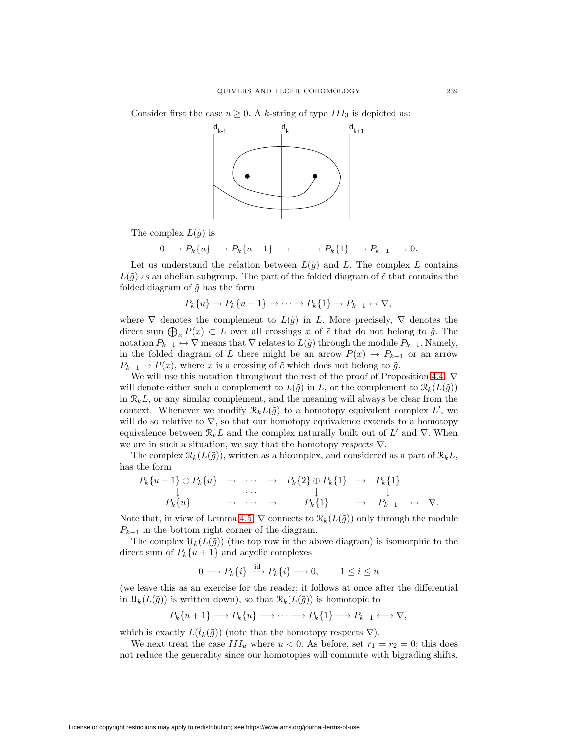Consider first the case  $u \geq 0$ . A k-string of type  $III_3$  is depicted as:



The complex  $L(\tilde{g})$  is

$$
0 \longrightarrow P_k\{u\} \longrightarrow P_k\{u-1\} \longrightarrow \cdots \longrightarrow P_k\{1\} \longrightarrow P_{k-1} \longrightarrow 0.
$$

Let us understand the relation between  $L(\tilde{g})$  and L. The complex L contains  $L(\tilde{q})$  as an abelian subgroup. The part of the folded diagram of  $\tilde{c}$  that contains the folded diagram of  $\tilde{g}$  has the form

$$
P_k\{u\} \to P_k\{u-1\} \to \cdots \to P_k\{1\} \to P_{k-1} \to \nabla,
$$

where  $\nabla$  denotes the complement to  $L(\tilde{g})$  in L. More precisely,  $\nabla$  denotes the direct sum  $\bigoplus_x P(x) \subset L$  over all crossings x of  $\tilde{c}$  that do not belong to  $\tilde{g}$ . The notation  $P_{k-1} \leftrightarrow \nabla$  means that  $\nabla$  relates to  $L(\tilde{g})$  through the module  $P_{k-1}$ . Namely, in the folded diagram of L there might be an arrow  $P(x) \to P_{k-1}$  or an arrow  $P_{k-1} \to P(x)$ , where x is a crossing of  $\tilde{c}$  which does not belong to  $\tilde{g}$ .

We will use this notation throughout the rest of the proof of Proposition [4.4.](#page-33-3)  $\nabla$ will denote either such a complement to  $L(\tilde{q})$  in L, or the complement to  $\mathcal{R}_k(L(\tilde{q}))$ in  $\mathcal{R}_k L$ , or any similar complement, and the meaning will always be clear from the context. Whenever we modify  $\mathcal{R}_k L(\tilde{g})$  to a homotopy equivalent complex L', we will do so relative to  $\nabla$ , so that our homotopy equivalence extends to a homotopy equivalence between  $\mathcal{R}_k L$  and the complex naturally built out of L' and  $\nabla$ . When we are in such a situation, we say that the homotopy respects  $\nabla$ .

The complex  $\mathcal{R}_k(L(\tilde{g}))$ , written as a bicomplex, and considered as a part of  $\mathcal{R}_kL$ , has the form

$$
P_k\{u+1\} \oplus P_k\{u\} \rightarrow \cdots \rightarrow P_k\{2\} \oplus P_k\{1\} \rightarrow P_k\{1\}
$$
  
\n
$$
\downarrow \qquad \qquad \downarrow \qquad \qquad \downarrow
$$
  
\n
$$
P_k\{u\} \rightarrow \cdots \rightarrow P_k\{1\} \rightarrow P_{k-1} \leftrightarrow \nabla.
$$

Note that, in view of Lemma [4.5,](#page-34-0)  $\nabla$  connects to  $\mathcal{R}_k(L(\tilde{g}))$  only through the module  $P_{k-1}$  in the bottom right corner of the diagram.

The complex  $\mathcal{U}_k(L(\tilde{g}))$  (the top row in the above diagram) is isomorphic to the direct sum of  $P_k\{u+1\}$  and acyclic complexes

$$
0 \longrightarrow P_k\{i\} \stackrel{\text{id}}{\longrightarrow} P_k\{i\} \longrightarrow 0, \qquad 1 \le i \le u
$$

(we leave this as an exercise for the reader; it follows at once after the differential in  $\mathcal{U}_k(L(\tilde{g}))$  is written down), so that  $\mathcal{R}_k(L(\tilde{g}))$  is homotopic to

$$
P_k\{u+1\} \longrightarrow P_k\{u\} \longrightarrow \cdots \longrightarrow P_k\{1\} \longrightarrow P_{k-1} \longleftrightarrow \nabla,
$$

which is exactly  $L(\tilde{t}_k(\tilde{g}))$  (note that the homotopy respects  $\nabla$ ).

We next treat the case  $III_u$  where  $u < 0$ . As before, set  $r_1 = r_2 = 0$ ; this does not reduce the generality since our homotopies will commute with bigrading shifts.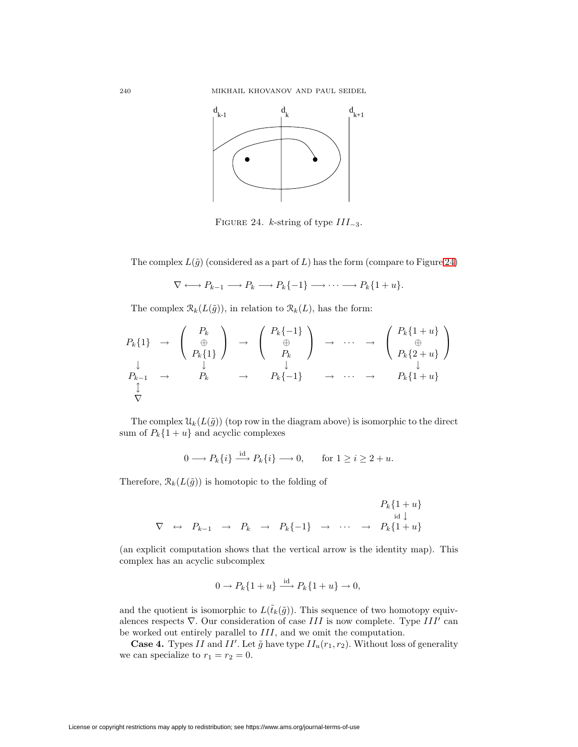

<span id="page-37-0"></span>FIGURE 24. *k*-string of type  $III_{-3}$ .

The complex  $L(\tilde{g})$  (considered as a part of L) has the form (compare to Figure [24\)](#page-37-0)

 $\nabla \longleftrightarrow P_{k-1} \longrightarrow P_k \longrightarrow P_k \{-1\} \longrightarrow \cdots \longrightarrow P_k \{1+u\}.$ 

The complex  $\mathcal{R}_k(L(\tilde{g}))$ , in relation to  $\mathcal{R}_k(L)$ , has the form:

$$
P_k\{1\} \rightarrow \begin{pmatrix} P_k \\ \oplus \\ P_k\{1\} \end{pmatrix} \rightarrow \begin{pmatrix} P_k\{-1\} \\ \oplus \\ P_k \end{pmatrix} \rightarrow \cdots \rightarrow \begin{pmatrix} P_k\{1+u\} \\ \oplus \\ P_k\{2+u\} \end{pmatrix}
$$
  
\n
$$
\downarrow \downarrow \downarrow \downarrow \downarrow \downarrow \downarrow \downarrow
$$
  
\n
$$
P_{k-1} \rightarrow P_k \rightarrow P_k\{-1\} \rightarrow \cdots \rightarrow P_k\{1+u\}
$$
  
\n
$$
\downarrow \downarrow
$$
  
\n
$$
\nabla
$$

The complex  $\mathcal{U}_k(L(\tilde{g}))$  (top row in the diagram above) is isomorphic to the direct sum of  $P_k\{1 + u\}$  and acyclic complexes

$$
0 \longrightarrow P_k\{i\} \xrightarrow{\text{id}} P_k\{i\} \longrightarrow 0, \quad \text{for } 1 \ge i \ge 2 + u.
$$

Therefore,  $\mathcal{R}_k(L(\tilde{g}))$  is homotopic to the folding of

$$
\nabla \leftrightarrow P_{k-1} \rightarrow P_k \rightarrow P_k \{-1\} \rightarrow \cdots \rightarrow P_k \{1+u\}
$$
  

$$
\nabla \leftrightarrow P_{k-1} \rightarrow P_k \rightarrow P_k \{-1\} \rightarrow \cdots \rightarrow P_k \{1+u\}
$$

(an explicit computation shows that the vertical arrow is the identity map). This complex has an acyclic subcomplex

$$
0 \to P_k\{1+u\} \xrightarrow{\mathrm{id}} P_k\{1+u\} \to 0,
$$

and the quotient is isomorphic to  $L(\tilde{t}_k(\tilde{g}))$ . This sequence of two homotopy equivalences respects  $\nabla$ . Our consideration of case III is now complete. Type III' can be worked out entirely parallel to III, and we omit the computation.

**Case 4.** Types II and II'. Let  $\tilde{g}$  have type  $II_u(r_1, r_2)$ . Without loss of generality we can specialize to  $r_1 = r_2 = 0$ .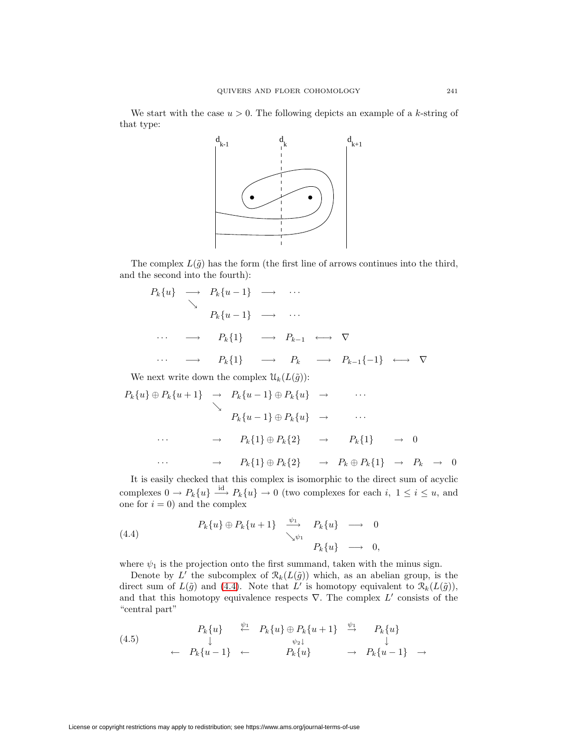We start with the case  $u > 0$ . The following depicts an example of a k-string of that type:



The complex  $L(\tilde{g})$  has the form (the first line of arrows continues into the third, and the second into the fourth):

$$
P_k\{u\} \longrightarrow P_k\{u-1\} \longrightarrow \cdots
$$
  
\n
$$
P_k\{u-1\} \longrightarrow \cdots
$$
  
\n
$$
\cdots \longrightarrow P_k\{1\} \longrightarrow P_{k-1} \longleftrightarrow \nabla
$$
  
\n
$$
\cdots \longrightarrow P_k\{1\} \longrightarrow P_k \longrightarrow P_{k-1}\{-1\} \longleftrightarrow \nabla
$$
  
\nWe next write down the complex  $U_k(L(\tilde{g}))$ :

$$
P_k\{u\} \oplus P_k\{u+1\} \rightarrow P_k\{u-1\} \oplus P_k\{u\} \rightarrow \cdots
$$
  
\n
$$
P_k\{u-1\} \oplus P_k\{u\} \rightarrow \cdots
$$
  
\n
$$
\cdots \rightarrow P_k\{1\} \oplus P_k\{2\} \rightarrow P_k\{1\} \rightarrow 0
$$
  
\n
$$
\cdots \rightarrow P_k\{1\} \oplus P_k\{2\} \rightarrow P_k \oplus P_k\{1\} \rightarrow P_k \rightarrow 0
$$

It is easily checked that this complex is isomorphic to the direct sum of acyclic complexes  $0 \to P_k\{u\} \stackrel{\text{id}}{\longrightarrow} P_k\{u\} \to 0$  (two complexes for each i,  $1 \leq i \leq u$ , and one for  $i = 0$ ) and the complex

<span id="page-38-0"></span>(4.4) 
$$
P_k\{u\} \oplus P_k\{u+1\} \xrightarrow{\psi_1} P_k\{u\} \longrightarrow 0
$$

$$
\searrow{\psi_1} P_k\{u\} \longrightarrow 0,
$$

$$
P_k\{u\} \longrightarrow 0,
$$

where  $\psi_1$  is the projection onto the first summand, taken with the minus sign.

Denote by L' the subcomplex of  $\mathcal{R}_k(L(\tilde{g}))$  which, as an abelian group, is the direct sum of  $L(\tilde{g})$  and [\(4.4\)](#page-38-0). Note that L' is homotopy equivalent to  $\mathcal{R}_k(L(\tilde{g}))$ , and that this homotopy equivalence respects  $\nabla$ . The complex L' consists of the "central part"

<span id="page-38-1"></span>
$$
(4.5) \qquad P_k\{u\} \stackrel{\psi_1}{\leftarrow} P_k\{u\} \oplus P_k\{u+1\} \stackrel{\psi_1}{\rightarrow} P_k\{u\} \n\leftarrow P_k\{u-1\} \leftarrow P_k\{u\} \qquad \rightarrow P_k\{u-1\} \rightarrow
$$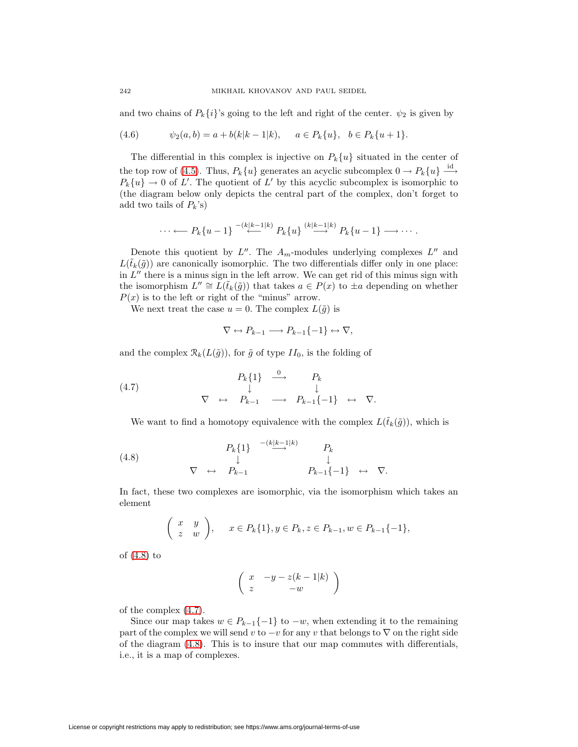<span id="page-39-2"></span>and two chains of  $P_k\{i\}$ 's going to the left and right of the center.  $\psi_2$  is given by

(4.6) 
$$
\psi_2(a,b) = a + b(k|k-1|k), \quad a \in P_k\{u\}, \quad b \in P_k\{u+1\}.
$$

The differential in this complex is injective on  $P_k\{u\}$  situated in the center of the top row of [\(4.5\)](#page-38-1). Thus,  $P_k\{u\}$  generates an acyclic subcomplex  $0 \to P_k\{u\} \stackrel{\text{id}}{\longrightarrow}$  $P_k\{u\} \to 0$  of L'. The quotient of L' by this acyclic subcomplex is isomorphic to (the diagram below only depicts the central part of the complex, don't forget to add two tails of  $P_k$ 's)

$$
\cdots \longleftarrow P_k\{u-1\} \xrightarrow{-(k|k-1|k)} P_k\{u\} \xrightarrow{(k|k-1|k)} P_k\{u-1\} \longrightarrow \cdots.
$$

Denote this quotient by  $L''$ . The  $A_m$ -modules underlying complexes  $L''$  and  $L(\tilde{t}_k(\tilde{g}))$  are canonically isomorphic. The two differentials differ only in one place: in  $L''$  there is a minus sign in the left arrow. We can get rid of this minus sign with the isomorphism  $L'' \cong L(\tilde{t}_k(\tilde{g}))$  that takes  $a \in P(x)$  to  $\pm a$  depending on whether  $P(x)$  is to the left or right of the "minus" arrow.

We next treat the case  $u = 0$ . The complex  $L(\tilde{g})$  is

$$
\nabla \leftrightarrow P_{k-1} \longrightarrow P_{k-1}\{-1\} \leftrightarrow \nabla,
$$

and the complex  $\mathcal{R}_k(L(\tilde{g}))$ , for  $\tilde{g}$  of type  $II_0$ , is the folding of

<span id="page-39-1"></span>(4.7) 
$$
\begin{array}{ccccccc}\n & & & P_k\{1\} & \stackrel{0}{\longrightarrow} & P_k & & \\
 & & \downarrow & & \downarrow & & \\
\nabla & \leftrightarrow & P_{k-1} & \longrightarrow & P_{k-1}\{-1\} & \leftrightarrow & \nabla.\n\end{array}
$$

We want to find a homotopy equivalence with the complex  $L(\tilde{t}_k(\tilde{g}))$ , which is

<span id="page-39-0"></span>(4.8) 
$$
\nabla \leftrightarrow P_{k-1} \longrightarrow^{-(k|k-1|k)} P_k
$$

$$
\nabla \leftrightarrow P_{k-1} \longrightarrow^{-(k|k-1|k)} P_k
$$

$$
\downarrow
$$

$$
P_{k-1}\{-1\} \leftrightarrow \nabla.
$$

In fact, these two complexes are isomorphic, via the isomorphism which takes an element

$$
\begin{pmatrix} x & y \ z & w \end{pmatrix}, \quad x \in P_k\{1\}, y \in P_k, z \in P_{k-1}, w \in P_{k-1}\{-1\},\
$$

of [\(4.8\)](#page-39-0) to

$$
\left(\begin{array}{cc} x & -y - z(k-1|k) \\ z & -w \end{array}\right)
$$

of the complex [\(4.7\)](#page-39-1).

Since our map takes  $w \in P_{k-1}\{-1\}$  to  $-w$ , when extending it to the remaining part of the complex we will send v to  $-v$  for any v that belongs to  $\nabla$  on the right side of the diagram [\(4.8\)](#page-39-0). This is to insure that our map commutes with differentials, i.e., it is a map of complexes.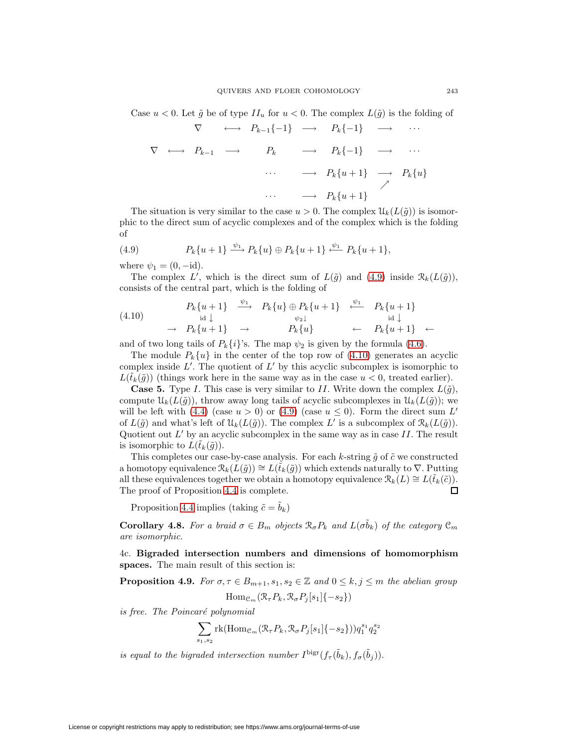Case  $u < 0$ . Let  $\tilde{g}$  be of type  $II_u$  for  $u < 0$ . The complex  $L(\tilde{g})$  is the folding of

$$
\nabla \leftrightarrow P_{k-1}\{-1\} \rightarrow P_k\{-1\} \rightarrow \cdots
$$
  

$$
\nabla \leftrightarrow P_{k-1} \rightarrow P_k \rightarrow P_k\{-1\} \rightarrow \cdots
$$
  

$$
\cdots \rightarrow P_k\{u+1\} \rightarrow P_k\{u\}
$$
  

$$
\cdots \rightarrow P_k\{u+1\}
$$

The situation is very similar to the case  $u > 0$ . The complex  $\mathcal{U}_k(L(\tilde{q}))$  is isomorphic to the direct sum of acyclic complexes and of the complex which is the folding of

<span id="page-40-1"></span>(4.9) 
$$
P_k\{u+1\} \xrightarrow{\psi_1} P_k\{u\} \oplus P_k\{u+1\} \xleftarrow{\psi_1} P_k\{u+1\},
$$

where  $\psi_1 = (0, -id)$ .

The complex L', which is the direct sum of  $L(\tilde{g})$  and  $(4.9)$  inside  $\mathcal{R}_k(L(\tilde{g}))$ , consists of the central part, which is the folding of

<span id="page-40-2"></span>
$$
(4.10) \quad P_k\{u+1\} \xrightarrow{\psi_1} P_k\{u\} \oplus P_k\{u+1\} \xleftarrow{\psi_1} P_k\{u+1\}
$$
\n
$$
\rightarrow P_k\{u+1\} \rightarrow P_k\{u\} \xleftarrow{\psi_2\downarrow} P_k\{u+1\} \leftarrow P_k\{u+1\} \leftarrow
$$

and of two long tails of  $P_k\{i\}$ 's. The map  $\psi_2$  is given by the formula [\(4.6\)](#page-39-2).

The module  $P_k\{u\}$  in the center of the top row of [\(4.10\)](#page-40-2) generates an acyclic complex inside  $L'$ . The quotient of  $L'$  by this acyclic subcomplex is isomorphic to  $L(\tilde{t}_k(\tilde{g}))$  (things work here in the same way as in the case  $u < 0$ , treated earlier).

**Case 5.** Type I. This case is very similar to II. Write down the complex  $L(\tilde{g})$ , compute  $\mathcal{U}_k(L(\tilde{g}))$ , throw away long tails of acyclic subcomplexes in  $\mathcal{U}_k(L(\tilde{g}))$ ; we will be left with [\(4.4\)](#page-38-0) (case  $u > 0$ ) or [\(4.9\)](#page-40-1) (case  $u \le 0$ ). Form the direct sum L' of  $L(\tilde{g})$  and what's left of  $\mathcal{U}_k(L(\tilde{g}))$ . The complex L' is a subcomplex of  $\mathcal{R}_k(L(\tilde{g}))$ . Quotient out  $L'$  by an acyclic subcomplex in the same way as in case II. The result is isomorphic to  $L(\tilde{t}_k(\tilde{g}))$ .

This completes our case-by-case analysis. For each k-string  $\tilde{g}$  of  $\tilde{c}$  we constructed a homotopy equivalence  $\mathcal{R}_k(L(\tilde{g})) \cong L(\tilde{t}_k(\tilde{g}))$  which extends naturally to  $\nabla$ . Putting all these equivalences together we obtain a homotopy equivalence  $\mathcal{R}_k(L) \cong L(\tilde{t}_k(\tilde{c}))$ . The proof of Proposition [4.4](#page-33-3) is complete. □

Proposition [4.4](#page-33-3) implies (taking  $\tilde{c} = \tilde{b}_k$ )

<span id="page-40-3"></span>**Corollary 4.8.** For a braid  $\sigma \in B_m$  objects  $\mathcal{R}_{\sigma}P_k$  and  $L(\sigma \tilde{b}_k)$  of the category  $\mathcal{C}_m$ are isomorphic.

<span id="page-40-4"></span><span id="page-40-0"></span>4c. **Bigraded intersection numbers and dimensions of homomorphism spaces.** The main result of this section is:

**Proposition 4.9.** For  $\sigma, \tau \in B_{m+1}, s_1, s_2 \in \mathbb{Z}$  and  $0 \leq k, j \leq m$  the abelian group

$$
\mathrm{Hom}_{\mathcal{C}_m}(\mathcal{R}_{\tau}P_k, \mathcal{R}_{\sigma}P_j[s_1]\{-s_2\})
$$

is free. The Poincaré polynomial

$$
\sum_{s_1, s_2} \text{rk}(\text{Hom}_{\mathcal{C}_m}(\mathcal{R}_{\tau} P_k, \mathcal{R}_{\sigma} P_j[s_1] \{-s_2\})) q_1^{s_1} q_2^{s_2}
$$

is equal to the bigraded intersection number  $I^{\text{bigr}}(f_\tau(\tilde{b}_k), f_\sigma(\tilde{b}_j)).$ 

License or copyright restrictions may apply to redistribution; see https://www.ams.org/journal-terms-of-use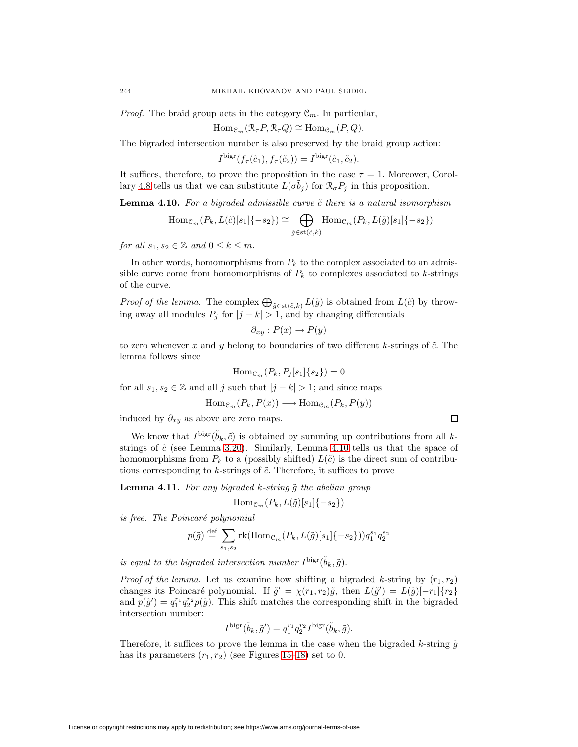*Proof.* The braid group acts in the category  $\mathcal{C}_m$ . In particular,

$$
\mathrm{Hom}_{\mathcal{C}_m}(\mathcal{R}_{\tau} P, \mathcal{R}_{\tau} Q) \cong \mathrm{Hom}_{\mathcal{C}_m}(P, Q).
$$

The bigraded intersection number is also preserved by the braid group action:

 $I^{\text{bigr}}(f_\tau(\tilde{c}_1), f_\tau(\tilde{c}_2)) = I^{\text{bigr}}(\tilde{c}_1, \tilde{c}_2).$ 

<span id="page-41-0"></span>It suffices, therefore, to prove the proposition in the case  $\tau = 1$ . Moreover, Corol-lary [4.8](#page-40-3) tells us that we can substitute  $L(\sigma \tilde{b}_j)$  for  $\mathcal{R}_{\sigma}P_j$  in this proposition.

**Lemma 4.10.** For a bigraded admissible curve  $\tilde{c}$  there is a natural isomorphism

$$
\mathrm{Hom}_{\mathcal{C}_m}(P_k, L(\tilde{c})[s_1]\{-s_2\}) \cong \bigoplus_{\tilde{g}\in \mathrm{st}(\tilde{c},k)} \mathrm{Hom}_{\mathcal{C}_m}(P_k, L(\tilde{g})[s_1]\{-s_2\})
$$

for all  $s_1, s_2 \in \mathbb{Z}$  and  $0 \leq k \leq m$ .

In other words, homomorphisms from  $P_k$  to the complex associated to an admissible curve come from homomorphisms of  $P_k$  to complexes associated to k-strings of the curve.

*Proof of the lemma.* The complex  $\bigoplus_{\tilde{g}\in \text{st}(\tilde{c},k)} L(\tilde{g})$  is obtained from  $L(\tilde{c})$  by throwing away all modules  $P_j$  for  $|j - k| > 1$ , and by changing differentials

$$
\partial_{xy}: P(x) \to P(y)
$$

to zero whenever x and y belong to boundaries of two different k-strings of  $\tilde{c}$ . The lemma follows since

$$
\operatorname{Hom}_{\mathcal{C}_m}(P_k, P_j[s_1]\{s_2\}) = 0
$$

for all  $s_1, s_2 \in \mathbb{Z}$  and all j such that  $|j - k| > 1$ ; and since maps

$$
\mathrm{Hom}_{\mathcal{C}_m}(P_k, P(x)) \longrightarrow \mathrm{Hom}_{\mathcal{C}_m}(P_k, P(y))
$$

induced by  $\partial_{xy}$  as above are zero maps.

We know that  $I^{\text{big}}(\tilde{b}_k, \tilde{c})$  is obtained by summing up contributions from all kstrings of  $\tilde{c}$  (see Lemma [3.20\)](#page-30-1). Similarly, Lemma [4.10](#page-41-0) tells us that the space of homomorphisms from  $P_k$  to a (possibly shifted)  $L(\tilde{c})$  is the direct sum of contributions corresponding to k-strings of  $\tilde{c}$ . Therefore, it suffices to prove

<span id="page-41-1"></span>**Lemma 4.11.** For any bigraded k-string  $\tilde{g}$  the abelian group

$$
\mathrm{Hom}_{\mathcal{C}_m}(P_k, L(\tilde{g})[s_1]\{-s_2\})
$$

is free. The Poincaré polynomial

$$
p(\tilde{g}) \stackrel{\text{def}}{=} \sum_{s_1, s_2} \text{rk}(\text{Hom}_{\mathcal{C}_m}(P_k, L(\tilde{g})[s_1]\{-s_2\})) q_1^{s_1} q_2^{s_2}
$$

is equal to the bigraded intersection number  $I^{\text{bigr}}(\tilde{b}_k, \tilde{q})$ .

*Proof of the lemma.* Let us examine how shifting a bigraded k-string by  $(r_1, r_2)$ changes its Poincaré polynomial. If  $\tilde{g}' = \chi(r_1, r_2)\tilde{g}$ , then  $L(\tilde{g}') = L(\tilde{g})[-r_1]\{r_2\}$ and  $p(\tilde{g}') = q_1^{r_1} q_2^{r_2} p(\tilde{g})$ . This shift matches the corresponding shift in the bigraded intersection number:

$$
I^{\text{bigr}}(\tilde{b}_k, \tilde{g}') = q_1^{r_1} q_2^{r_2} I^{\text{bigr}}(\tilde{b}_k, \tilde{g}).
$$

Therefore, it suffices to prove the lemma in the case when the bigraded k-string  $\tilde{q}$ has its parameters  $(r_1, r_2)$  (see Figures [15–](#page-27-0)[18\)](#page-28-1) set to 0.

 $\Box$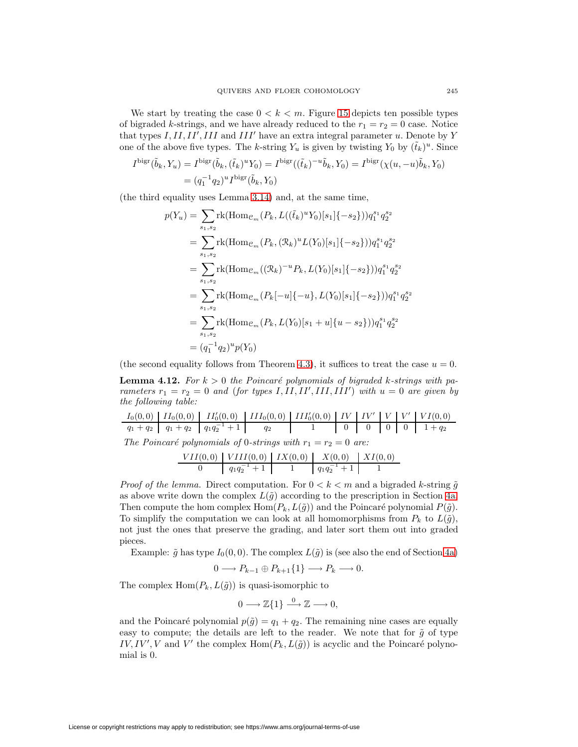We start by treating the case  $0 < k < m$ . Figure [15](#page-27-0) depicts ten possible types of bigraded k-strings, and we have already reduced to the  $r_1 = r_2 = 0$  case. Notice that types  $I, II, II', III$  and  $III'$  have an extra integral parameter u. Denote by Y one of the above five types. The k-string  $Y_u$  is given by twisting  $Y_0$  by  $(\tilde{t}_k)^u$ . Since

$$
I^{\text{bigr}}(\tilde{b}_k, Y_u) = I^{\text{bigr}}(\tilde{b}_k, (\tilde{t}_k)^u Y_0) = I^{\text{bigr}}((\tilde{t}_k)^{-u}\tilde{b}_k, Y_0) = I^{\text{bigr}}(\chi(u, -u)\tilde{b}_k, Y_0)
$$

$$
= (q_1^{-1}q_2)^u I^{\text{bigr}}(\tilde{b}_k, Y_0)
$$

(the third equality uses Lemma [3.14\)](#page-22-1) and, at the same time,

$$
p(Y_u) = \sum_{s_1, s_2} \text{rk}(\text{Hom}_{\mathcal{C}_m}(P_k, L((\tilde{t}_k)^u Y_0)[s_1]\{-s_2\}))q_1^{s_1} q_2^{s_2}
$$
  
\n
$$
= \sum_{s_1, s_2} \text{rk}(\text{Hom}_{\mathcal{C}_m}(P_k, (\mathcal{R}_k)^u L(Y_0)[s_1]\{-s_2\}))q_1^{s_1} q_2^{s_2}
$$
  
\n
$$
= \sum_{s_1, s_2} \text{rk}(\text{Hom}_{\mathcal{C}_m}((\mathcal{R}_k)^{-u} P_k, L(Y_0)[s_1]\{-s_2\}))q_1^{s_1} q_2^{s_2}
$$
  
\n
$$
= \sum_{s_1, s_2} \text{rk}(\text{Hom}_{\mathcal{C}_m}(P_k[-u]\{-u\}, L(Y_0)[s_1]\{-s_2\}))q_1^{s_1} q_2^{s_2}
$$
  
\n
$$
= \sum_{s_1, s_2} \text{rk}(\text{Hom}_{\mathcal{C}_m}(P_k, L(Y_0)[s_1 + u]\{u - s_2\}))q_1^{s_1} q_2^{s_2}
$$
  
\n
$$
= (q_1^{-1}q_2)^u p(Y_0)
$$

<span id="page-42-0"></span>(the second equality follows from Theorem [4.3\)](#page-33-4), it suffices to treat the case  $u = 0$ .

**Lemma 4.12.** For  $k > 0$  the Poincaré polynomials of bigraded k-strings with parameters  $r_1 = r_2 = 0$  and (for types I, II, II', III, III') with  $u = 0$  are given by the following table:

I0(0, 0) II0(0, 0) II<sup>0</sup> <sup>0</sup>(0, 0) III0(0, 0) III<sup>0</sup> <sup>0</sup>(0, 0) IV IV <sup>0</sup> V V <sup>0</sup> V I(0, 0) q<sup>1</sup> + q<sup>2</sup> q<sup>1</sup> + q<sup>2</sup> q1q−<sup>1</sup> <sup>2</sup> + 1 q<sup>2</sup> 1 0 0 0 0 1 + q<sup>2</sup>

The Poincaré polynomials of 0-strings with  $r_1 = r_2 = 0$  are:

$$
\begin{array}{c|c|c|c|c|c|c} VII(0,0) & VIII(0,0) & IX(0,0) & X(0,0) & XI(0,0) \\ \hline 0 & & q_1q_2^{-1}+1 & 1 & q_1q_2^{-1}+1 & 1 \end{array}
$$

*Proof of the lemma.* Direct computation. For  $0 < k < m$  and a bigraded k-string  $\tilde{g}$ as above write down the complex  $L(\tilde{g})$  according to the prescription in Section [4a.](#page-30-2) Then compute the hom complex Hom $(P_k, L(\tilde{g}))$  and the Poincaré polynomial  $P(\tilde{g})$ . To simplify the computation we can look at all homomorphisms from  $P_k$  to  $L(\tilde{g})$ , not just the ones that preserve the grading, and later sort them out into graded pieces.

Example:  $\tilde{g}$  has type  $I_0(0, 0)$ . The complex  $L(\tilde{g})$  is (see also the end of Section [4a\)](#page-30-2)

$$
0 \longrightarrow P_{k-1} \oplus P_{k+1} \{1\} \longrightarrow P_k \longrightarrow 0.
$$

The complex  $\text{Hom}(P_k, L(\tilde{g}))$  is quasi-isomorphic to

$$
0\longrightarrow \mathbb{Z}\{1\} \stackrel{0}{\longrightarrow} \mathbb{Z} \longrightarrow 0,
$$

and the Poincaré polynomial  $p(\tilde{g}) = q_1 + q_2$ . The remaining nine cases are equally easy to compute; the details are left to the reader. We note that for  $\tilde{g}$  of type  $IV, IV', V$  and V' the complex  $Hom(P_k, L(\tilde{g}))$  is acyclic and the Poincaré polynomial is 0.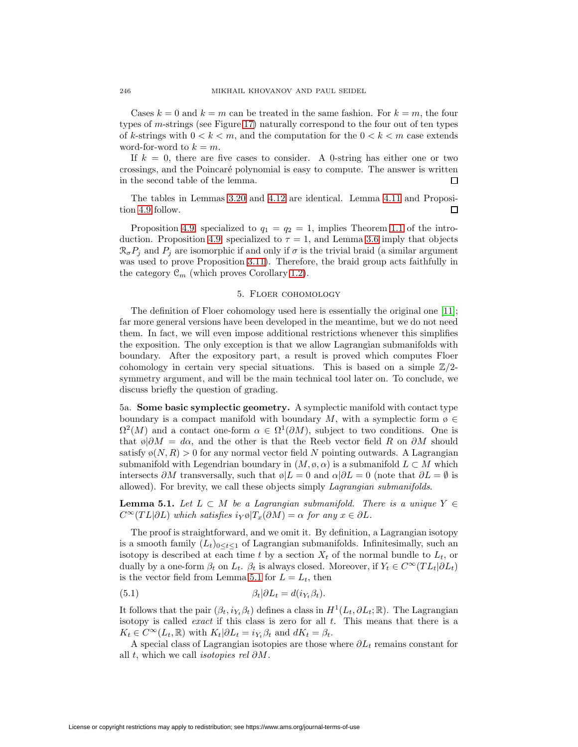Cases  $k = 0$  and  $k = m$  can be treated in the same fashion. For  $k = m$ , the four types of m-strings (see Figure [17\)](#page-28-0) naturally correspond to the four out of ten types of k-strings with  $0 < k < m$ , and the computation for the  $0 < k < m$  case extends word-for-word to  $k = m$ .

If  $k = 0$ , there are five cases to consider. A 0-string has either one or two crossings, and the Poincar´e polynomial is easy to compute. The answer is written in the second table of the lemma. П

The tables in Lemmas [3.20](#page-30-1) and [4.12](#page-42-0) are identical. Lemma [4.11](#page-41-1) and Proposition [4.9](#page-40-4) follow. П

Proposition [4.9,](#page-40-4) specialized to  $q_1 = q_2 = 1$ , implies Theorem [1.1](#page-3-1) of the intro-duction. Proposition [4.9,](#page-40-4) specialized to  $\tau = 1$ , and Lemma [3.6](#page-19-2) imply that objects  $\mathcal{R}_{\sigma}P_i$  and  $P_i$  are isomorphic if and only if  $\sigma$  is the trivial braid (a similar argument was used to prove Proposition [3.11\)](#page-21-0). Therefore, the braid group acts faithfully in the category  $\mathcal{C}_m$  (which proves Corollary [1.2\)](#page-3-2).

#### 5. Floer cohomology

The definition of Floer cohomology used here is essentially the original one [\[11\]](#page-67-19); far more general versions have been developed in the meantime, but we do not need them. In fact, we will even impose additional restrictions whenever this simplifies the exposition. The only exception is that we allow Lagrangian submanifolds with boundary. After the expository part, a result is proved which computes Floer cohomology in certain very special situations. This is based on a simple  $\mathbb{Z}/2$ symmetry argument, and will be the main technical tool later on. To conclude, we discuss briefly the question of grading.

<span id="page-43-2"></span>5a. **Some basic symplectic geometry.** A symplectic manifold with contact type boundary is a compact manifold with boundary M, with a symplectic form  $\varphi \in$  $\Omega^2(M)$  and a contact one-form  $\alpha \in \Omega^1(\partial M)$ , subject to two conditions. One is that  $\emptyset\partial M = d\alpha$ , and the other is that the Reeb vector field R on  $\partial M$  should satisfy  $\phi(N,R) > 0$  for any normal vector field N pointing outwards. A Lagrangian submanifold with Legendrian boundary in  $(M, \varphi, \alpha)$  is a submanifold  $L \subset M$  which intersects ∂M transversally, such that  $\phi|L = 0$  and  $\alpha|\partial L = 0$  (note that  $\partial L = \emptyset$  is allowed). For brevity, we call these objects simply Lagrangian submanifolds.

<span id="page-43-0"></span>**Lemma 5.1.** Let  $L \subset M$  be a Lagrangian submanifold. There is a unique  $Y \in$  $C^{\infty}(TL|\partial L)$  which satisfies  $i_Y \phi | T_x(\partial M) = \alpha$  for any  $x \in \partial L$ .

The proof is straightforward, and we omit it. By definition, a Lagrangian isotopy is a smooth family  $(L_t)_{0 \leq t \leq 1}$  of Lagrangian submanifolds. Infinitesimally, such an isotopy is described at each time t by a section  $X_t$  of the normal bundle to  $L_t$ , or dually by a one-form  $\beta_t$  on  $L_t$ .  $\beta_t$  is always closed. Moreover, if  $Y_t \in C^\infty(TL_t|\partial L_t)$ is the vector field from Lemma [5.1](#page-43-0) for  $L = L_t$ , then

<span id="page-43-1"></span>(5.1) 
$$
\beta_t|\partial L_t = d(i_{Y_t}\beta_t).
$$

It follows that the pair  $(\beta_t, i_{Y_t}\beta_t)$  defines a class in  $H^1(L_t, \partial L_t; \mathbb{R})$ . The Lagrangian isotopy is called *exact* if this class is zero for all  $t$ . This means that there is a  $K_t \in C^{\infty}(L_t, \mathbb{R})$  with  $K_t | \partial L_t = i_{Y_t} \beta_t$  and  $dK_t = \beta_t$ .

A special class of Lagrangian isotopies are those where  $\partial L_t$  remains constant for all t, which we call *isotopies rel*  $\partial M$ .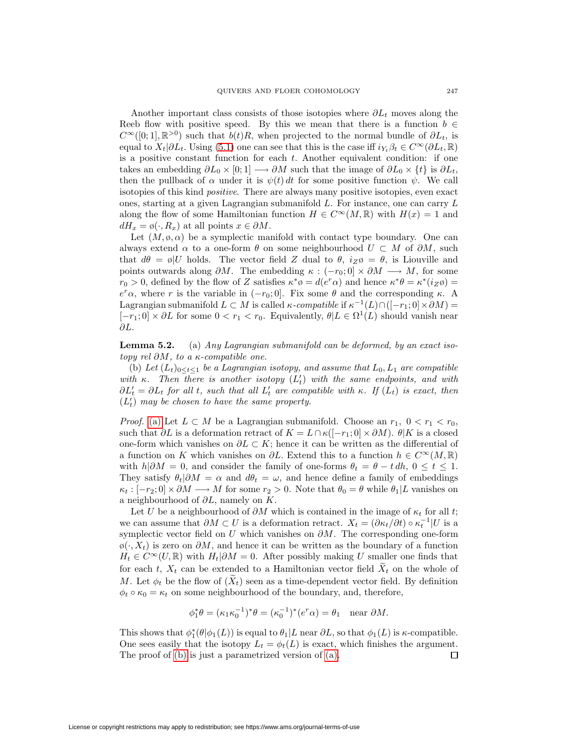Another important class consists of those isotopies where  $\partial L_t$  moves along the Reeb flow with positive speed. By this we mean that there is a function  $b \in$  $C^{\infty}([0; 1], \mathbb{R}^{>0})$  such that  $b(t)R$ , when projected to the normal bundle of  $\partial L_t$ , is equal to  $X_t|\partial L_t$ . Using [\(5.1\)](#page-43-1) one can see that this is the case iff  $i_{Y_t}\beta_t \in C^\infty(\partial L_t, \mathbb{R})$ is a positive constant function for each t. Another equivalent condition: if one takes an embedding  $\partial L_0 \times [0;1] \longrightarrow \partial M$  such that the image of  $\partial L_0 \times \{t\}$  is  $\partial L_t$ , then the pullback of  $\alpha$  under it is  $\psi(t) dt$  for some positive function  $\psi$ . We call isotopies of this kind positive. There are always many positive isotopies, even exact ones, starting at a given Lagrangian submanifold L. For instance, one can carry L along the flow of some Hamiltonian function  $H \in C^{\infty}(M,\mathbb{R})$  with  $H(x) = 1$  and  $dH_x = \phi(\cdot, R_x)$  at all points  $x \in \partial M$ .

Let  $(M, \emptyset, \alpha)$  be a symplectic manifold with contact type boundary. One can always extend  $\alpha$  to a one-form  $\theta$  on some neighbourhood  $U \subset M$  of  $\partial M$ , such that  $d\theta = \phi|U$  holds. The vector field Z dual to  $\theta$ ,  $i_Z \phi = \theta$ , is Liouville and points outwards along  $\partial M$ . The embedding  $\kappa : (-r_0; 0] \times \partial M \longrightarrow M$ , for some  $r_0 > 0$ , defined by the flow of Z satisfies  $\kappa^* \varphi = d(e^r \alpha)$  and hence  $\kappa^* \theta = \kappa^* (i \chi \varphi)$  $e^r \alpha$ , where r is the variable in  $(-r_0; 0]$ . Fix some  $\theta$  and the corresponding  $\kappa$ . A Lagrangian submanifold  $L \subset M$  is called  $\kappa$ -compatible if  $\kappa^{-1}(L) \cap ([-r_1; 0] \times \partial M) =$  $[-r_1; 0] \times \partial L$  for some  $0 < r_1 < r_0$ . Equivalently,  $\theta | L \in \Omega^1(L)$  should vanish near ∂L.

<span id="page-44-2"></span><span id="page-44-1"></span><span id="page-44-0"></span>**Lemma 5.2.** (a) Any Lagrangian submanifold can be deformed, by an exact isotopy rel  $\partial M$ , to a  $\kappa$ -compatible one.

(b) Let  $(L_t)_{0 \le t \le 1}$  be a Lagrangian isotopy, and assume that  $L_0, L_1$  are compatible with  $\kappa$ . Then there is another isotopy  $(L'_t)$  with the same endpoints, and with  $\partial L'_t = \partial L_t$  for all t, such that all  $L'_t$  are compatible with κ. If  $(L_t)$  is exact, then  $(L'_t)$  may be chosen to have the same property.

*Proof.* [\(a\)](#page-44-0) Let  $L \subset M$  be a Lagrangian submanifold. Choose an  $r_1$ ,  $0 < r_1 < r_0$ , such that  $\partial L$  is a deformation retract of  $K = L \cap \kappa([-r_1; 0] \times \partial M)$ .  $\theta | K$  is a closed one-form which vanishes on  $\partial L \subset K$ ; hence it can be written as the differential of a function on K which vanishes on  $\partial L$ . Extend this to a function  $h \in C^{\infty}(M,\mathbb{R})$ with  $h|\partial M = 0$ , and consider the family of one-forms  $\theta_t = \theta - t dh$ ,  $0 \le t \le 1$ . They satisfy  $\theta_t|\partial M = \alpha$  and  $d\theta_t = \omega$ , and hence define a family of embeddings  $\kappa_t : [-r_2; 0] \times \partial M \longrightarrow M$  for some  $r_2 > 0$ . Note that  $\theta_0 = \theta$  while  $\theta_1 | L$  vanishes on a neighbourhood of  $\partial L$ , namely on K.

Let U be a neighbourhood of  $\partial M$  which is contained in the image of  $\kappa_t$  for all t; we can assume that  $\partial M \subset U$  is a deformation retract.  $X_t = (\partial \kappa_t / \partial t) \circ \kappa_t^{-1} |U$  is a symplectic vector field on U which vanishes on  $\partial M$ . The corresponding one-form  $\mathfrak{g}(\cdot, X_t)$  is zero on  $\partial M$ , and hence it can be written as the boundary of a function  $H_t \in C^{\infty}(U,\mathbb{R})$  with  $H_t|\partial M = 0$ . After possibly making U smaller one finds that for each t,  $X_t$  can be extended to a Hamiltonian vector field  $X_t$  on the whole of M. Let  $\phi_t$  be the flow of  $(X_t)$  seen as a time-dependent vector field. By definition  $\phi_t \circ \kappa_0 = \kappa_t$  on some neighbourhood of the boundary, and, therefore,

$$
\phi_1^* \theta = (\kappa_1 \kappa_0^{-1})^* \theta = (\kappa_0^{-1})^* (e^r \alpha) = \theta_1 \quad \text{near } \partial M.
$$

This shows that  $\phi_1^*(\theta | \phi_1(L))$  is equal to  $\theta_1 | L$  near  $\partial L$ , so that  $\phi_1(L)$  is  $\kappa$ -compatible. One sees easily that the isotopy  $L_t = \phi_t(L)$  is exact, which finishes the argument. The proof of [\(b\)](#page-44-1) is just a parametrized version of [\(a\).](#page-44-0) 口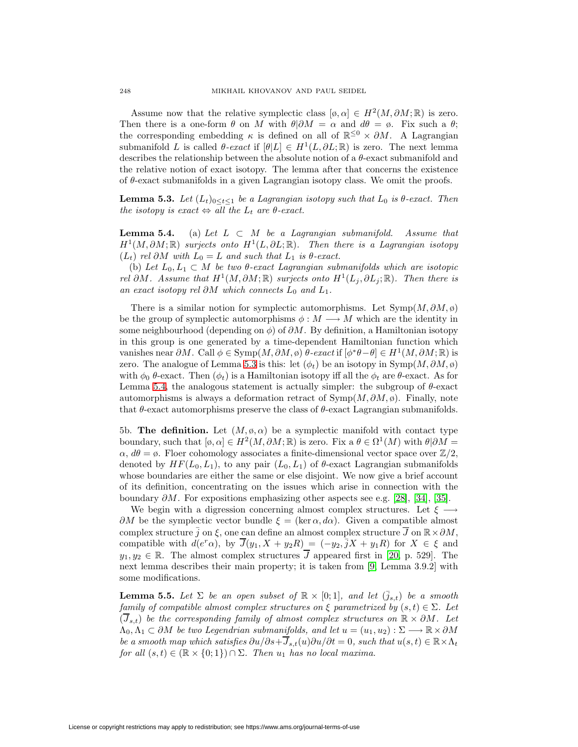Assume now that the relative symplectic class  $[\emptyset, \alpha] \in H^2(M, \partial M; \mathbb{R})$  is zero. Then there is a one-form  $\theta$  on M with  $\theta|\partial M = \alpha$  and  $d\theta = \emptyset$ . Fix such a  $\theta$ ; the corresponding embedding  $\kappa$  is defined on all of  $\mathbb{R}^{\leq 0} \times \partial M$ . A Lagrangian submanifold L is called  $\theta$ -exact if  $[\theta|L] \in H^1(L, \partial L; \mathbb{R})$  is zero. The next lemma describes the relationship between the absolute notion of a θ-exact submanifold and the relative notion of exact isotopy. The lemma after that concerns the existence of  $\theta$ -exact submanifolds in a given Lagrangian isotopy class. We omit the proofs.

<span id="page-45-1"></span><span id="page-45-0"></span>**Lemma 5.3.** Let  $(L_t)_{0 \leq t \leq 1}$  be a Lagrangian isotopy such that  $L_0$  is  $\theta$ -exact. Then the isotopy is exact  $\Leftrightarrow$  all the  $L_t$  are  $\theta$ -exact.

<span id="page-45-4"></span>**Lemma 5.4.** (a) Let  $L \subset M$  be a Lagrangian submanifold. Assume that  $H^1(M, \partial M; \mathbb{R})$  surjects onto  $H^1(L, \partial L; \mathbb{R})$ . Then there is a Lagrangian isotopy  $(L_t)$  rel ∂M with  $L_0 = L$  and such that  $L_1$  is  $\theta$ -exact.

(b) Let  $L_0, L_1 \subset M$  be two  $\theta$ -exact Lagrangian submanifolds which are isotopic rel ∂M. Assume that  $H^1(M, \partial M; \mathbb{R})$  surjects onto  $H^1(L_j, \partial L_j; \mathbb{R})$ . Then there is an exact isotopy rel  $\partial M$  which connects  $L_0$  and  $L_1$ .

There is a similar notion for symplectic automorphisms. Let  $\text{Symp}(M, \partial M, \emptyset)$ be the group of symplectic automorphisms  $\phi : M \longrightarrow M$  which are the identity in some neighbourhood (depending on  $\phi$ ) of  $\partial M$ . By definition, a Hamiltonian isotopy in this group is one generated by a time-dependent Hamiltonian function which vanishes near  $\partial M$ . Call  $\phi \in \text{Symp}(M, \partial M, \phi)$   $\theta$ -exact if  $[\phi^* \theta - \theta] \in H^1(M, \partial M; \mathbb{R})$  is zero. The analogue of Lemma [5.3](#page-45-0) is this: let  $(\phi_t)$  be an isotopy in Symp $(M, \partial M, \emptyset)$ with  $\phi_0$  θ-exact. Then  $(\phi_t)$  is a Hamiltonian isotopy iff all the  $\phi_t$  are θ-exact. As for Lemma [5.4,](#page-45-1) the analogous statement is actually simpler: the subgroup of  $\theta$ -exact automorphisms is always a deformation retract of  $\text{Symp}(M, \partial M, \emptyset)$ . Finally, note that  $\theta$ -exact automorphisms preserve the class of  $\theta$ -exact Lagrangian submanifolds.

<span id="page-45-3"></span>5b. **The definition.** Let  $(M, \varphi, \alpha)$  be a symplectic manifold with contact type boundary, such that  $[\phi, \alpha] \in H^2(M, \partial M; \mathbb{R})$  is zero. Fix a  $\theta \in \Omega^1(M)$  with  $\theta | \partial M =$  $\alpha$ ,  $d\theta = \emptyset$ . Floer cohomology associates a finite-dimensional vector space over  $\mathbb{Z}/2$ , denoted by  $HF(L_0, L_1)$ , to any pair  $(L_0, L_1)$  of  $\theta$ -exact Lagrangian submanifolds whose boundaries are either the same or else disjoint. We now give a brief account of its definition, concentrating on the issues which arise in connection with the boundary  $\partial M$ . For expositions emphasizing other aspects see e.g. [\[28\]](#page-67-20), [\[34\]](#page-68-5), [\[35\]](#page-68-6).

We begin with a digression concerning almost complex structures. Let  $\xi \longrightarrow$  $\partial M$  be the symplectic vector bundle  $\xi = (\ker \alpha, d\alpha)$ . Given a compatible almost complex structure  $\bar{j}$  on  $\xi$ , one can define an almost complex structure  $\bar{J}$  on  $\mathbb{R} \times \partial M$ , compatible with  $d(e^r\alpha)$ , by  $\overline{J}(y_1, X + y_2R) = (-y_2, \overline{j}X + y_1R)$  for  $X \in \xi$  and  $y_1, y_2 \in \mathbb{R}$ . The almost complex structures  $\overline{J}$  appeared first in [\[20,](#page-67-21) p. 529]. The next lemma describes their main property; it is taken from [\[9,](#page-67-22) Lemma 3.9.2] with some modifications.

<span id="page-45-2"></span>**Lemma 5.5.** Let  $\Sigma$  be an open subset of  $\mathbb{R} \times [0,1]$ , and let  $(\bar{j}_{s,t})$  be a smooth family of compatible almost complex structures on  $\xi$  parametrized by  $(s,t) \in \Sigma$ . Let  $(\overline{J}_{s,t})$  be the corresponding family of almost complex structures on  $\mathbb{R} \times \partial M$ . Let  $\Lambda_0, \Lambda_1 \subset \partial M$  be two Legendrian submanifolds, and let  $u = (u_1, u_2): \Sigma \longrightarrow \mathbb{R} \times \partial M$ be a smooth map which satisfies  $\partial u/\partial s+\overline{J}_{s,t}(u)\partial u/\partial t=0$ , such that  $u(s,t)\in\mathbb{R}\times\Lambda_t$ for all  $(s, t) \in (\mathbb{R} \times \{0, 1\}) \cap \Sigma$ . Then  $u_1$  has no local maxima.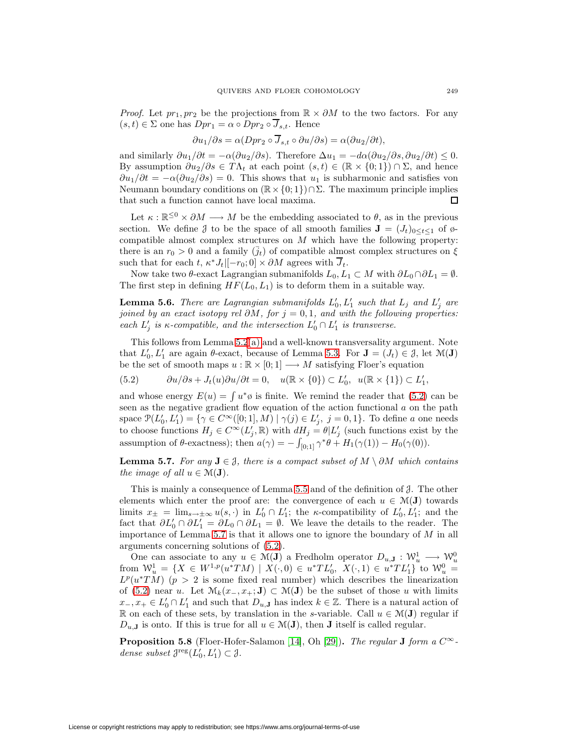*Proof.* Let  $pr_1, pr_2$  be the projections from  $\mathbb{R} \times \partial M$  to the two factors. For any  $(s, t) \in \Sigma$  one has  $Dpr_1 = \alpha \circ Dpr_2 \circ \overline{J}_{s,t}$ . Hence

$$
\frac{\partial u_1}{\partial s} = \alpha \left( Dpr_2 \circ \overline{J}_{s,t} \circ \frac{\partial u}{\partial s} \right) = \alpha \left( \frac{\partial u_2}{\partial t} \right),
$$

and similarly  $\partial u_1/\partial t = -\alpha(\partial u_2/\partial s)$ . Therefore  $\Delta u_1 = -d\alpha(\partial u_2/\partial s, \partial u_2/\partial t) \leq 0$ . By assumption  $\partial u_2/\partial s \in T\Lambda_t$  at each point  $(s,t) \in (\mathbb{R} \times \{0,1\}) \cap \Sigma$ , and hence  $\partial u_1/\partial t = -\alpha(\partial u_2/\partial s) = 0$ . This shows that  $u_1$  is subharmonic and satisfies von Neumann boundary conditions on  $(\mathbb{R} \times \{0,1\}) \cap \Sigma$ . The maximum principle implies that such a function cannot have local maxima. П

Let  $\kappa : \mathbb{R}^{\leq 0} \times \partial M \longrightarrow M$  be the embedding associated to  $\theta$ , as in the previous section. We define  $\mathcal{J}$  to be the space of all smooth families  $\mathbf{J} = (J_t)_{0 \leq t \leq 1}$  of  $\varphi$ compatible almost complex structures on  $M$  which have the following property: there is an  $r_0 > 0$  and a family  $(j_t)$  of compatible almost complex structures on  $\xi$ such that for each t,  $\kappa^* J_t|[-r_0; 0] \times \partial M$  agrees with  $\overline{J}_t$ .

<span id="page-46-3"></span>Now take two  $\theta$ -exact Lagrangian submanifolds  $L_0, L_1 \subset M$  with  $\partial L_0 \cap \partial L_1 = \emptyset$ . The first step in defining  $HF(L_0, L_1)$  is to deform them in a suitable way.

**Lemma 5.6.** There are Lagrangian submanifolds  $L'_0, L'_1$  such that  $L_j$  and  $L'_j$  are joined by an exact isotopy rel  $\partial M$ , for  $j = 0, 1$ , and with the following properties: each  $L'_j$  is  $\kappa$ -compatible, and the intersection  $L'_0 \cap L'_1$  is transverse.

<span id="page-46-0"></span>This follows from Lemma [5.2](#page-44-2)[\(a\)](#page-44-0) and a well-known transversality argument. Note that  $L'_0, L'_1$  are again  $\theta$ -exact, because of Lemma [5.3.](#page-45-0) For  $\mathbf{J} = (J_t) \in \mathcal{J}$ , let  $\mathcal{M}(\mathbf{J})$ be the set of smooth maps  $u : \mathbb{R} \times [0,1] \longrightarrow M$  satisfying Floer's equation

$$
(5.2) \t\t\t\t\t\t\t\t\t\t\t\t\partial u/\partial s + J_t(u)\partial u/\partial t = 0, \quad u(\mathbb{R} \times \{0\}) \subset L'_0, \ \ u(\mathbb{R} \times \{1\}) \subset L'_1,
$$

and whose energy  $E(u) = \int u^*\phi$  is finite. We remind the reader that [\(5.2\)](#page-46-0) can be seen as the negative gradient flow equation of the action functional a on the path space  $\mathcal{P}(L'_0, L'_1) = \{ \gamma \in C^{\infty}([0; 1], M) \mid \gamma(j) \in L'_j, j = 0, 1 \}.$  To define a one needs to choose functions  $H_j \in C^{\infty}(L'_j, \mathbb{R})$  with  $dH_j = \theta | L'_j$  (such functions exist by the assumption of  $\theta$ -exactness); then  $a(\gamma) = -\int_{[0,1]} \gamma^* \theta + H_1(\gamma(1)) - H_0(\gamma(0)).$ 

<span id="page-46-1"></span>**Lemma 5.7.** For any  $J \in \mathcal{J}$ , there is a compact subset of  $M \setminus \partial M$  which contains the image of all  $u \in \mathcal{M}(\mathbf{J})$ .

This is mainly a consequence of Lemma [5.5](#page-45-2) and of the definition of J. The other elements which enter the proof are: the convergence of each  $u \in \mathcal{M}(\mathbf{J})$  towards limits  $x_{\pm} = \lim_{s \to \pm \infty} u(s, \cdot)$  in  $L'_0 \cap L'_1$ ; the *κ*-compatibility of  $L'_0, L'_1$ ; and the fact that  $\partial L_0' \cap \partial L_1' = \partial L_0 \cap \partial L_1 = \emptyset$ . We leave the details to the reader. The importance of Lemma [5.7](#page-46-1) is that it allows one to ignore the boundary of  $M$  in all arguments concerning solutions of [\(5.2\)](#page-46-0).

One can associate to any  $u \in \mathcal{M}(\mathbf{J})$  a Fredholm operator  $D_{u,\mathbf{J}} : \mathcal{W}_u^1 \longrightarrow \mathcal{W}_u^0$ from  $\mathcal{W}_u^1 = \{ X \in W^{1,p}(u^*TM) \mid X(\cdot,0) \in u^*TL_0', X(\cdot,1) \in u^*TL_1' \}$  to  $\mathcal{W}_u^0 =$  $L^p(u^*TM)$  ( $p > 2$  is some fixed real number) which describes the linearization of [\(5.2\)](#page-46-0) near u. Let  $\mathcal{M}_k(x_-, x_+)$ **J**) ⊂  $\mathcal{M}(\mathbf{J})$  be the subset of those u with limits  $x_-, x_+ \in L'_0 \cap L'_1$  and such that  $D_{u,\mathbf{J}}$  has index  $k \in \mathbb{Z}$ . There is a natural action of R on each of these sets, by translation in the s-variable. Call  $u \in \mathcal{M}(\mathbf{J})$  regular if  $D_{u,\mathbf{J}}$  is onto. If this is true for all  $u \in \mathcal{M}(\mathbf{J})$ , then **J** itself is called regular.

<span id="page-46-4"></span><span id="page-46-2"></span>**Proposition 5.8** (Floer-Hofer-Salamon [\[14\]](#page-67-23), Oh [\[29\]](#page-68-7)). The regular **J** form a  $C^{\infty}$ dense subset  $\mathcal{J}^{\text{reg}}(L_0', L_1') \subset \mathcal{J}$ .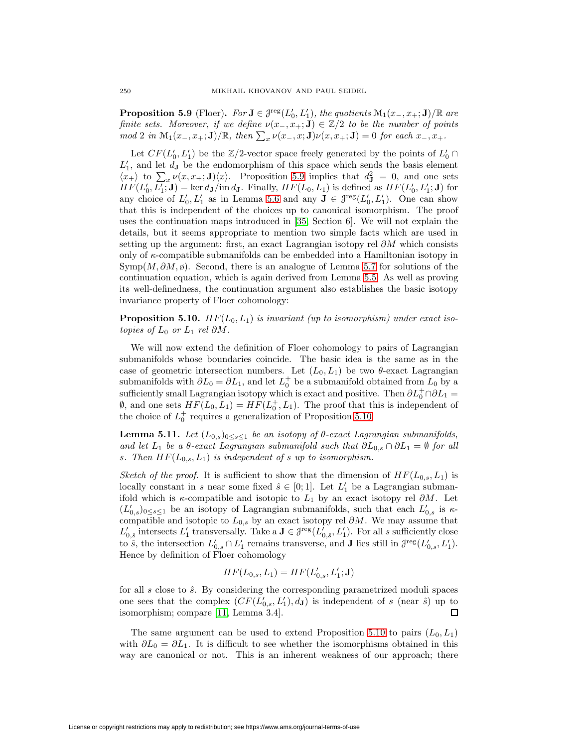**Proposition 5.9** (Floer). For  $J \in \mathcal{J}^{\text{reg}}(L_0', L_1')$ , the quotients  $\mathcal{M}_1(x_-, x_+) \cap \mathbb{R}$  are finite sets. Moreover, if we define  $\nu(x_-, x_+; J) \in \mathbb{Z}/2$  to be the number of points  $mod\ 2$  in  $\mathcal{M}_1(x_-, x_+; \mathbf{J})/\mathbb{R}$ , then  $\sum_x \nu(x_-, x; \mathbf{J})\nu(x, x_+; \mathbf{J})=0$  for each  $x_-, x_+$ .

Let  $CF(L'_0, L'_1)$  be the  $\mathbb{Z}/2$ -vector space freely generated by the points of  $L'_0 \cap$  $L_1'$ , and let  $d_{\bf J}$  be the endomorphism of this space which sends the basis element  $\langle x_+ \rangle$  to  $\sum_x \nu(x, x_+; \mathbf{J})\langle x \rangle$ . Proposition [5.9](#page-46-2) implies that  $d\mathbf{J} = 0$ , and one sets  $HF(L'_0, L'_1; \mathbf{J}) = \ker d_{\mathbf{J}}/ \text{im } d_{\mathbf{J}}.$  Finally,  $HF(L_0, L_1)$  is defined as  $HF(L'_0, L'_1; \mathbf{J})$  for any choice of  $L'_0, L'_1$  as in Lemma [5.6](#page-46-3) and any  $J \in \mathcal{J}^{\text{reg}}(L'_0, L'_1)$ . One can show that this is independent of the choices up to canonical isomorphism. The proof uses the continuation maps introduced in [\[35,](#page-68-6) Section 6]. We will not explain the details, but it seems appropriate to mention two simple facts which are used in setting up the argument: first, an exact Lagrangian isotopy rel  $\partial M$  which consists only of κ-compatible submanifolds can be embedded into a Hamiltonian isotopy in  $Symp(M, \partial M, \emptyset)$ . Second, there is an analogue of Lemma [5.7](#page-46-1) for solutions of the continuation equation, which is again derived from Lemma [5.5.](#page-45-2) As well as proving its well-definedness, the continuation argument also establishes the basic isotopy invariance property of Floer cohomology:

<span id="page-47-0"></span>**Proposition 5.10.**  $HF(L_0, L_1)$  is invariant (up to isomorphism) under exact isotopies of  $L_0$  or  $L_1$  rel ∂M.

We will now extend the definition of Floer cohomology to pairs of Lagrangian submanifolds whose boundaries coincide. The basic idea is the same as in the case of geometric intersection numbers. Let  $(L_0, L_1)$  be two  $\theta$ -exact Lagrangian submanifolds with  $\partial L_0 = \partial L_1$ , and let  $L_0^+$  be a submanifold obtained from  $L_0$  by a sufficiently small Lagrangian isotopy which is exact and positive. Then  $\partial L_0^+ \cap \partial L_1 =$  $\emptyset$ , and one sets  $HF(L_0, L_1) = HF(L_0^+, L_1)$ . The proof that this is independent of the choice of  $L_0^+$  requires a generalization of Proposition [5.10:](#page-47-0)

**Lemma 5.11.** Let  $(L_{0,s})_{0 \leq s \leq 1}$  be an isotopy of  $\theta$ -exact Lagrangian submanifolds, and let  $L_1$  be a  $\theta$ -exact Lagrangian submanifold such that  $\partial L_{0,s} \cap \partial L_1 = \emptyset$  for all s. Then  $HF(L_{0,s}, L_1)$  is independent of s up to isomorphism.

Sketch of the proof. It is sufficient to show that the dimension of  $HF(L_{0,s}, L_1)$  is locally constant in s near some fixed  $\hat{s} \in [0, 1]$ . Let  $L'_1$  be a Lagrangian submanifold which is  $\kappa$ -compatible and isotopic to  $L_1$  by an exact isotopy rel  $\partial M$ . Let  $(L'_{0,s})_{0 \leq s \leq 1}$  be an isotopy of Lagrangian submanifolds, such that each  $L'_{0,s}$  is  $\kappa$ compatible and isotopic to  $L_{0,s}$  by an exact isotopy rel  $\partial M$ . We may assume that  $L'_{0,\hat{s}}$  intersects  $L'_1$  transversally. Take a  $J \in \mathcal{J}^{\text{reg}}(L'_{0,\hat{s}}, L'_1)$ . For all s sufficiently close to  $\hat{s}$ , the intersection  $L'_{0,s} \cap L'_{1}$  remains transverse, and **J** lies still in  $\mathcal{J}^{\text{reg}}(L'_{0,s}, L'_{1})$ . Hence by definition of Floer cohomology

$$
HF(L_{0,s}, L_1) = HF(L'_{0,s}, L'_1; \mathbf{J})
$$

for all  $s$  close to  $\hat{s}$ . By considering the corresponding parametrized moduli spaces one sees that the complex  $(CF(L'_{0,s}, L'_{1}), d_{\mathbf{J}})$  is independent of s (near  $\hat{s}$ ) up to isomorphism; compare [\[11,](#page-67-19) Lemma 3.4].

The same argument can be used to extend Proposition [5.10](#page-47-0) to pairs  $(L_0, L_1)$ with  $\partial L_0 = \partial L_1$ . It is difficult to see whether the isomorphisms obtained in this way are canonical or not. This is an inherent weakness of our approach; there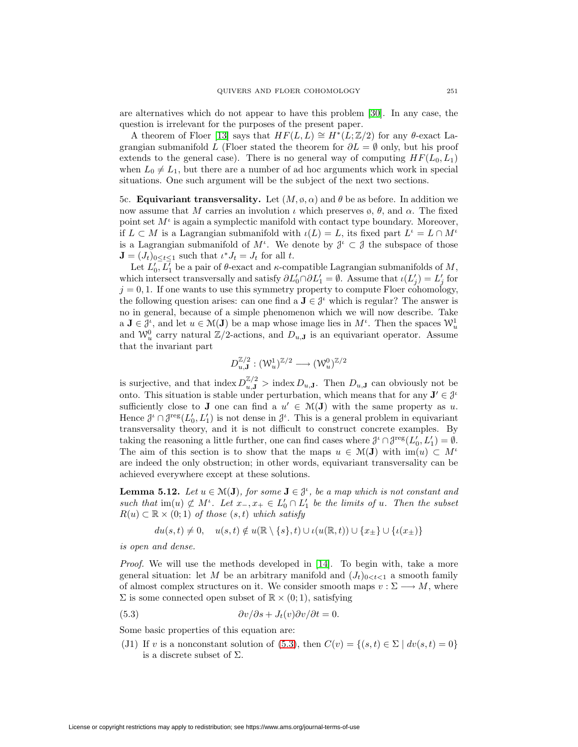are alternatives which do not appear to have this problem [\[30\]](#page-68-8). In any case, the question is irrelevant for the purposes of the present paper.

A theorem of Floer [\[13\]](#page-67-24) says that  $HF(L, L) \cong H^*(L; \mathbb{Z}/2)$  for any  $\theta$ -exact Lagrangian submanifold L (Floer stated the theorem for  $\partial L = \emptyset$  only, but his proof extends to the general case). There is no general way of computing  $HF(L_0, L_1)$ when  $L_0 \neq L_1$ , but there are a number of ad hoc arguments which work in special situations. One such argument will be the subject of the next two sections.

5c. **Equivariant transversality.** Let  $(M, \varphi, \alpha)$  and  $\theta$  be as before. In addition we now assume that M carries an involution  $\iota$  which preserves  $\varphi$ ,  $\theta$ , and  $\alpha$ . The fixed point set  $M^{\iota}$  is again a symplectic manifold with contact type boundary. Moreover, if  $L \subset M$  is a Lagrangian submanifold with  $\iota(L) = L$ , its fixed part  $L^{\iota} = L \cap M^{\iota}$ is a Lagrangian submanifold of  $M^{\iota}$ . We denote by  $\mathcal{J}^{\iota} \subset \mathcal{J}$  the subspace of those  $\mathbf{J} = (J_t)_{0 \le t \le 1}$  such that  $\iota^* J_t = J_t$  for all  $t$ .

Let  $L'_0, L'_1$  be a pair of  $\theta$ -exact and  $\kappa$ -compatible Lagrangian submanifolds of  $M$ , which intersect transversally and satisfy  $\partial L_0' \cap \partial L_1' = \emptyset$ . Assume that  $\iota(L_j') = L_j'$  for  $j = 0, 1$ . If one wants to use this symmetry property to compute Floer cohomology, the following question arises: can one find a  $J \in \mathcal{J}^{\iota}$  which is regular? The answer is no in general, because of a simple phenomenon which we will now describe. Take  $a \mathbf{J} \in \mathcal{J}^i$ , and let  $u \in \mathcal{M}(\mathbf{J})$  be a map whose image lies in  $M^i$ . Then the spaces  $\mathcal{W}^1_u$ and  $\mathcal{W}_u^0$  carry natural  $\mathbb{Z}/2$ -actions, and  $D_{u,\mathbf{J}}$  is an equivariant operator. Assume that the invariant part

$$
D_{u,\mathbf{J}}^{\mathbb{Z}/2}:(\mathcal{W}_u^1)^{\mathbb{Z}/2}\longrightarrow (\mathcal{W}_u^0)^{\mathbb{Z}/2}
$$

is surjective, and that index  $D_{u,\mathbf{J}}^{\mathbb{Z}/2}$  > index  $D_{u,\mathbf{J}}$ . Then  $D_{u,\mathbf{J}}$  can obviously not be onto. This situation is stable under perturbation, which means that for any  $J' \in \mathcal{J}^{\iota}$ sufficiently close to **J** one can find a  $u' \in \mathcal{M}(\mathbf{J})$  with the same property as u. Hence  $\mathcal{J}^{\iota} \cap \mathcal{J}^{\text{reg}}(L_0', L_1')$  is not dense in  $\mathcal{J}^{\iota}$ . This is a general problem in equivariant transversality theory, and it is not difficult to construct concrete examples. By taking the reasoning a little further, one can find cases where  $\mathcal{J}^{\iota} \cap \mathcal{J}^{\text{reg}}(L'_0, L'_1) = \emptyset$ . The aim of this section is to show that the maps  $u \in \mathcal{M}(\mathbf{J})$  with  $\text{im}(u) \subset M^{\iota}$ are indeed the only obstruction; in other words, equivariant transversality can be achieved everywhere except at these solutions.

<span id="page-48-2"></span>**Lemma 5.12.** Let  $u \in \mathcal{M}(\mathbf{J})$ , for some  $\mathbf{J} \in \mathcal{J}^{\iota}$ , be a map which is not constant and such that  $\text{im}(u) \not\subset M^{\iota}$ . Let  $x_{-}, x_{+} \in L'_{0} \cap L'_{1}$  be the limits of u. Then the subset  $R(u) \subset \mathbb{R} \times (0,1)$  of those  $(s,t)$  which satisfy

$$
du(s,t) \neq 0, \quad u(s,t) \notin u(\mathbb{R} \setminus \{s\},t) \cup \iota(u(\mathbb{R},t)) \cup \{x_{\pm}\} \cup \{\iota(x_{\pm})\}
$$

is open and dense.

*Proof.* We will use the methods developed in [\[14\]](#page-67-23). To begin with, take a more general situation: let M be an arbitrary manifold and  $(J_t)_{0 \le t \le 1}$  a smooth family of almost complex structures on it. We consider smooth maps  $v : \Sigma \longrightarrow M$ , where  $\Sigma$  is some connected open subset of  $\mathbb{R} \times (0,1)$ , satisfying

<span id="page-48-0"></span>(5.3) 
$$
\frac{\partial v}{\partial s} + J_t(v)\frac{\partial v}{\partial t} = 0.
$$

<span id="page-48-1"></span>Some basic properties of this equation are:

(J1) If v is a nonconstant solution of [\(5.3\)](#page-48-0), then  $C(v) = \{(s,t) \in \Sigma \mid dv(s,t) = 0\}$ is a discrete subset of  $\Sigma$ .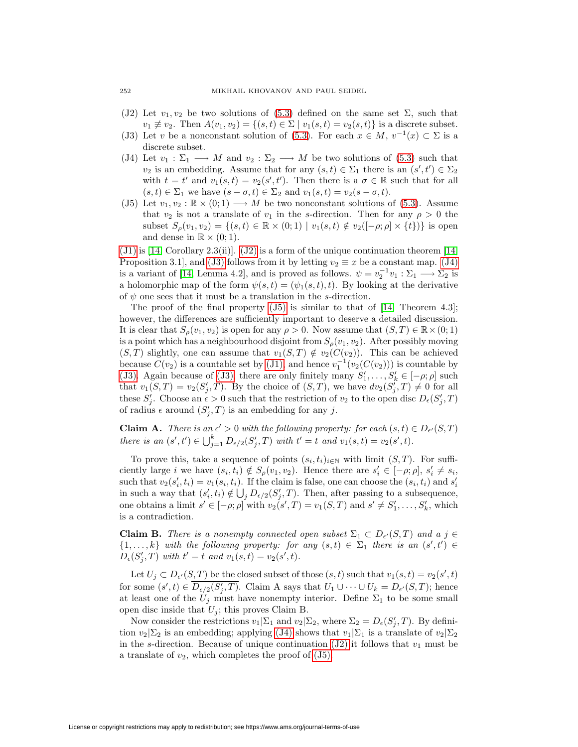- <span id="page-49-1"></span>(J2) Let  $v_1, v_2$  be two solutions of [\(5.3\)](#page-48-0) defined on the same set  $\Sigma$ , such that  $v_1 \not\equiv v_2$ . Then  $A(v_1, v_2) = \{(s, t) \in \Sigma \mid v_1(s, t) = v_2(s, t)\}\$ is a discrete subset.
- <span id="page-49-2"></span>(J3) Let v be a nonconstant solution of [\(5.3\)](#page-48-0). For each  $x \in M$ ,  $v^{-1}(x) \subset \Sigma$  is a discrete subset.
- (J4) Let  $v_1 : \Sigma_1 \longrightarrow M$  and  $v_2 : \Sigma_2 \longrightarrow M$  be two solutions of [\(5.3\)](#page-48-0) such that  $v_2$  is an embedding. Assume that for any  $(s,t) \in \Sigma_1$  there is an  $(s',t') \in \Sigma_2$ with  $t = t'$  and  $v_1(s,t) = v_2(s',t')$ . Then there is a  $\sigma \in \mathbb{R}$  such that for all  $(s, t) \in \Sigma_1$  we have  $(s - \sigma, t) \in \Sigma_2$  and  $v_1(s, t) = v_2(s - \sigma, t)$ .
- <span id="page-49-3"></span>(J5) Let  $v_1, v_2 : \mathbb{R} \times (0, 1) \longrightarrow M$  be two nonconstant solutions of [\(5.3\)](#page-48-0). Assume that  $v_2$  is not a translate of  $v_1$  in the s-direction. Then for any  $\rho > 0$  the subset  $S_{\rho}(v_1, v_2) = \{(s, t) \in \mathbb{R} \times (0, 1) \mid v_1(s, t) \notin v_2([-\rho; \rho] \times \{t\})\}\$ is open and dense in  $\mathbb{R} \times (0,1)$ .

 $(31)$  is [\[14,](#page-67-23) Corollary 2.3(ii)].  $(32)$  is a form of the unique continuation theorem [14, Proposition 3.1, and [\(J3\)](#page-49-1) follows from it by letting  $v_2 \equiv x$  be a constant map. [\(J4\)](#page-49-2) is a variant of [\[14,](#page-67-23) Lemma 4.2], and is proved as follows.  $\psi = v_2^{-1}v_1 : \Sigma_1 \longrightarrow \Sigma_2$  is a holomorphic map of the form  $\psi(s, t)=(\psi_1(s, t), t)$ . By looking at the derivative of  $\psi$  one sees that it must be a translation in the s-direction.

The proof of the final property  $(J5)$  is similar to that of [\[14,](#page-67-23) Theorem 4.3]; however, the differences are sufficiently important to deserve a detailed discussion. It is clear that  $S_{\rho}(v_1, v_2)$  is open for any  $\rho > 0$ . Now assume that  $(S, T) \in \mathbb{R} \times (0, 1)$ is a point which has a neighbourhood disjoint from  $S_\rho(v_1, v_2)$ . After possibly moving  $(S, T)$  slightly, one can assume that  $v_1(S, T) \notin v_2(C(v_2))$ . This can be achieved because  $C(v_2)$  is a countable set by [\(J1\),](#page-48-1) and hence  $v_1^{-1}(v_2(C(v_2)))$  is countable by [\(J3\).](#page-49-1) Again because of [\(J3\),](#page-49-1) there are only finitely many  $S'_1, \ldots, S'_k \in [-\rho; \rho]$  such that  $v_1(S,T) = v_2(S'_j,T)$ . By the choice of  $(S,T)$ , we have  $dv_2(S'_j,T) \neq 0$  for all these  $S'_j$ . Choose an  $\epsilon > 0$  such that the restriction of  $v_2$  to the open disc  $D_{\epsilon}(S'_j, T)$ of radius  $\epsilon$  around  $(S'_j, T)$  is an embedding for any j.

**Claim A.** There is an  $\epsilon' > 0$  with the following property: for each  $(s, t) \in D_{\epsilon'}(S, T)$ there is an  $(s', t') \in \bigcup_{j=1}^{k} D_{\epsilon/2}(S'_j, T)$  with  $t' = t$  and  $v_1(s, t) = v_2(s', t)$ .

To prove this, take a sequence of points  $(s_i, t_i)_{i \in \mathbb{N}}$  with limit  $(S, T)$ . For sufficiently large *i* we have  $(s_i, t_i) \notin S_\rho(v_1, v_2)$ . Hence there are  $s'_i \in [-\rho, \rho], s'_i \neq s_i$ , such that  $v_2(s'_i, t_i) = v_1(s_i, t_i)$ . If the claim is false, one can choose the  $(s_i, t_i)$  and  $s'_i$ in such a way that  $(s'_i, t_i) \notin \bigcup_j D_{\epsilon/2}(S'_j, T)$ . Then, after passing to a subsequence, one obtains a limit  $s' \in [-\rho; \rho]$  with  $v_2(s', T) = v_1(S, T)$  and  $s' \neq S'_1, \ldots, S'_k$ , which is a contradiction.

**Claim B.** There is a nonempty connected open subset  $\Sigma_1 \subset D_{\epsilon'}(S,T)$  and a  $j \in$  $\{1,\ldots,k\}$  with the following property: for any  $(s,t) \in \Sigma_1$  there is an  $(s',t') \in$  $D_{\epsilon}(S'_{j}, T)$  with  $t' = t$  and  $v_{1}(s,t) = v_{2}(s',t)$ .

Let  $U_j \subset D_{\epsilon'}(S,T)$  be the closed subset of those  $(s,t)$  such that  $v_1(s,t) = v_2(s',t)$ for some  $(s', t) \in D_{\epsilon/2}(S'_j, T)$ . Claim A says that  $U_1 \cup \cdots \cup U_k = D_{\epsilon'}(S, T)$ ; hence at least one of the  $U_j$  must have nonempty interior. Define  $\Sigma_1$  to be some small open disc inside that  $U_j$ ; this proves Claim B.

Now consider the restrictions  $v_1 \mid \Sigma_1$  and  $v_2 \mid \Sigma_2$ , where  $\Sigma_2 = D_{\epsilon}(S'_j, T)$ . By definition  $v_2|\Sigma_2$  is an embedding; applying [\(J4\)](#page-49-2) shows that  $v_1|\Sigma_1$  is a translate of  $v_2|\Sigma_2$ in the s-direction. Because of unique continuation  $(J2)$  it follows that  $v_1$  must be a translate of  $v_2$ , which completes the proof of  $(J5)$ .

<span id="page-49-0"></span>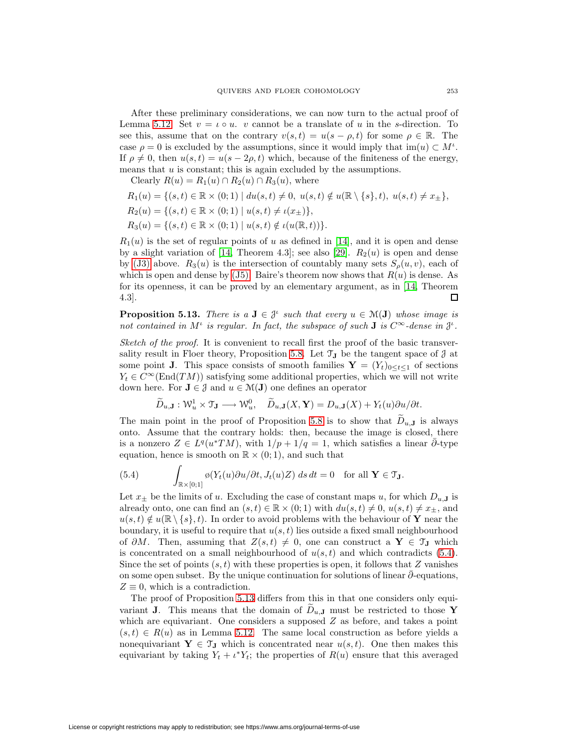After these preliminary considerations, we can now turn to the actual proof of Lemma [5.12.](#page-48-2) Set  $v = \iota \circ u$ . v cannot be a translate of u in the s-direction. To see this, assume that on the contrary  $v(s, t) = u(s - \rho, t)$  for some  $\rho \in \mathbb{R}$ . The case  $\rho = 0$  is excluded by the assumptions, since it would imply that  $\text{im}(u) \subset M^{\iota}$ . If  $\rho \neq 0$ , then  $u(s,t) = u(s-2\rho, t)$  which, because of the finiteness of the energy, means that  $u$  is constant; this is again excluded by the assumptions.

Clearly  $R(u) = R_1(u) \cap R_2(u) \cap R_3(u)$ , where

$$
R_1(u) = \{(s, t) \in \mathbb{R} \times (0; 1) \mid du(s, t) \neq 0, u(s, t) \notin u(\mathbb{R} \setminus \{s\}, t), u(s, t) \neq x_{\pm}\},
$$
  
\n
$$
R_2(u) = \{(s, t) \in \mathbb{R} \times (0; 1) \mid u(s, t) \neq \iota(x_{\pm})\},
$$
  
\n
$$
R_3(u) = \{(s, t) \in \mathbb{R} \times (0; 1) \mid u(s, t) \notin \iota(u(\mathbb{R}, t))\}.
$$

 $R_1(u)$  is the set of regular points of u as defined in [\[14\]](#page-67-23), and it is open and dense by a slight variation of [\[14,](#page-67-23) Theorem 4.3]; see also [\[29\]](#page-68-7).  $R_2(u)$  is open and dense by [\(J3\)](#page-49-1) above.  $R_3(u)$  is the intersection of countably many sets  $S_\rho(u, v)$ , each of which is open and dense by  $(J5)$ . Baire's theorem now shows that  $R(u)$  is dense. As for its openness, it can be proved by an elementary argument, as in [\[14,](#page-67-23) Theorem  $\Box$ 4.3].

<span id="page-50-1"></span>**Proposition 5.13.** There is a  $J \in \mathcal{J}^{\iota}$  such that every  $u \in \mathcal{M}(J)$  whose image is not contained in  $M^{\iota}$  is regular. In fact, the subspace of such **J** is  $C^{\infty}$ -dense in  $\mathcal{J}^{\iota}$ .

Sketch of the proof. It is convenient to recall first the proof of the basic transver-sality result in Floer theory, Proposition [5.8.](#page-46-4) Let  $\mathcal{T}_{J}$  be the tangent space of  $J$  at some point **J**. This space consists of smooth families  $\mathbf{Y} = (Y_t)_{0 \le t \le 1}$  of sections  $Y_t \in C^{\infty}(\text{End}(TM))$  satisfying some additional properties, which we will not write down here. For  $J \in \mathcal{J}$  and  $u \in \mathcal{M}(J)$  one defines an operator

$$
\widetilde{D}_{u,\mathbf{J}}: \mathcal{W}_u^1 \times \mathcal{T}_{\mathbf{J}} \longrightarrow \mathcal{W}_u^0, \quad \widetilde{D}_{u,\mathbf{J}}(X,\mathbf{Y}) = D_{u,\mathbf{J}}(X) + Y_t(u) \partial u / \partial t.
$$

The main point in the proof of Proposition [5.8](#page-46-4) is to show that  $D_{u,J}$  is always onto. Assume that the contrary holds: then, because the image is closed, there is a nonzero  $Z \in L^q(u^*TM)$ , with  $1/p + 1/q = 1$ , which satisfies a linear  $\bar{\partial}$ -type equation, hence is smooth on  $\mathbb{R} \times (0,1)$ , and such that

<span id="page-50-0"></span>(5.4) 
$$
\int_{\mathbb{R}\times[0;1]} \varphi(Y_t(u)\partial u/\partial t, J_t(u)Z) \, ds \, dt = 0 \quad \text{for all } \mathbf{Y} \in \mathfrak{I}_{\mathbf{J}}.
$$

Let  $x_{\pm}$  be the limits of u. Excluding the case of constant maps u, for which  $D_{u,\mathbf{J}}$  is already onto, one can find an  $(s, t) \in \mathbb{R} \times (0, 1)$  with  $du(s, t) \neq 0$ ,  $u(s, t) \neq x_{\pm}$ , and  $u(s, t) \notin u(\mathbb{R} \setminus \{s\}, t)$ . In order to avoid problems with the behaviour of **Y** near the boundary, it is useful to require that  $u(s, t)$  lies outside a fixed small neighbourhood of  $\partial M$ . Then, assuming that  $Z(s, t) \neq 0$ , one can construct a **Y** ∈  $\mathcal{T}_{\mathbf{J}}$  which is concentrated on a small neighbourhood of  $u(s, t)$  and which contradicts [\(5.4\)](#page-50-0). Since the set of points  $(s, t)$  with these properties is open, it follows that Z vanishes on some open subset. By the unique continuation for solutions of linear  $\bar{\partial}$ -equations,  $Z \equiv 0$ , which is a contradiction.

The proof of Proposition [5.13](#page-50-1) differs from this in that one considers only equivariant **J**. This means that the domain of  $D_{u,\mathbf{J}}$  must be restricted to those **Y** which are equivariant. One considers a supposed  $Z$  as before, and takes a point  $(s, t) \in R(u)$  as in Lemma [5.12.](#page-48-2) The same local construction as before yields a nonequivariant  $\mathbf{Y} \in \mathcal{T}_{\mathbf{J}}$  which is concentrated near  $u(s,t)$ . One then makes this equivariant by taking  $Y_t + \iota^* Y_t$ ; the properties of  $R(u)$  ensure that this averaged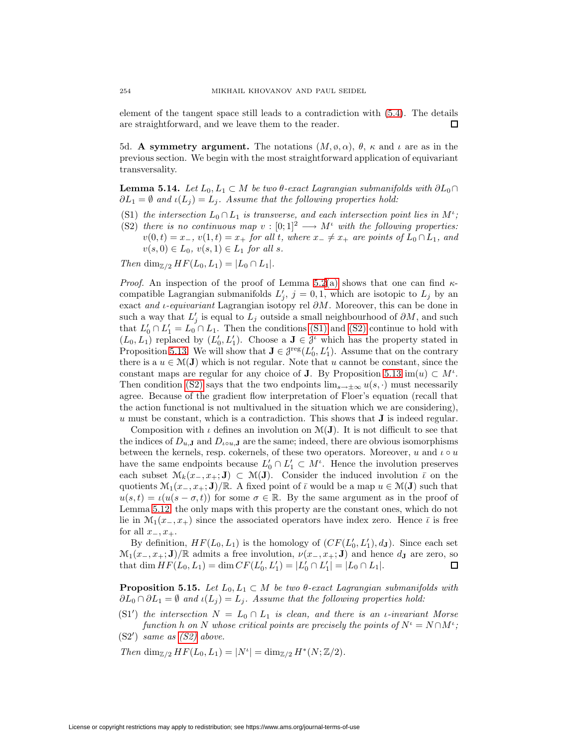element of the tangent space still leads to a contradiction with [\(5.4\)](#page-50-0). The details are straightforward, and we leave them to the reader. 口

5d. **A symmetry argument.** The notations  $(M, \varphi, \alpha)$ ,  $\theta$ ,  $\kappa$  and  $\iota$  are as in the previous section. We begin with the most straightforward application of equivariant transversality.

<span id="page-51-4"></span><span id="page-51-0"></span>**Lemma 5.14.** Let  $L_0, L_1 \subset M$  be two  $\theta$ -exact Lagrangian submanifolds with  $\partial L_0 \cap$  $\partial L_1 = \emptyset$  and  $\iota(L_i) = L_i$ . Assume that the following properties hold:

- <span id="page-51-1"></span>(S1) the intersection  $L_0 \cap L_1$  is transverse, and each intersection point lies in  $M^{\iota}$ ;
- (S2) there is no continuous map  $v : [0;1]^2 \longrightarrow M^{\iota}$  with the following properties:  $v(0, t) = x_-, v(1, t) = x_+$  for all t, where  $x_- \neq x_+$  are points of  $L_0 \cap L_1$ , and  $v(s, 0) \in L_0, v(s, 1) \in L_1$  for all s.

Then dim<sub> $\mathbb{Z}/2$ </sub>  $HF(L_0, L_1) = |L_0 \cap L_1|$ .

*Proof.* An inspection of the proof of Lemma [5.2](#page-44-2)[\(a\)](#page-44-0) shows that one can find  $\kappa$ compatible Lagrangian submanifolds  $L'_j$ ,  $j = 0, 1$ , which are isotopic to  $L_j$  by an exact and *ι-equivariant* Lagrangian isotopy rel  $\partial M$ . Moreover, this can be done in such a way that  $L'_j$  is equal to  $L_j$  outside a small neighbourhood of  $\partial M$ , and such that  $L'_0 \cap L'_1 = L_0 \cap L_1$ . Then the conditions [\(S1\)](#page-51-0) and [\(S2\)](#page-51-1) continue to hold with  $(L_0, L_1)$  replaced by  $(L'_0, L'_1)$ . Choose a  $J \in \mathcal{J}^{\iota}$  which has the property stated in Proposition [5.13.](#page-50-1) We will show that  $J \in \mathcal{J}^{\text{reg}}(L_0', L_1')$ . Assume that on the contrary there is a  $u \in \mathcal{M}(J)$  which is not regular. Note that u cannot be constant, since the constant maps are regular for any choice of **J**. By Proposition [5.13](#page-50-1) im $(u) \subset M^{\iota}$ . Then condition [\(S2\)](#page-51-1) says that the two endpoints  $\lim_{s\to\infty} u(s, \cdot)$  must necessarily agree. Because of the gradient flow interpretation of Floer's equation (recall that the action functional is not multivalued in the situation which we are considering), u must be constant, which is a contradiction. This shows that **J** is indeed regular.

Composition with  $\iota$  defines an involution on  $\mathcal{M}(\mathbf{J})$ . It is not difficult to see that the indices of  $D_{u,J}$  and  $D_{i\circ u,J}$  are the same; indeed, there are obvious isomorphisms between the kernels, resp. cokernels, of these two operators. Moreover, u and  $\iota \circ u$ have the same endpoints because  $L'_0 \cap L'_1 \subset M^{\iota}$ . Hence the involution preserves each subset  $\mathcal{M}_k(x_-, x_+; \mathbf{J}) \subset \mathcal{M}(\mathbf{J})$ . Consider the induced involution  $\bar{\iota}$  on the quotients  $\mathcal{M}_1(x_-, x_+; \mathbf{J})/\mathbb{R}$ . A fixed point of  $\bar{\iota}$  would be a map  $u \in \mathcal{M}(\mathbf{J})$  such that  $u(s,t) = \iota(u(s-\sigma,t))$  for some  $\sigma \in \mathbb{R}$ . By the same argument as in the proof of Lemma [5.12,](#page-48-2) the only maps with this property are the constant ones, which do not lie in  $\mathcal{M}_1(x_-, x_+)$  since the associated operators have index zero. Hence  $\bar{\iota}$  is free for all  $x_-, x_+$ .

By definition,  $HF(L_0, L_1)$  is the homology of  $(CF(L'_0, L'_1), d_J)$ . Since each set  $\mathcal{M}_1(x_-, x_+; \mathbf{J})/\mathbb{R}$  admits a free involution,  $\nu(x_-, x_+; \mathbf{J})$  and hence  $d_{\mathbf{J}}$  are zero, so that dim  $HF(L_0, L_1) = \dim CF(L'_0, L'_1) = |L'_0 \cap L'_1| = |L_0 \cap L_1|$ . that dim  $HF(L_0, L_1) = \dim CF(L'_0, L'_1) = |L'_0 \cap L'_1| = |L_0 \cap L_1|$ .

<span id="page-51-5"></span>**Proposition 5.15.** Let  $L_0, L_1 \subset M$  be two  $\theta$ -exact Lagrangian submanifolds with  $\partial L_0 \cap \partial L_1 = \emptyset$  and  $\iota(L_i) = L_i$ . Assume that the following properties hold:

<span id="page-51-3"></span><span id="page-51-2"></span>(S1<sup>'</sup>) the intersection  $N = L_0 \cap L_1$  is clean, and there is an *ι*-invariant Morse function h on N whose critical points are precisely the points of  $N^{\iota} = N \cap M^{\iota}$ ;  $(S2')$  same as  $(S2)$  above.

Then  $\dim_{\mathbb{Z}/2} HF(L_0, L_1) = |N^{\iota}| = \dim_{\mathbb{Z}/2} H^*(N; \mathbb{Z}/2).$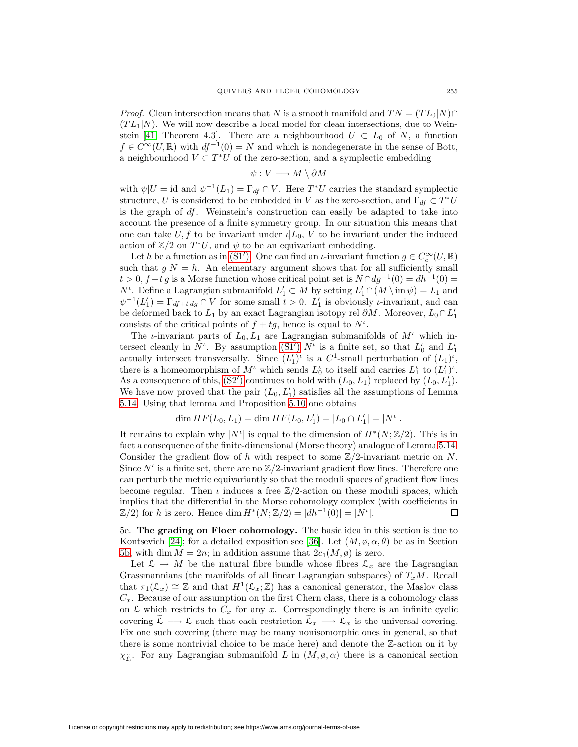*Proof.* Clean intersection means that N is a smooth manifold and  $TN = (TL_0|N) \cap$  $(TL_1|N)$ . We will now describe a local model for clean intersections, due to Wein-stein [\[41,](#page-68-9) Theorem 4.3]. There are a neighbourhood  $U \subset L_0$  of N, a function  $f \in C^{\infty}(U,\mathbb{R})$  with  $df^{-1}(0) = N$  and which is nondegenerate in the sense of Bott, a neighbourhood  $V \subset T^*U$  of the zero-section, and a symplectic embedding

$$
\psi: V \longrightarrow M \setminus \partial M
$$

with  $\psi|U = \text{id}$  and  $\psi^{-1}(L_1) = \Gamma_{df} \cap V$ . Here  $T^*U$  carries the standard symplectic structure, U is considered to be embedded in V as the zero-section, and  $\Gamma_{df} \subset T^*U$ is the graph of  $df$ . Weinstein's construction can easily be adapted to take into account the presence of a finite symmetry group. In our situation this means that one can take U, f to be invariant under  $\iota|L_0, V$  to be invariant under the induced action of  $\mathbb{Z}/2$  on  $T^*U$ , and  $\psi$  to be an equivariant embedding.

Let h be a function as in [\(S1](#page-51-2)'). One can find an  $\iota$ -invariant function  $g \in C_c^{\infty}(U,\mathbb{R})$ such that  $g/N = h$ . An elementary argument shows that for all sufficiently small  $t > 0$ ,  $f + tg$  is a Morse function whose critical point set is  $N \cap dg^{-1}(0) = dh^{-1}(0) =$  $N^{\iota}$ . Define a Lagrangian submanifold  $L'_1 \subset M$  by setting  $L'_1 \cap (M \setminus \text{im } \psi) = L_1$  and  $\psi^{-1}(L'_1) = \Gamma_{df+tdg} \cap V$  for some small  $t > 0$ .  $L'_1$  is obviously *ι*-invariant, and can be deformed back to  $L_1$  by an exact Lagrangian isotopy rel  $\partial M$ . Moreover,  $L_0 \cap L_1'$ consists of the critical points of  $f + tg$ , hence is equal to  $N^{\iota}$ .

The *ι*-invariant parts of  $L_0, L_1$  are Lagrangian submanifolds of  $M<sup>t</sup>$  which intersect cleanly in  $N^{\iota}$ . By assumption [\(S1](#page-51-2)')  $N^{\iota}$  is a finite set, so that  $L_0^{\iota}$  and  $L_1^{\iota}$ actually intersect transversally. Since  $(L'_1)^{\iota}$  is a  $C^1$ -small perturbation of  $(L_1)^{\iota}$ , there is a homeomorphism of  $M^{\iota}$  which sends  $L_0^{\iota}$  to itself and carries  $L_1^{\iota}$  to  $(L_1')^{\iota}$ . As a consequence of this,  $(S2')$  continues to hold with  $(L_0, L_1)$  replaced by  $(L_0, L'_1)$ . We have now proved that the pair  $(L_0, L'_1)$  satisfies all the assumptions of Lemma [5.14.](#page-51-4) Using that lemma and Proposition [5.10](#page-47-0) one obtains

$$
\dim HF(L_0, L_1) = \dim HF(L_0, L'_1) = |L_0 \cap L'_1| = |N^{\iota}|.
$$

It remains to explain why  $|N^{\iota}|$  is equal to the dimension of  $H^*(N; \mathbb{Z}/2)$ . This is in fact a consequence of the finite-dimensional (Morse theory) analogue of Lemma [5.14.](#page-51-4) Consider the gradient flow of h with respect to some  $\mathbb{Z}/2$ -invariant metric on N. Since  $N^{\iota}$  is a finite set, there are no  $\mathbb{Z}/2$ -invariant gradient flow lines. Therefore one can perturb the metric equivariantly so that the moduli spaces of gradient flow lines become regular. Then  $\iota$  induces a free  $\mathbb{Z}/2$ -action on these moduli spaces, which implies that the differential in the Morse cohomology complex (with coefficients in  $\mathbb{Z}/2$ ) for h is zero. Hence dim  $H^*(N;\mathbb{Z}/2) = |dh^{-1}(0)| = |N^{\iota}|$ .  $\Box$ 

<span id="page-52-0"></span>5e. **The grading on Floer cohomology.** The basic idea in this section is due to Kontsevich [\[24\]](#page-67-2); for a detailed exposition see [\[36\]](#page-68-10). Let  $(M, \phi, \alpha, \theta)$  be as in Section [5b,](#page-45-3) with dim  $M = 2n$ ; in addition assume that  $2c_1(M, \phi)$  is zero.

Let  $\mathcal{L} \to M$  be the natural fibre bundle whose fibres  $\mathcal{L}_x$  are the Lagrangian Grassmannians (the manifolds of all linear Lagrangian subspaces) of  $T_xM$ . Recall that  $\pi_1(\mathcal{L}_x) \cong \mathbb{Z}$  and that  $H^1(\mathcal{L}_x; \mathbb{Z})$  has a canonical generator, the Maslov class  $C_x$ . Because of our assumption on the first Chern class, there is a cohomology class on  $\mathcal L$  which restricts to  $C_x$  for any x. Correspondingly there is an infinite cyclic covering  $\widetilde{\mathcal{L}} \longrightarrow \mathcal{L}$  such that each restriction  $\mathcal{L}_x \longrightarrow \mathcal{L}_x$  is the universal covering. Fix one such covering (there may be many nonisomorphic ones in general, so that there is some nontrivial choice to be made here) and denote the Z-action on it by  $\chi_{\tilde{L}}$ . For any Lagrangian submanifold L in  $(M, \emptyset, \alpha)$  there is a canonical section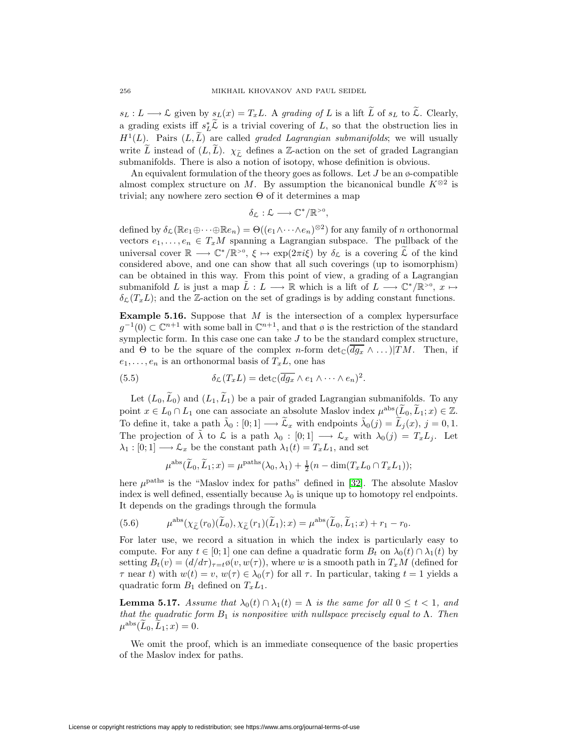$s_L : L \longrightarrow L$  given by  $s_L(x) = T_xL$ . A grading of L is a lift  $\widetilde{L}$  of  $s_L$  to  $\widetilde{\mathcal{L}}$ . Clearly, a grading exists iff  $s_L^* \mathcal{L}$  is a trivial covering of L, so that the obstruction lies in  $H<sup>1</sup>(L)$ . Pairs  $(L, L)$  are called *graded Lagrangian submanifolds*; we will usually write  $\tilde{L}$  instead of  $(L,\tilde{L})$ .  $\chi_{\tilde{L}}$  defines a Z-action on the set of graded Lagrangian submanifolds. There is also a notion of isotopy, whose definition is obvious.

An equivalent formulation of the theory goes as follows. Let  $J$  be an  $\phi$ -compatible almost complex structure on M. By assumption the bicanonical bundle  $K^{\otimes 2}$  is trivial; any nowhere zero section  $\Theta$  of it determines a map

$$
\delta_{\mathcal{L}}:\mathcal{L}\longrightarrow \mathbb{C}^*/\mathbb{R}^{>0},
$$

defined by  $\delta_{\mathcal{L}}(\mathbb{R}e_1\oplus\cdots\oplus\mathbb{R}e_n)=\Theta((e_1\wedge\cdots\wedge e_n)^{\otimes 2})$  for any family of n orthonormal vectors  $e_1, \ldots, e_n \in T_xM$  spanning a Lagrangian subspace. The pullback of the universal cover  $\mathbb{R} \longrightarrow \mathbb{C}^*/\mathbb{R}^{>0}$ ,  $\xi \mapsto \exp(2\pi i \xi)$  by  $\delta_{\mathcal{L}}$  is a covering  $\mathcal L$  of the kind considered above, and one can show that all such coverings (up to isomorphism) can be obtained in this way. From this point of view, a grading of a Lagrangian submanifold L is just a map  $L: L \longrightarrow \mathbb{R}$  which is a lift of  $L \longrightarrow \mathbb{C}^*/\mathbb{R}^{>0}$ ,  $x \mapsto$  $\delta_{\mathcal{L}}(T_{\tau}L)$ ; and the Z-action on the set of gradings is by adding constant functions.

**Example 5.16.** Suppose that M is the intersection of a complex hypersurface  $g^{-1}(0) \subset \mathbb{C}^{n+1}$  with some ball in  $\mathbb{C}^{n+1}$ , and that ø is the restriction of the standard symplectic form. In this case one can take  $J$  to be the standard complex structure, and  $\Theta$  to be the square of the complex *n*-form  $\det_{\mathbb{C}}(\overline{dg_x} \wedge \dots)$ |TM. Then, if  $e_1, \ldots, e_n$  is an orthonormal basis of  $T_xL$ , one has

<span id="page-53-0"></span>(5.5) 
$$
\delta_{\mathcal{L}}(T_xL) = \det_{\mathbb{C}}(\overline{dg_x} \wedge e_1 \wedge \cdots \wedge e_n)^2.
$$

Let  $(L_0, \widetilde{L}_0)$  and  $(L_1, \widetilde{L}_1)$  be a pair of graded Lagrangian submanifolds. To any point  $x \in L_0 \cap L_1$  one can associate an absolute Maslov index  $\mu^{abs}(\widetilde{L}_0, \widetilde{L}_1; x) \in \mathbb{Z}$ . To define it, take a path  $\tilde{\lambda}_0 : [0; 1] \longrightarrow \tilde{\mathcal{L}}_x$  with endpoints  $\tilde{\lambda}_0(j) = \tilde{L}_j(x)$ ,  $j = 0, 1$ . The projection of  $\lambda$  to  $\mathcal L$  is a path  $\lambda_0 : [0;1] \longrightarrow \mathcal L_x$  with  $\lambda_0(j) = T_xL_j$ . Let  $\lambda_1 : [0;1] \longrightarrow \mathcal{L}_x$  be the constant path  $\lambda_1(t) = T_x L_1$ , and set

$$
\mu^{\text{abs}}(\widetilde{L}_0, \widetilde{L}_1; x) = \mu^{\text{paths}}(\lambda_0, \lambda_1) + \frac{1}{2}(n - \dim(T_x L_0 \cap T_x L_1));
$$

here  $\mu^{\text{paths}}$  is the "Maslov index for paths" defined in [\[32\]](#page-68-11). The absolute Maslov index is well defined, essentially because  $\lambda_0$  is unique up to homotopy rel endpoints. It depends on the gradings through the formula

(5.6) 
$$
\mu^{\text{abs}}(\chi_{\widetilde{\mathcal{L}}}(r_0)(\widetilde{L}_0), \chi_{\widetilde{\mathcal{L}}}(r_1)(\widetilde{L}_1); x) = \mu^{\text{abs}}(\widetilde{L}_0, \widetilde{L}_1; x) + r_1 - r_0.
$$

For later use, we record a situation in which the index is particularly easy to compute. For any  $t \in [0; 1]$  one can define a quadratic form  $B_t$  on  $\lambda_0(t) \cap \lambda_1(t)$  by setting  $B_t(v)=(d/d\tau)_{\tau=t}\mathfrak{g}(v,w(\tau))$ , where w is a smooth path in  $T_xM$  (defined for  $\tau$  near t) with  $w(t) = v$ ,  $w(\tau) \in \lambda_0(\tau)$  for all  $\tau$ . In particular, taking  $t = 1$  yields a quadratic form  $B_1$  defined on  $T_xL_1$ .

<span id="page-53-1"></span>**Lemma 5.17.** Assume that  $\lambda_0(t) \cap \lambda_1(t) = \Lambda$  is the same for all  $0 \le t < 1$ , and that the quadratic form  $B_1$  is nonpositive with nullspace precisely equal to  $\Lambda$ . Then  $\mu^{abs}(L_0, L_1; x) = 0.$ 

We omit the proof, which is an immediate consequence of the basic properties of the Maslov index for paths.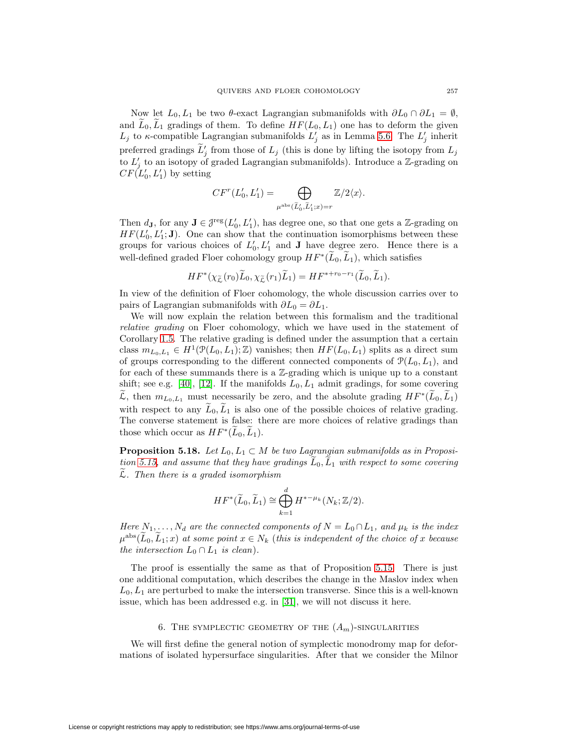Now let  $L_0, L_1$  be two  $\theta$ -exact Lagrangian submanifolds with  $\partial L_0 \cap \partial L_1 = \emptyset$ , and  $L_0, L_1$  gradings of them. To define  $HF(L_0, L_1)$  one has to deform the given  $L_j$  to  $\kappa$ -compatible Lagrangian submanifolds  $L'_j$  as in Lemma [5.6.](#page-46-3) The  $L'_j$  inherit preferred gradings  $L'_j$  from those of  $L_j$  (this is done by lifting the isotopy from  $L_j$ to  $L'_j$  to an isotopy of graded Lagrangian submanifolds). Introduce a Z-grading on  $CF(L'_0, L'_1)$  by setting

$$
CF^{r}(L'_{0}, L'_{1}) = \bigoplus_{\mu^{abs}(\widetilde{L}'_{0}, \widetilde{L}'_{1}; x) = r} \mathbb{Z}/2\langle x \rangle.
$$

Then  $d_{\mathbf{J}}$ , for any  $\mathbf{J} \in \mathcal{J}^{\text{reg}}(L_0', L_1')$ , has degree one, so that one gets a Z-grading on  $HF(L'_0, L'_1; \mathbf{J})$ . One can show that the continuation isomorphisms between these groups for various choices of  $L'_0, L'_1$  and **J** have degree zero. Hence there is a well-defined graded Floer cohomology group  $HF^*(L_0,L_1)$ , which satisfies

$$
HF^*(\chi_{\widetilde{\mathcal{L}}}(r_0)\widetilde{L}_0,\chi_{\widetilde{\mathcal{L}}}(r_1)\widetilde{L}_1)=HF^{*+r_0-r_1}(\widetilde{L}_0,\widetilde{L}_1).
$$

In view of the definition of Floer cohomology, the whole discussion carries over to pairs of Lagrangian submanifolds with  $\partial L_0 = \partial L_1$ .

We will now explain the relation between this formalism and the traditional relative grading on Floer cohomology, which we have used in the statement of Corollary [1.5.](#page-6-0) The relative grading is defined under the assumption that a certain class  $m_{L_0,L_1} \in H^1(\mathcal{P}(L_0,L_1);\mathbb{Z})$  vanishes; then  $HF(L_0,L_1)$  splits as a direct sum of groups corresponding to the different connected components of  $\mathcal{P}(L_0, L_1)$ , and for each of these summands there is a  $\mathbb{Z}$ -grading which is unique up to a constant shift; see e.g. [\[40\]](#page-68-12), [\[12\]](#page-67-25). If the manifolds  $L_0, L_1$  admit gradings, for some covering  $\mathcal{L}$ , then  $m_{L_0,L_1}$  must necessarily be zero, and the absolute grading  $HF^*(L_0,L_1)$ with respect to any  $\widetilde{L}_0, \widetilde{L}_1$  is also one of the possible choices of relative grading. The converse statement is false: there are more choices of relative gradings than those which occur as  $HF^*(\widetilde{L}_0,\widetilde{L}_1)$ .

<span id="page-54-0"></span>**Proposition 5.18.** Let  $L_0, L_1 \subset M$  be two Lagrangian submanifolds as in Proposi-tion [5.15,](#page-51-5) and assume that they have gradings  $\tilde{L}_0$ ,  $\tilde{L}_1$  with respect to some covering  $\tilde{\mathcal{L}}$ . Then there is a graded isomorphism

$$
HF^*(\widetilde{L}_0, \widetilde{L}_1) \cong \bigoplus_{k=1}^d H^{*-\mu_k}(N_k; \mathbb{Z}/2).
$$

Here  $N_1, \ldots, N_d$  are the connected components of  $N = L_0 \cap L_1$ , and  $\mu_k$  is the index  $\mu^{abs}(L_0, L_1; x)$  at some point  $x \in N_k$  (this is independent of the choice of x because the intersection  $L_0 \cap L_1$  is clean).

The proof is essentially the same as that of Proposition [5.15.](#page-51-5) There is just one additional computation, which describes the change in the Maslov index when  $L_0, L_1$  are perturbed to make the intersection transverse. Since this is a well-known issue, which has been addressed e.g. in [\[31\]](#page-68-13), we will not discuss it here.

### 6. THE SYMPLECTIC GEOMETRY OF THE  $(A_m)$ -SINGULARITIES

We will first define the general notion of symplectic monodromy map for deformations of isolated hypersurface singularities. After that we consider the Milnor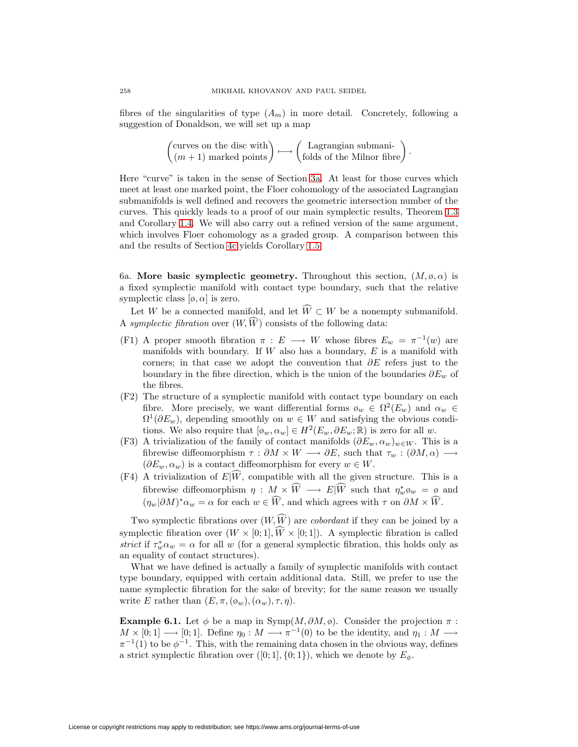fibres of the singularities of type  $(A_m)$  in more detail. Concretely, following a suggestion of Donaldson, we will set up a map

$$
\begin{pmatrix} \text{curves on the disc with} \\ (m+1) \text{ marked points} \end{pmatrix} \longmapsto \begin{pmatrix} \text{Lagrangian submani-} \\ \text{folds of the Milnor fibre} \end{pmatrix}.
$$

Here "curve" is taken in the sense of Section [3a.](#page-16-2) At least for those curves which meet at least one marked point, the Floer cohomology of the associated Lagrangian submanifolds is well defined and recovers the geometric intersection number of the curves. This quickly leads to a proof of our main symplectic results, Theorem [1.3](#page-5-2) and Corollary [1.4.](#page-5-3) We will also carry out a refined version of the same argument, which involves Floer cohomology as a graded group. A comparison between this and the results of Section [4c](#page-40-0) yields Corollary [1.5.](#page-6-0)

6a. **More basic symplectic geometry.** Throughout this section,  $(M, \phi, \alpha)$  is a fixed symplectic manifold with contact type boundary, such that the relative symplectic class  $[\varphi, \alpha]$  is zero.

Let W be a connected manifold, and let  $W \subset W$  be a nonempty submanifold. A symplectic fibration over  $(W, W)$  consists of the following data:

- (F1) A proper smooth fibration  $\pi : E \longrightarrow W$  whose fibres  $E_w = \pi^{-1}(w)$  are manifolds with boundary. If  $W$  also has a boundary,  $E$  is a manifold with corners; in that case we adopt the convention that  $\partial E$  refers just to the boundary in the fibre direction, which is the union of the boundaries  $\partial E_w$  of the fibres.
- (F2) The structure of a symplectic manifold with contact type boundary on each fibre. More precisely, we want differential forms  $\varphi_w \in \Omega^2(E_w)$  and  $\alpha_w \in$  $\Omega^1(\partial E_w)$ , depending smoothly on  $w \in W$  and satisfying the obvious conditions. We also require that  $[\phi_w, \alpha_w] \in H^2(E_w, \partial E_w; \mathbb{R})$  is zero for all w.
- (F3) A trivialization of the family of contact manifolds  $(\partial E_w, \alpha_w)_{w \in W}$ . This is a fibrewise diffeomorphism  $\tau : \partial M \times W \longrightarrow \partial E$ , such that  $\tau_w : (\partial M, \alpha) \longrightarrow$  $(\partial E_w, \alpha_w)$  is a contact diffeomorphism for every  $w \in W$ .
- (F4) A trivialization of  $E|W$ , compatible with all the given structure. This is a fibrewise diffeomorphism  $\eta : M \times W \longrightarrow E|W$  such that  $\eta_w^* \mathfrak{g}_w = \mathfrak{g}$  and  $(\eta_w|\partial M)^*\alpha_w = \alpha$  for each  $w \in W$ , and which agrees with  $\tau$  on  $\partial M \times W$ .

Two symplectic fibrations over  $(W, W)$  are *cobordant* if they can be joined by a symplectic fibration over  $(W \times [0,1], W \times [0,1])$ . A symplectic fibration is called strict if  $\tau_w^* \alpha_w = \alpha$  for all w (for a general symplectic fibration, this holds only as an equality of contact structures).

What we have defined is actually a family of symplectic manifolds with contact type boundary, equipped with certain additional data. Still, we prefer to use the name symplectic fibration for the sake of brevity; for the same reason we usually write E rather than  $(E, \pi, (\phi_w), (\alpha_w), \tau, \eta)$ .

<span id="page-55-0"></span>**Example 6.1.** Let  $\phi$  be a map in Symp $(M, \partial M, \phi)$ . Consider the projection  $\pi$ :  $M \times [0,1] \longrightarrow [0,1].$  Define  $\eta_0 : M \longrightarrow \pi^{-1}(0)$  to be the identity, and  $\eta_1 : M \longrightarrow$  $\pi^{-1}(1)$  to be  $\phi^{-1}$ . This, with the remaining data chosen in the obvious way, defines a strict symplectic fibration over  $([0; 1], \{0; 1\})$ , which we denote by  $E_{\phi}$ .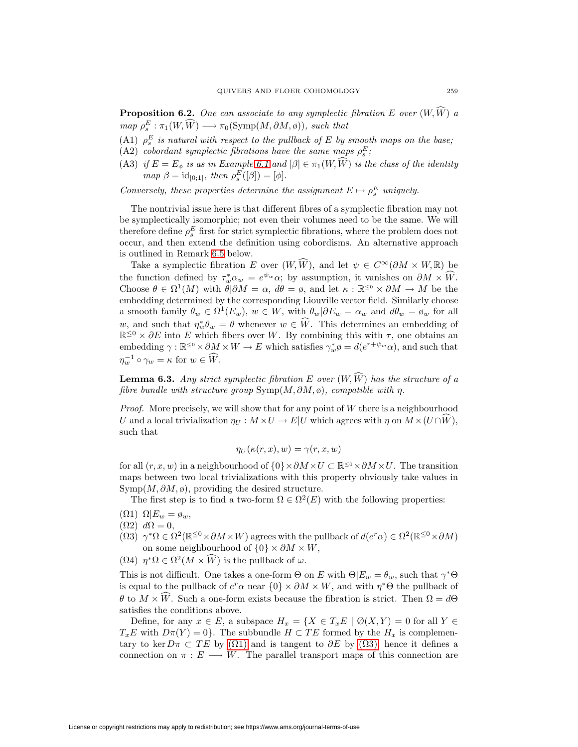<span id="page-56-3"></span>**Proposition 6.2.** One can associate to any symplectic fibration  $E$  over  $(W, W)$  a  $map \ \rho_s^E : \pi_1(W, \widehat{W}) \longrightarrow \pi_0(\mathrm{Symp}(M, \partial M, \emptyset)), \ such \ that$ 

- <span id="page-56-5"></span>(A1)  $\rho_s^E$  is natural with respect to the pullback of E by smooth maps on the base;
- <span id="page-56-6"></span>(A2) cobordant symplectic fibrations have the same maps  $\rho_s^E$ ;
- (A3) if  $E = E_{\phi}$  is as in Example [6.1](#page-55-0) and  $[\beta] \in \pi_1(W, W)$  is the class of the identity  $map \ \beta = id_{[0,1]}, \ then \ \rho_s^E([\beta]) = [\phi].$

Conversely, these properties determine the assignment  $E \mapsto \rho_s^E$  uniquely.

The nontrivial issue here is that different fibres of a symplectic fibration may not be symplectically isomorphic; not even their volumes need to be the same. We will therefore define  $\rho_s^E$  first for strict symplectic fibrations, where the problem does not occur, and then extend the definition using cobordisms. An alternative approach is outlined in Remark [6.5](#page-57-0) below.

Take a symplectic fibration E over  $(W, W)$ , and let  $\psi \in C^{\infty}(\partial M \times W, \mathbb{R})$  be the function defined by  $\tau_w^* \alpha_w = e^{\psi_w} \alpha$ ; by assumption, it vanishes on  $\partial M \times \widehat{W}$ . Choose  $\theta \in \Omega^1(M)$  with  $\theta | \partial M = \alpha$ ,  $d\theta = \emptyset$ , and let  $\kappa : \mathbb{R}^{\leq 0} \times \partial M \to M$  be the embedding determined by the corresponding Liouville vector field. Similarly choose a smooth family  $\theta_w \in \Omega^1(E_w)$ ,  $w \in W$ , with  $\theta_w | \partial E_w = \alpha_w$  and  $d\theta_w = \phi_w$  for all w, and such that  $\eta_w^* \theta_w = \theta$  whenever  $w \in W$ . This determines an embedding of  $\mathbb{R}^{\leq 0} \times \partial E$  into E which fibers over W. By combining this with  $\tau$ , one obtains an embedding  $\gamma : \mathbb{R}^{\leq 0} \times \partial M \times W \to E$  which satisfies  $\gamma_w^* \phi = d(e^{r+\psi_w}\alpha)$ , and such that  $\eta_w^{-1} \circ \gamma_w = \kappa \text{ for } w \in W.$ 

<span id="page-56-4"></span>**Lemma 6.3.** Any strict symplectic fibration  $E$  over  $(W, W)$  has the structure of a fibre bundle with structure group  $\text{Symp}(M, \partial M, \emptyset)$ , compatible with  $\eta$ .

*Proof.* More precisely, we will show that for any point of  $W$  there is a neighbourhood U and a local trivialization  $\eta_U : M \times U \to E|U$  which agrees with  $\eta$  on  $M \times (U \cap W)$ , such that

$$
\eta_U(\kappa(r,x),w) = \gamma(r,x,w)
$$

for all  $(r, x, w)$  in a neighbourhood of  $\{0\} \times \partial M \times U \subset \mathbb{R}^{\leq 0} \times \partial M \times U$ . The transition maps between two local trivializations with this property obviously take values in  $Symp(M, \partial M, \emptyset)$ , providing the desired structure.

The first step is to find a two-form  $\Omega \in \Omega^2(E)$  with the following properties:

- <span id="page-56-2"></span><span id="page-56-0"></span>(Ω1)  $Ω|E_w = φ_w$ ,
- $(\Omega 2) d\Omega = 0,$
- <span id="page-56-1"></span> $(Ω3) \gamma^*Ω \in \Omega^2(\mathbb{R}^{\leq 0} \times \partial M \times W)$  agrees with the pullback of  $d(e^r α) \in \Omega^2(\mathbb{R}^{\leq 0} \times \partial M)$ on some neighbourhood of  $\{0\} \times \partial M \times W$ ,
- ( $\Omega$ 4)  $\eta^*\Omega \in \Omega^2(M \times \widehat{W})$  is the pullback of  $\omega$ .

This is not difficult. One takes a one-form  $\Theta$  on E with  $\Theta | E_w = \theta_w$ , such that  $\gamma^* \Theta$ is equal to the pullback of  $e^r \alpha$  near  $\{0\} \times \partial M \times W$ , and with  $\eta^* \Theta$  the pullback of  $\theta$  to  $M \times W$ . Such a one-form exists because the fibration is strict. Then  $\Omega = d\Theta$ satisfies the conditions above.

Define, for any  $x \in E$ , a subspace  $H_x = \{X \in T_x E \mid \emptyset(X, Y) = 0 \text{ for all } Y \in E\}$  $T_xE$  with  $D\pi(Y) = 0$ . The subbundle  $H \subset TE$  formed by the  $H_x$  is complementary to ker  $D\pi \subset TE$  by  $(\Omega 1)$  and is tangent to  $\partial E$  by  $(\Omega 3)$ ; hence it defines a connection on  $\pi : E \longrightarrow W$ . The parallel transport maps of this connection are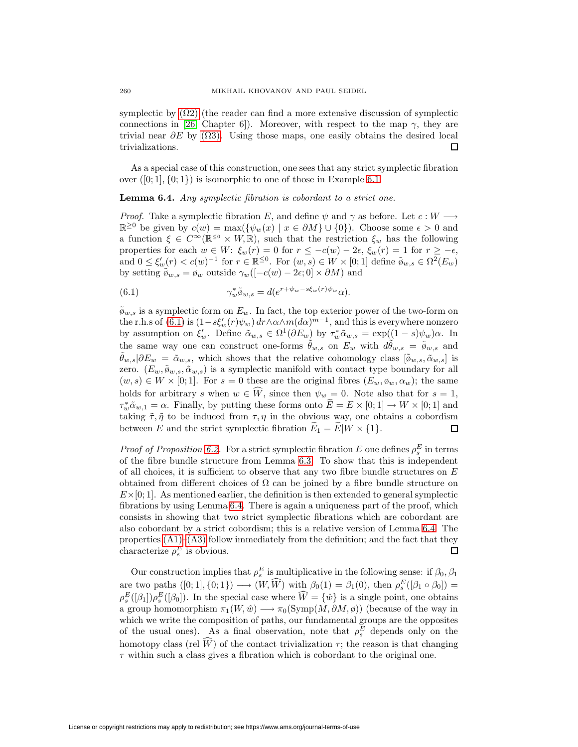symplectic by  $(\Omega 2)$  (the reader can find a more extensive discussion of symplectic connections in [\[26,](#page-67-26) Chapter 6]). Moreover, with respect to the map  $\gamma$ , they are trivial near  $\partial E$  by ( $\Omega$ 3). Using those maps, one easily obtains the desired local trivializations.  $\Box$ 

<span id="page-57-2"></span>As a special case of this construction, one sees that any strict symplectic fibration over  $([0; 1], \{0; 1\})$  is isomorphic to one of those in Example [6.1.](#page-55-0)

#### **Lemma 6.4.** Any symplectic fibration is cobordant to a strict one.

*Proof.* Take a symplectic fibration E, and define  $\psi$  and  $\gamma$  as before. Let  $c : W \longrightarrow$  $\mathbb{R}^{\geq 0}$  be given by  $c(w) = \max({\psi_w(x) \mid x \in \partial M} \cup {0}).$  Choose some  $\epsilon > 0$  and a function  $\xi \in C^{\infty}(\mathbb{R}^{\leq 0} \times W, \mathbb{R})$ , such that the restriction  $\xi_w$  has the following properties for each  $w \in W$ :  $\xi_w(r) = 0$  for  $r \leq -c(w) - 2\epsilon$ ,  $\xi_w(r) = 1$  for  $r \geq -\epsilon$ , and  $0 \leq \xi'_w(r) < c(w)^{-1}$  for  $r \in \mathbb{R}^{\leq 0}$ . For  $(w, s) \in W \times [0, 1]$  define  $\tilde{\phi}_{w, s} \in \Omega^2(E_w)$ by setting  $\tilde{\phi}_{w,s} = \phi_w$  outside  $\gamma_w([-c(w) - 2\epsilon; 0] \times \partial M)$  and

<span id="page-57-1"></span>(6.1) 
$$
\gamma_w^* \tilde{\phi}_{w,s} = d(e^{r+\psi_w - s\xi_w(r)\psi_w} \alpha).
$$

 $\tilde{\varphi}_{w,s}$  is a symplectic form on  $E_w$ . In fact, the top exterior power of the two-form on the r.h.s of [\(6.1\)](#page-57-1) is  $(1-s\xi_w'(r)\psi_w) dr \wedge \alpha \wedge m(d\alpha)^{m-1}$ , and this is everywhere nonzero by assumption on  $\xi'_{w}$ . Define  $\tilde{\alpha}_{w,s} \in \Omega^1(\partial E_w)$  by  $\tau_w^* \tilde{\alpha}_{w,s} = \exp((1-s)\psi_w)\alpha$ . In the same way one can construct one-forms  $\theta_{w,s}$  on  $E_w$  with  $d\theta_{w,s} = \tilde{\phi}_{w,s}$  and  $\tilde{\theta}_{w,s}|\partial E_w = \tilde{\alpha}_{w,s}$ , which shows that the relative cohomology class  $[\tilde{\phi}_{w,s}, \tilde{\alpha}_{w,s}]$  is zero.  $(E_w, \tilde{\phi}_{w,s}, \tilde{\alpha}_{w,s})$  is a symplectic manifold with contact type boundary for all  $(w, s) \in W \times [0, 1]$ . For  $s = 0$  these are the original fibres  $(E_w, \phi_w, \alpha_w)$ ; the same holds for arbitrary s when  $w \in W$ , since then  $\psi_w = 0$ . Note also that for  $s = 1$ ,  $\tau_w^* \tilde{\alpha}_{w,1} = \alpha$ . Finally, by putting these forms onto  $E = E \times [0,1] \rightarrow W \times [0,1]$  and taking  $\tilde{\tau}, \tilde{\eta}$  to be induced from  $\tau, \eta$  in the obvious way, one obtains a cobordism between E and the strict symplectic fibration  $E_1 = E|W \times \{1\}.$ □

*Proof of Proposition [6.2.](#page-56-3)* For a strict symplectic fibration E one defines  $\rho_s^E$  in terms of the fibre bundle structure from Lemma [6.3.](#page-56-4) To show that this is independent of all choices, it is sufficient to observe that any two fibre bundle structures on  $E$ obtained from different choices of  $\Omega$  can be joined by a fibre bundle structure on  $E\times[0,1]$ . As mentioned earlier, the definition is then extended to general symplectic fibrations by using Lemma [6.4.](#page-57-2) There is again a uniqueness part of the proof, which consists in showing that two strict symplectic fibrations which are cobordant are also cobordant by a strict cobordism; this is a relative version of Lemma [6.4.](#page-57-2) The properties  $(A1)$ – $(A3)$  follow immediately from the definition; and the fact that they characterize  $\rho_s^E$  is obvious. 口

<span id="page-57-0"></span>Our construction implies that  $\rho_s^E$  is multiplicative in the following sense: if  $\beta_0$ ,  $\beta_1$ are two paths  $([0; 1], \{0; 1\}) \longrightarrow (W, \widehat{W})$  with  $\beta_0(1) = \beta_1(0)$ , then  $\rho_s^E([\beta_1 \circ \beta_0]) =$  $\rho_s^E([\beta_1])\rho_s^E([\beta_0])$ . In the special case where  $\widehat{W} = {\hat{w}}\}$  is a single point, one obtains a group homomorphism  $\pi_1(W, \hat{w}) \longrightarrow \pi_0(\mathrm{Symp}(M, \partial M, \phi))$  (because of the way in which we write the composition of paths, our fundamental groups are the opposites of the usual ones). As a final observation, note that  $\rho_s^E$  depends only on the homotopy class (rel  $W$ ) of the contact trivialization  $\tau$ ; the reason is that changing  $\tau$  within such a class gives a fibration which is cobordant to the original one.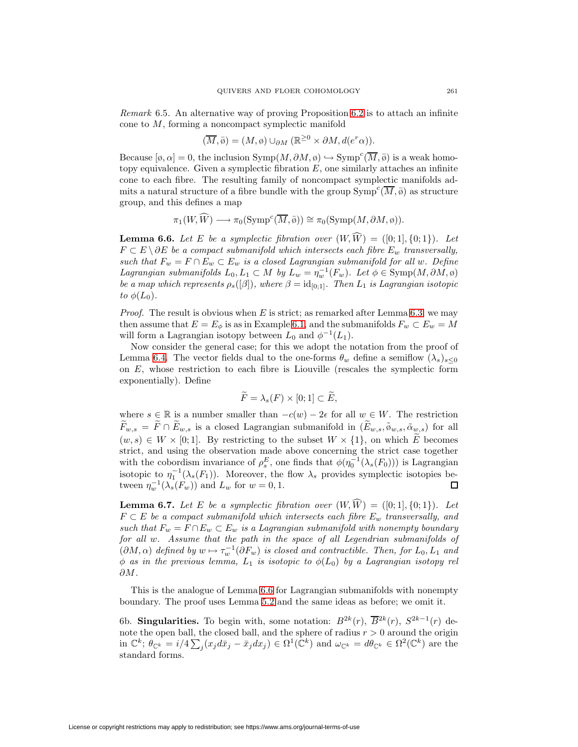Remark 6.5. An alternative way of proving Proposition [6.2](#page-56-3) is to attach an infinite cone to M, forming a noncompact symplectic manifold

$$
(\overline{M}, \overline{\phi}) = (M, \phi) \cup_{\partial M} (\mathbb{R}^{\geq 0} \times \partial M, d(e^r \alpha)).
$$

Because  $[\emptyset, \alpha] = 0$ , the inclusion  $\text{Symp}(M, \partial M, \emptyset) \hookrightarrow \text{Symp}^c(\overline{M}, \overline{\emptyset})$  is a weak homotopy equivalence. Given a symplectic fibration  $E$ , one similarly attaches an infinite cone to each fibre. The resulting family of noncompact symplectic manifolds admits a natural structure of a fibre bundle with the group  $\text{Symp}^c(\overline{M}, \overline{\phi})$  as structure group, and this defines a map

$$
\pi_1(W, \widehat{W}) \longrightarrow \pi_0(\operatorname{Symp}^c(\overline{M}, \overline{\emptyset})) \cong \pi_0(\operatorname{Symp}(M, \partial M, \emptyset)).
$$

<span id="page-58-0"></span>**Lemma 6.6.** Let E be a symplectic fibration over  $(W, W) = ([0, 1], \{0, 1\})$ . Let  $F \subset E \setminus \partial E$  be a compact submanifold which intersects each fibre  $E_w$  transversally, such that  $F_w = F \cap E_w \subset E_w$  is a closed Lagrangian submanifold for all w. Define Lagrangian submanifolds  $L_0, L_1 \subset M$  by  $L_w = \eta_w^{-1}(F_w)$ . Let  $\phi \in \text{Symp}(M, \partial M, \phi)$ be a map which represents  $\rho_s([\beta])$ , where  $\beta = id_{[0,1]}$ . Then  $L_1$  is Lagrangian isotopic to  $\phi(L_0)$ .

*Proof.* The result is obvious when  $E$  is strict; as remarked after Lemma [6.3,](#page-56-4) we may then assume that  $E = E_{\phi}$  is as in Example [6.1,](#page-55-0) and the submanifolds  $F_w \subset E_w = M$ will form a Lagrangian isotopy between  $L_0$  and  $\phi^{-1}(L_1)$ .

Now consider the general case; for this we adopt the notation from the proof of Lemma [6.4.](#page-57-2) The vector fields dual to the one-forms  $\theta_w$  define a semiflow  $(\lambda_s)_{s\leq 0}$ on  $E$ , whose restriction to each fibre is Liouville (rescales the symplectic form exponentially). Define

$$
\widetilde{F} = \lambda_s(F) \times [0;1] \subset \widetilde{E},
$$

where  $s \in \mathbb{R}$  is a number smaller than  $-c(w) - 2\epsilon$  for all  $w \in W$ . The restriction  $\widetilde{F}_{w,s} = \widetilde{F} \cap \widetilde{E}_{w,s}$  is a closed Lagrangian submanifold in  $(\widetilde{E}_{w,s}, \widetilde{\phi}_{w,s}, \widetilde{\alpha}_{w,s})$  for all  $(w, s) \in W \times [0, 1]$ . By restricting to the subset  $W \times \{1\}$ , on which E becomes strict, and using the observation made above concerning the strict case together with the cobordism invariance of  $\rho_s^E$ , one finds that  $\phi(\eta_0^{-1}(\lambda_s(F_0)))$  is Lagrangian isotopic to  $\eta_1^{-1}(\lambda_s(F_1))$ . Moreover, the flow  $\lambda_s$  provides symplectic isotopies between  $\eta_w^{-1}(\lambda_s(F_w))$  and  $L_w$  for  $w = 0, 1$ . □

<span id="page-58-1"></span>**Lemma 6.7.** Let E be a symplectic fibration over  $(W, W) = ([0, 1], \{0, 1\})$ . Let  $F \subset E$  be a compact submanifold which intersects each fibre  $E_w$  transversally, and such that  $F_w = F \cap E_w \subset E_w$  is a Lagrangian submanifold with nonempty boundary for all w. Assume that the path in the space of all Legendrian submanifolds of  $(\partial M, \alpha)$  defined by  $w \mapsto \tau_w^{-1}(\partial F_w)$  is closed and contractible. Then, for  $L_0, L_1$  and  $\phi$  as in the previous lemma,  $L_1$  is isotopic to  $\phi(L_0)$  by a Lagrangian isotopy rel ∂M.

This is the analogue of Lemma [6.6](#page-58-0) for Lagrangian submanifolds with nonempty boundary. The proof uses Lemma [5.2](#page-44-2) and the same ideas as before; we omit it.

6b. **Singularities.** To begin with, some notation:  $B^{2k}(r)$ ,  $\overline{B}^{2k}(r)$ ,  $S^{2k-1}(r)$  denote the open ball, the closed ball, and the sphere of radius  $r > 0$  around the origin in  $\mathbb{C}^k$ ;  $\theta_{\mathbb{C}^k} = i/4 \sum_j (x_j d\bar{x}_j - \bar{x}_j dx_j) \in \Omega^1(\mathbb{C}^k)$  and  $\omega_{\mathbb{C}^k} = d\theta_{\mathbb{C}^k} \in \Omega^2(\mathbb{C}^k)$  are the standard forms.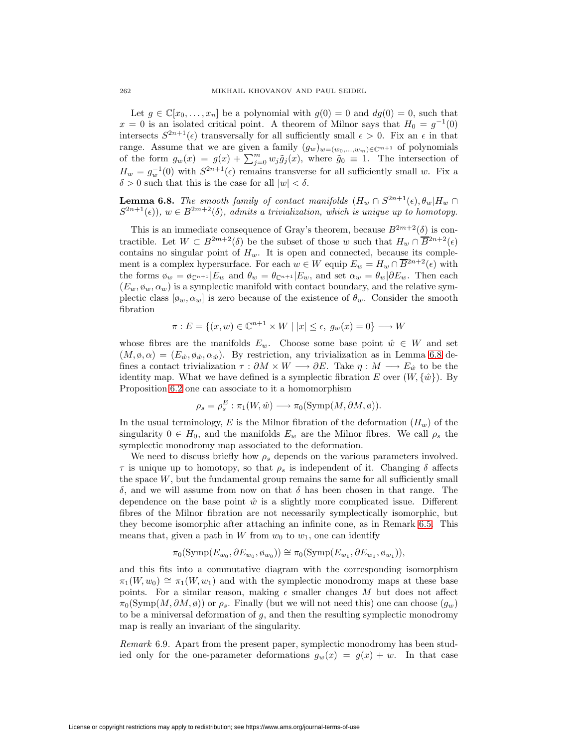Let  $g \in \mathbb{C}[x_0,\ldots,x_n]$  be a polynomial with  $g(0) = 0$  and  $dg(0) = 0$ , such that  $x = 0$  is an isolated critical point. A theorem of Milnor says that  $H_0 = g^{-1}(0)$ intersects  $S^{2n+1}(\epsilon)$  transversally for all sufficiently small  $\epsilon > 0$ . Fix an  $\epsilon$  in that range. Assume that we are given a family  $(g_w)_{w=(w_0,...,w_m)\in\mathbb{C}^{m+1}}$  of polynomials of the form  $g_w(x) = g(x) + \sum_{j=0}^m w_j \tilde{g}_j(x)$ , where  $\tilde{g}_0 \equiv 1$ . The intersection of  $H_w = g_w^{-1}(0)$  with  $S^{2n+1}(\epsilon)$  remains transverse for all sufficiently small w. Fix a  $\delta > 0$  such that this is the case for all  $|w| < \delta$ .

<span id="page-59-0"></span>**Lemma 6.8.** The smooth family of contact manifolds  $(H_w \cap S^{2n+1}(\epsilon), \theta_w | H_w \cap S^{2n+1}(\epsilon))$  $S^{2n+1}(\epsilon)$ ,  $w \in B^{2m+2}(\delta)$ , admits a trivialization, which is unique up to homotopy.

This is an immediate consequence of Gray's theorem, because  $B^{2m+2}(\delta)$  is contractible. Let  $W \subset B^{2m+2}(\delta)$  be the subset of those w such that  $H_w \cap \overline{B}^{2n+2}(\epsilon)$ contains no singular point of  $H_w$ . It is open and connected, because its complement is a complex hypersurface. For each  $w \in W$  equip  $E_w = H_w \cap \overline{B}^{2n+2}(\epsilon)$  with the forms  $\phi_w = \phi_{\mathbb{C}^{n+1}} |E_w$  and  $\theta_w = \theta_{\mathbb{C}^{n+1}} |E_w$ , and set  $\alpha_w = \theta_w | \partial E_w$ . Then each  $(E_w, \phi_w, \alpha_w)$  is a symplectic manifold with contact boundary, and the relative symplectic class  $[\phi_w, \alpha_w]$  is zero because of the existence of  $\theta_w$ . Consider the smooth fibration

$$
\pi: E = \{(x, w) \in \mathbb{C}^{n+1} \times W \mid |x| \le \epsilon, \ g_w(x) = 0\} \longrightarrow W
$$

whose fibres are the manifolds  $E_w$ . Choose some base point  $\hat{w} \in W$  and set  $(M, \varphi, \alpha) = (E_{\hat{w}}, \varphi_{\hat{w}}, \alpha_{\hat{w}}).$  By restriction, any trivialization as in Lemma [6.8](#page-59-0) defines a contact trivialization  $\tau : \partial M \times W \longrightarrow \partial E$ . Take  $\eta : M \longrightarrow E_{\hat{w}}$  to be the identity map. What we have defined is a symplectic fibration E over  $(W, \{\hat{w}\})$ . By Proposition [6.2](#page-56-3) one can associate to it a homomorphism

$$
\rho_s = \rho_s^E : \pi_1(W, \hat{w}) \longrightarrow \pi_0(\mathrm{Symp}(M, \partial M, \emptyset)).
$$

In the usual terminology, E is the Milnor fibration of the deformation  $(H_w)$  of the singularity  $0 \in H_0$ , and the manifolds  $E_w$  are the Milnor fibres. We call  $\rho_s$  the symplectic monodromy map associated to the deformation.

We need to discuss briefly how  $\rho_s$  depends on the various parameters involved.  $\tau$  is unique up to homotopy, so that  $\rho_s$  is independent of it. Changing  $\delta$  affects the space  $W$ , but the fundamental group remains the same for all sufficiently small δ, and we will assume from now on that δ has been chosen in that range. The dependence on the base point  $\hat{w}$  is a slightly more complicated issue. Different fibres of the Milnor fibration are not necessarily symplectically isomorphic, but they become isomorphic after attaching an infinite cone, as in Remark [6.5.](#page-57-0) This means that, given a path in W from  $w_0$  to  $w_1$ , one can identify

$$
\pi_0(\mathrm{Symp}(E_{w_0}, \partial E_{w_0}, \phi_{w_0})) \cong \pi_0(\mathrm{Symp}(E_{w_1}, \partial E_{w_1}, \phi_{w_1})),
$$

and this fits into a commutative diagram with the corresponding isomorphism  $\pi_1(W, w_0) \cong \pi_1(W, w_1)$  and with the symplectic monodromy maps at these base points. For a similar reason, making  $\epsilon$  smaller changes M but does not affect  $\pi_0(\mathrm{Symp}(M, \partial M, \emptyset))$  or  $\rho_s$ . Finally (but we will not need this) one can choose  $(q_w)$ to be a miniversal deformation of g, and then the resulting symplectic monodromy map is really an invariant of the singularity.

Remark 6.9. Apart from the present paper, symplectic monodromy has been studied only for the one-parameter deformations  $g_w(x) = g(x) + w$ . In that case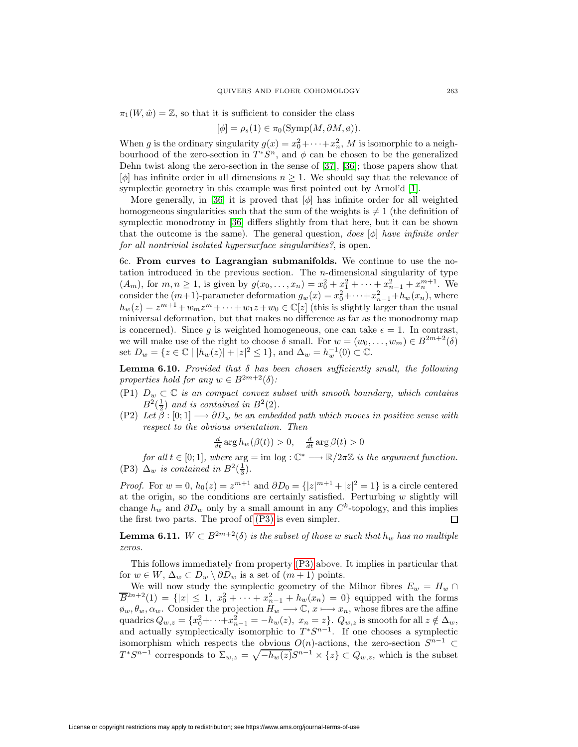$\pi_1(W, \hat{w}) = \mathbb{Z}$ , so that it is sufficient to consider the class

$$
[\phi] = \rho_s(1) \in \pi_0(\mathrm{Symp}(M, \partial M, \emptyset)).
$$

When g is the ordinary singularity  $g(x) = x_0^2 + \cdots + x_n^2$ , M is isomorphic to a neighbourhood of the zero-section in  $T^*S^n$ , and  $\phi$  can be chosen to be the generalized Dehn twist along the zero-section in the sense of [\[37\]](#page-68-2), [\[36\]](#page-68-10); those papers show that  $[\phi]$  has infinite order in all dimensions  $n \geq 1$ . We should say that the relevance of symplectic geometry in this example was first pointed out by Arnol'd [\[1\]](#page-67-27).

More generally, in [\[36\]](#page-68-10) it is proved that  $[\phi]$  has infinite order for all weighted homogeneous singularities such that the sum of the weights is  $\neq 1$  (the definition of symplectic monodromy in [\[36\]](#page-68-10) differs slightly from that here, but it can be shown that the outcome is the same). The general question, does  $[\phi]$  have infinite order for all nontrivial isolated hypersurface singularities?, is open.

6c. **From curves to Lagrangian submanifolds.** We continue to use the notation introduced in the previous section. The n-dimensional singularity of type  $(A_m)$ , for  $m, n \ge 1$ , is given by  $g(x_0, \ldots, x_n) = x_0^2 + x_1^2 + \cdots + x_{n-1}^2 + x_n^{m+1}$ . We consider the  $(m+1)$ -parameter deformation  $g_w(x) = x_0^2 + \cdots + x_{n-1}^2 + h_w(x_n)$ , where  $h_w(z) = z^{m+1} + w_m z^m + \cdots + w_1 z + w_0 \in \mathbb{C}[z]$  (this is slightly larger than the usual miniversal deformation, but that makes no difference as far as the monodromy map is concerned). Since g is weighted homogeneous, one can take  $\epsilon = 1$ . In contrast, we will make use of the right to choose  $\delta$  small. For  $w = (w_0, \ldots, w_m) \in B^{2m+2}(\delta)$ set  $D_w = \{ z \in \mathbb{C} \mid |h_w(z)| + |z|^2 \leq 1 \}, \text{ and } \Delta_w = h_w^{-1}(0) \subset \mathbb{C}.$ 

<span id="page-60-2"></span>**Lemma 6.10.** Provided that  $\delta$  has been chosen sufficiently small, the following properties hold for any  $w \in B^{2m+2}(\delta)$ :

- (P1)  $D_w \subset \mathbb{C}$  is an compact convex subset with smooth boundary, which contains  $B^2(\frac{1}{2})$  and is contained in  $B^2(2)$ .
- <span id="page-60-1"></span>(P2) Let  $\beta : [0;1] \longrightarrow \partial D_w$  be an embedded path which moves in positive sense with respect to the obvious orientation. Then

$$
\frac{d}{dt}\arg h_w(\beta(t)) > 0, \quad \frac{d}{dt}\arg \beta(t) > 0
$$

<span id="page-60-0"></span>for all  $t \in [0,1]$ , where  $\arg \min \log : \mathbb{C}^* \longrightarrow \mathbb{R}/2\pi\mathbb{Z}$  is the argument function. (P3)  $\Delta_w$  is contained in  $B^2(\frac{1}{3})$ .

*Proof.* For  $w = 0$ ,  $h_0(z) = z^{m+1}$  and  $\partial D_0 = \{|z|^{m+1} + |z|^2 = 1\}$  is a circle centered at the origin, so the conditions are certainly satisfied. Perturbing  $w$  slightly will change  $h_w$  and  $\partial D_w$  only by a small amount in any  $C^k$ -topology, and this implies the first two parts. The proof of [\(P3\)](#page-60-0) is even simpler. □

**Lemma 6.11.**  $W \subset B^{2m+2}(\delta)$  is the subset of those w such that  $h_w$  has no multiple zeros.

This follows immediately from property [\(P3\)](#page-60-0) above. It implies in particular that for  $w \in W$ ,  $\Delta_w \subset D_w \setminus \partial D_w$  is a set of  $(m+1)$  points.

We will now study the symplectic geometry of the Milnor fibres  $E_w = H_w \cap$  $\overline{B}^{2n+2}(1) = \{|x| \leq 1, x_0^2 + \cdots + x_{n-1}^2 + h_w(x_n) = 0\}$  equipped with the forms  $\varphi_w, \theta_w, \alpha_w$ . Consider the projection  $H_w \longrightarrow \mathbb{C}$ ,  $x \longmapsto x_n$ , whose fibres are the affine quadrics  $Q_{w,z} = \{x_0^2 + \cdots + x_{n-1}^2 = -h_w(z), x_n = z\}$ .  $Q_{w,z}$  is smooth for all  $z \notin \Delta_w$ , and actually symplectically isomorphic to  $T^*S^{n-1}$ . If one chooses a symplectic isomorphism which respects the obvious  $O(n)$ -actions, the zero-section  $S^{n-1}$  $T^*S^{n-1}$  corresponds to  $\Sigma_{w,z} = \sqrt{-h_w(z)}S^{n-1} \times \{z\} \subset Q_{w,z}$ , which is the subset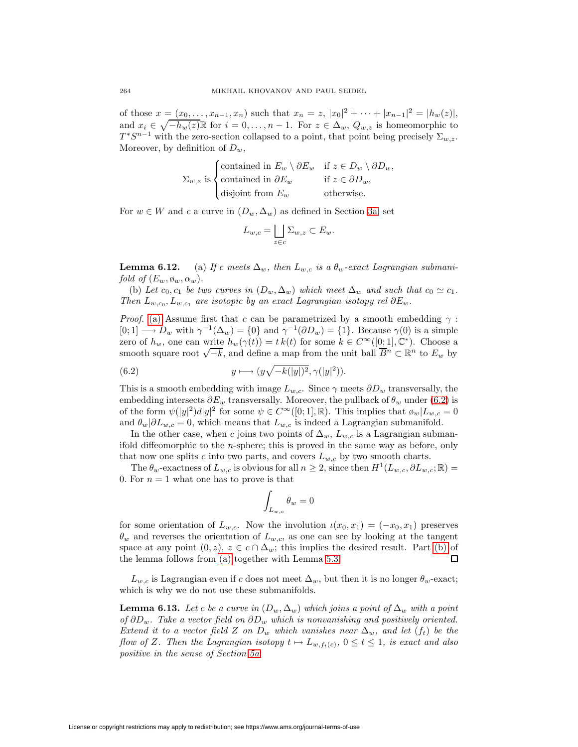of those  $x = (x_0, \ldots, x_{n-1}, x_n)$  such that  $x_n = z$ ,  $|x_0|^2 + \cdots + |x_{n-1}|^2 = |h_w(z)|$ , and  $x_i \in \sqrt{-h_w(z)}\mathbb{R}$  for  $i = 0, \ldots, n-1$ . For  $z \in \Delta_w$ ,  $Q_{w,z}$  is homeomorphic to  $T^*S^{n-1}$  with the zero-section collapsed to a point, that point being precisely  $\Sigma_{w,z}$ . Moreover, by definition of  $D_w$ ,

$$
\Sigma_{w,z} \text{ is}\begin{cases}\text{contained in } E_w \setminus \partial E_w & \text{if } z \in D_w \setminus \partial D_w, \\ \text{contained in } \partial E_w & \text{if } z \in \partial D_w, \\ \text{disjoint from } E_w & \text{otherwise.}\end{cases}
$$

For  $w \in W$  and c a curve in  $(D_w, \Delta_w)$  as defined in Section [3a,](#page-16-2) set

$$
L_{w,c} = \bigsqcup_{z \in c} \Sigma_{w,z} \subset E_w.
$$

<span id="page-61-3"></span><span id="page-61-2"></span><span id="page-61-0"></span>**Lemma 6.12.** (a) If c meets  $\Delta_w$ , then  $L_{w,c}$  is a  $\theta_w$ -exact Lagrangian submanifold of  $(E_w, \emptyset_w, \alpha_w)$ .

(b) Let  $c_0, c_1$  be two curves in  $(D_w, \Delta_w)$  which meet  $\Delta_w$  and such that  $c_0 \simeq c_1$ . Then  $L_{w,c_0}, L_{w,c_1}$  are isotopic by an exact Lagrangian isotopy rel  $\partial E_w$ .

*Proof.* [\(a\)](#page-61-0) Assume first that c can be parametrized by a smooth embedding  $\gamma$ :  $[0; 1] \longrightarrow D_w$  with  $\gamma^{-1}(\Delta_w) = \{0\}$  and  $\gamma^{-1}(\partial D_w) = \{1\}$ . Because  $\gamma(0)$  is a simple zero of  $h_w$ , one can write  $h_w(\gamma(t)) = t k(t)$  for some  $k \in C^\infty([0; 1], \mathbb{C}^*)$ . Choose a smooth square root  $\sqrt{-k}$ , and define a map from the unit ball  $\overline{B}^n \subset \mathbb{R}^n$  to  $E_w$  by

<span id="page-61-1"></span>(6.2) 
$$
y \longmapsto (y\sqrt{-k(|y|)^2}, \gamma(|y|^2)).
$$

This is a smooth embedding with image  $L_{w,c}$ . Since  $\gamma$  meets  $\partial D_w$  transversally, the embedding intersects  $\partial E_w$  transversally. Moreover, the pullback of  $\theta_w$  under [\(6.2\)](#page-61-1) is of the form  $\psi(|y|^2)d|y|^2$  for some  $\psi \in C^{\infty}([0;1], \mathbb{R})$ . This implies that  $\phi_w|L_{w,c} = 0$ and  $\theta_w|\partial L_{w,c}=0$ , which means that  $L_{w,c}$  is indeed a Lagrangian submanifold.

In the other case, when c joins two points of  $\Delta_w$ ,  $L_{w,c}$  is a Lagrangian submanifold diffeomorphic to the n-sphere; this is proved in the same way as before, only that now one splits c into two parts, and covers  $L_{w,c}$  by two smooth charts.

The  $\theta_w$ -exactness of  $L_{w,c}$  is obvious for all  $n \geq 2$ , since then  $H^1(L_{w,c}, \partial L_{w,c}; \mathbb{R}) =$ 0. For  $n = 1$  what one has to prove is that

$$
\int_{L_{w,c}} \theta_w = 0
$$

for some orientation of  $L_{w,c}$ . Now the involution  $\iota(x_0, x_1)=(-x_0, x_1)$  preserves  $\theta_w$  and reverses the orientation of  $L_{w,c}$ , as one can see by looking at the tangent space at any point  $(0, z)$ ,  $z \in c \cap \Delta_w$ ; this implies the desired result. Part [\(b\)](#page-61-2) of the lemma follows from [\(a\)](#page-61-0) together with Lemma [5.3.](#page-45-0) п

<span id="page-61-4"></span> $L_{w,c}$  is Lagrangian even if c does not meet  $\Delta_w$ , but then it is no longer  $\theta_w$ -exact; which is why we do not use these submanifolds.

**Lemma 6.13.** Let c be a curve in  $(D_w, \Delta_w)$  which joins a point of  $\Delta_w$  with a point of ∂D<sub>w</sub>. Take a vector field on  $\partial D_w$  which is nonvanishing and positively oriented. Extend it to a vector field Z on  $D_w$  which vanishes near  $\Delta_w$ , and let  $(f_t)$  be the flow of Z. Then the Lagrangian isotopy  $t \mapsto L_{w,f_{t}(c)}, 0 \leq t \leq 1$ , is exact and also positive in the sense of Section [5a.](#page-43-2)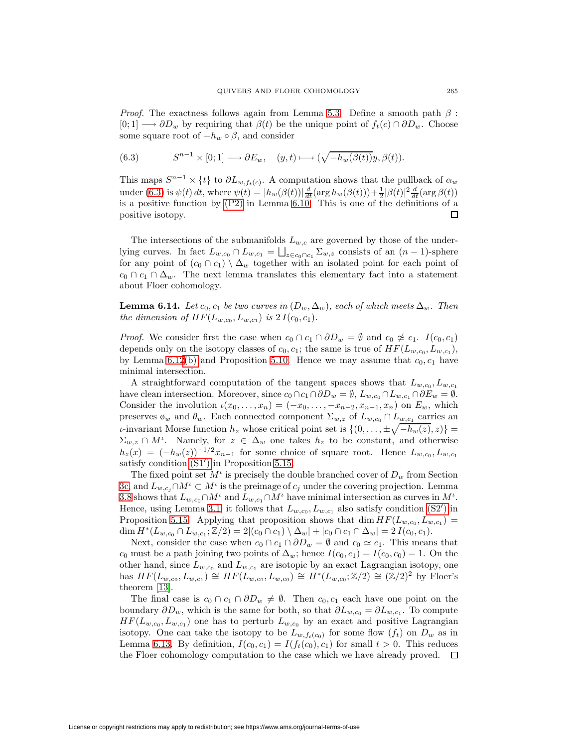*Proof.* The exactness follows again from Lemma [5.3.](#page-45-0) Define a smooth path  $\beta$ :  $[0; 1] \longrightarrow \partial D_w$  by requiring that  $\beta(t)$  be the unique point of  $f_t(c) \cap \partial D_w$ . Choose some square root of  $-h_w \circ \beta$ , and consider

<span id="page-62-0"></span>(6.3) 
$$
S^{n-1} \times [0; 1] \longrightarrow \partial E_w, \quad (y, t) \longmapsto (\sqrt{-h_w(\beta(t))}y, \beta(t)).
$$

This maps  $S^{n-1} \times \{t\}$  to  $\partial L_{w, f_t(c)}$ . A computation shows that the pullback of  $\alpha_w$ under [\(6.3\)](#page-62-0) is  $\psi(t) dt$ , where  $\psi(t) = |h_w(\beta(t))| \frac{d}{dt} (\arg h_w(\beta(t))) + \frac{1}{2} |\beta(t)|^2 \frac{d}{dt} (\arg \beta(t))$ is a positive function by [\(P2\)](#page-60-1) in Lemma [6.10.](#page-60-2) This is one of the definitions of a positive isotopy. □

The intersections of the submanifolds  $L_{w,c}$  are governed by those of the underlying curves. In fact  $L_{w,c_0} \cap L_{w,c_1} = \bigsqcup_{z \in c_0 \cap c_1} \sum_{w,z}$  consists of an  $(n-1)$ -sphere for any point of  $(c_0 \cap c_1) \setminus \Delta_w$  together with an isolated point for each point of  $c_0 \cap c_1 \cap \Delta_w$ . The next lemma translates this elementary fact into a statement about Floer cohomology.

<span id="page-62-1"></span>**Lemma 6.14.** Let  $c_0, c_1$  be two curves in  $(D_w, \Delta_w)$ , each of which meets  $\Delta_w$ . Then the dimension of  $HF(L_{w,c_0}, L_{w,c_1})$  is  $2 I(c_0, c_1)$ .

*Proof.* We consider first the case when  $c_0 \cap c_1 \cap \partial D_w = \emptyset$  and  $c_0 \not\approx c_1$ .  $I(c_0, c_1)$ depends only on the isotopy classes of  $c_0, c_1$ ; the same is true of  $HF(L_{w,c_0}, L_{w,c_1}),$ by Lemma [6.12](#page-61-3)[\(b\)](#page-61-2) and Proposition [5.10.](#page-47-0) Hence we may assume that  $c_0, c_1$  have minimal intersection.

A straightforward computation of the tangent spaces shows that  $L_{w,c_0}, L_{w,c_1}$ have clean intersection. Moreover, since  $c_0 \cap c_1 \cap \partial D_w = \emptyset$ ,  $L_{w,c_0} \cap L_{w,c_1} \cap \partial E_w = \emptyset$ . Consider the involution  $\iota(x_0,\ldots,x_n)=(-x_0,\ldots,-x_{n-2},x_{n-1},x_n)$  on  $E_w$ , which preserves  $\emptyset_w$  and  $\theta_w$ . Each connected component  $\Sigma_{w,z}$  of  $L_{w,c_0} \cap L_{w,c_1}$  carries an *ι*-invariant Morse function  $h_z$  whose critical point set is  $\{(0, \ldots, \pm \sqrt{-h_w(z)}, z)\}$  $\Sigma_{w,z} \cap M^{\iota}$ . Namely, for  $z \in \Delta_w$  one takes  $h_z$  to be constant, and otherwise  $h_z(x) = (-h_w(z))^{-1/2}x_{n-1}$  for some choice of square root. Hence  $L_{w,c_0}, L_{w,c_1}$ satisfy condition  $(S1')$  in Proposition [5.15.](#page-51-5)

The fixed point set  $M^{\iota}$  is precisely the double branched cover of  $D_{w}$  from Section [3c,](#page-19-0) and  $L_{w,c_i} \cap M^i \subset M^i$  is the preimage of  $c_i$  under the covering projection. Lemma [3.8](#page-19-1) shows that  $L_{w,c_0} \cap M^{\iota}$  and  $L_{w,c_1} \cap M^{\iota}$  have minimal intersection as curves in  $M^{\iota}$ . Hence, using Lemma [3.1,](#page-16-3) it follows that  $L_{w,c_0}, L_{w,c_1}$  also satisfy condition [\(S2](#page-51-3)') in Proposition [5.15.](#page-51-5) Applying that proposition shows that dim  $HF(L_{w,c_0}, L_{w,c_1}) =$ dim  $H^*(L_{w,c_0} \cap L_{w,c_1}; \mathbb{Z}/2) = 2|(c_0 \cap c_1) \setminus \Delta_w| + |c_0 \cap c_1 \cap \Delta_w| = 2 I(c_0, c_1).$ 

Next, consider the case when  $c_0 \cap c_1 \cap \partial D_w = \emptyset$  and  $c_0 \simeq c_1$ . This means that  $c_0$  must be a path joining two points of  $\Delta_w$ ; hence  $I(c_0, c_1) = I(c_0, c_0) = 1$ . On the other hand, since  $L_{w,c_0}$  and  $L_{w,c_1}$  are isotopic by an exact Lagrangian isotopy, one has  $HF(L_{w,c_0}, L_{w,c_1}) \cong HF(L_{w,c_0}, L_{w,c_0}) \cong H^*(L_{w,c_0}; \mathbb{Z}/2) \cong (\mathbb{Z}/2)^2$  by Floer's theorem [\[13\]](#page-67-24).

The final case is  $c_0 \cap c_1 \cap \partial D_w \neq \emptyset$ . Then  $c_0, c_1$  each have one point on the boundary  $\partial D_w$ , which is the same for both, so that  $\partial L_{w,c_0} = \partial L_{w,c_1}$ . To compute  $HF(L_{w,c_0}, L_{w,c_1})$  one has to perturb  $L_{w,c_0}$  by an exact and positive Lagrangian isotopy. One can take the isotopy to be  $L_{w,f_t(c_0)}$  for some flow  $(f_t)$  on  $D_w$  as in Lemma [6.13.](#page-61-4) By definition,  $I(c_0, c_1) = I(f_t(c_0), c_1)$  for small  $t > 0$ . This reduces the Floer cohomology computation to the case which we have already proved.  $\Box$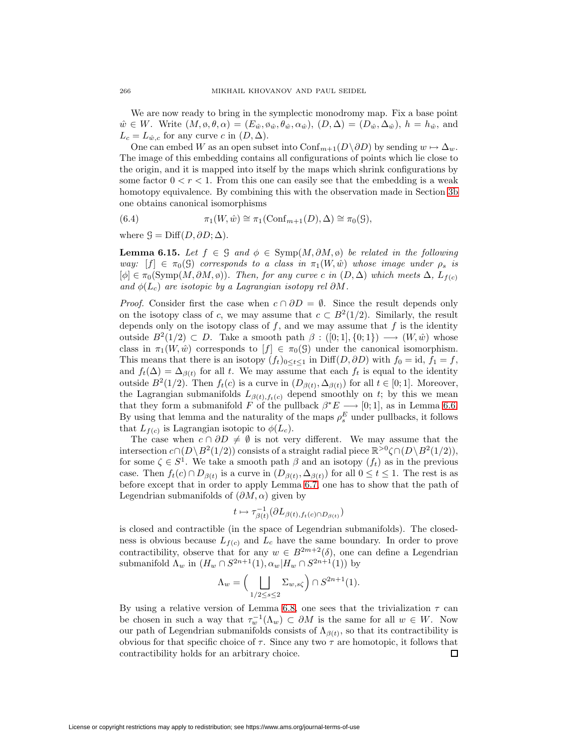We are now ready to bring in the symplectic monodromy map. Fix a base point  $\hat{w} \in W$ . Write  $(M, \emptyset, \theta, \alpha) = (E_{\hat{w}}, \emptyset_{\hat{w}}, \theta_{\hat{w}}, \alpha_{\hat{w}}), (D, \Delta) = (D_{\hat{w}}, \Delta_{\hat{w}}), h = h_{\hat{w}}, \text{ and}$  $L_c = L_{\hat{w},c}$  for any curve c in  $(D, \Delta)$ .

One can embed W as an open subset into Conf<sub>m+1</sub>( $D\setminus \partial D$ ) by sending  $w \mapsto \Delta_w$ . The image of this embedding contains all configurations of points which lie close to the origin, and it is mapped into itself by the maps which shrink configurations by some factor  $0 < r < 1$ . From this one can easily see that the embedding is a weak homotopy equivalence. By combining this with the observation made in Section [3b](#page-17-4) one obtains canonical isomorphisms

<span id="page-63-1"></span>(6.4) 
$$
\pi_1(W, \hat{w}) \cong \pi_1(\text{Conf}_{m+1}(D), \Delta) \cong \pi_0(\mathcal{G}),
$$

<span id="page-63-0"></span>where  $\mathcal{G} = \text{Diff}(D, \partial D; \Delta)$ .

**Lemma 6.15.** Let  $f \in \mathcal{G}$  and  $\phi \in \text{Symp}(M, \partial M, \phi)$  be related in the following way:  $[f] \in \pi_0(\mathcal{G})$  corresponds to a class in  $\pi_1(W, \hat{w})$  whose image under  $\rho_s$  is  $[\phi] \in \pi_0(\mathrm{Symp}(M, \partial M, \emptyset))$ . Then, for any curve c in  $(D, \Delta)$  which meets  $\Delta$ ,  $L_{f(c)}$ and  $\phi(L_c)$  are isotopic by a Lagrangian isotopy rel  $\partial M$ .

*Proof.* Consider first the case when  $c \cap \partial D = \emptyset$ . Since the result depends only on the isotopy class of c, we may assume that  $c \text{ }\subset B^2(1/2)$ . Similarly, the result depends only on the isotopy class of  $f$ , and we may assume that  $f$  is the identity outside  $B^2(1/2) \subset D$ . Take a smooth path  $\beta : ([0; 1], \{0; 1\}) \longrightarrow (W, \hat{w})$  whose class in  $\pi_1(W, \hat{w})$  corresponds to  $[f] \in \pi_0(\mathcal{G})$  under the canonical isomorphism. This means that there is an isotopy  $(f_t)_{0 \leq t \leq 1}$  in Diff $(D, \partial D)$  with  $f_0 = id$ ,  $f_1 = f$ , and  $f_t(\Delta) = \Delta_{\beta(t)}$  for all t. We may assume that each  $f_t$  is equal to the identity outside  $B^2(1/2)$ . Then  $f_t(c)$  is a curve in  $(D_{\beta(t)}, \Delta_{\beta(t)})$  for all  $t \in [0, 1]$ . Moreover, the Lagrangian submanifolds  $L_{\beta(t),f_{\tau}(c)}$  depend smoothly on t; by this we mean that they form a submanifold F of the pullback  $\beta^*E \longrightarrow [0,1]$ , as in Lemma [6.6.](#page-58-0) By using that lemma and the naturality of the maps  $\rho_s^E$  under pullbacks, it follows that  $L_{f(c)}$  is Lagrangian isotopic to  $\phi(L_c)$ .

The case when  $c \cap \partial D \neq \emptyset$  is not very different. We may assume that the intersection  $c \cap (D \setminus B^2(1/2))$  consists of a straight radial piece  $\mathbb{R}^{>0} \zeta \cap (D \setminus B^2(1/2)),$ for some  $\zeta \in S^1$ . We take a smooth path  $\beta$  and an isotopy  $(f_t)$  as in the previous case. Then  $f_t(c) \cap D_{\beta(t)}$  is a curve in  $(D_{\beta(t)}, \Delta_{\beta(t)})$  for all  $0 \le t \le 1$ . The rest is as before except that in order to apply Lemma [6.7,](#page-58-1) one has to show that the path of Legendrian submanifolds of  $(\partial M, \alpha)$  given by

$$
t\mapsto \tau_{\beta(t)}^{-1}(\partial L_{\beta(t),f_t(c)\cap D_{\beta(t)}})
$$

is closed and contractible (in the space of Legendrian submanifolds). The closedness is obvious because  $L_{f(c)}$  and  $L_c$  have the same boundary. In order to prove contractibility, observe that for any  $w \in B^{2m+2}(\delta)$ , one can define a Legendrian submanifold  $\Lambda_w$  in  $(H_w \cap S^{2n+1}(1), \alpha_w | H_w \cap S^{2n+1}(1))$  by

$$
\Lambda_w = \Big(\bigsqcup_{1/2 \le s \le 2} \Sigma_{w,s\zeta}\Big) \cap S^{2n+1}(1).
$$

By using a relative version of Lemma [6.8,](#page-59-0) one sees that the trivialization  $\tau$  can be chosen in such a way that  $\tau_w^{-1}(\Lambda_w) \subset \partial M$  is the same for all  $w \in W$ . Now our path of Legendrian submanifolds consists of  $\Lambda_{\beta(t)}$ , so that its contractibility is obvious for that specific choice of  $\tau$ . Since any two  $\tau$  are homotopic, it follows that contractibility holds for an arbitrary choice.  $\Box$ 

<span id="page-63-2"></span>License or copyright restrictions may apply to redistribution; see https://www.ams.org/journal-terms-of-use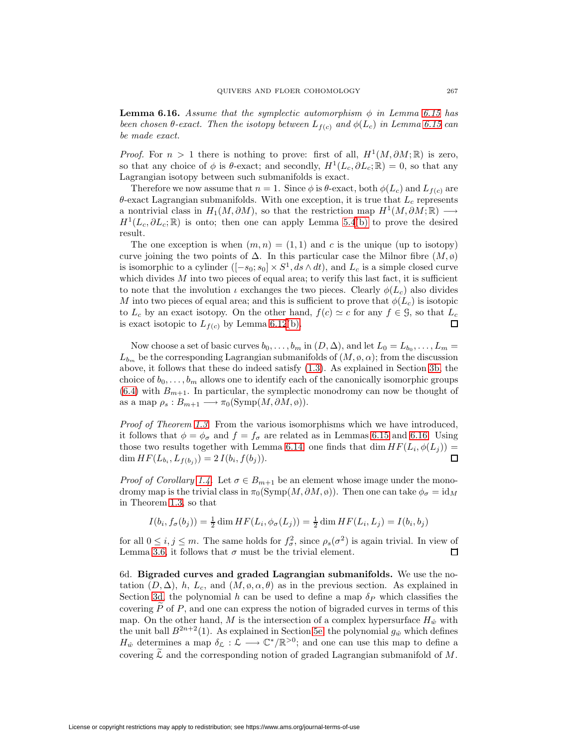**Lemma 6.16.** Assume that the symplectic automorphism  $\phi$  in Lemma [6.15](#page-63-0) has been chosen  $\theta$ -exact. Then the isotopy between  $L_{f(c)}$  and  $\phi(L_c)$  in Lemma [6.15](#page-63-0) can be made exact.

*Proof.* For  $n > 1$  there is nothing to prove: first of all,  $H^1(M, \partial M; \mathbb{R})$  is zero, so that any choice of  $\phi$  is  $\theta$ -exact; and secondly,  $H^1(L_c, \partial L_c; \mathbb{R}) = 0$ , so that any Lagrangian isotopy between such submanifolds is exact.

Therefore we now assume that  $n = 1$ . Since  $\phi$  is  $\theta$ -exact, both  $\phi(L_c)$  and  $L_{f(c)}$  are  $\theta$ -exact Lagrangian submanifolds. With one exception, it is true that  $L_c$  represents a nontrivial class in  $H_1(M, \partial M)$ , so that the restriction map  $H^1(M, \partial M; \mathbb{R}) \longrightarrow$  $H^1(L_c, \partial L_c; \mathbb{R})$  is onto; then one can apply Lemma [5.4](#page-45-1)[\(b\)](#page-45-4) to prove the desired result.

The one exception is when  $(m, n) = (1, 1)$  and c is the unique (up to isotopy) curve joining the two points of  $\Delta$ . In this particular case the Milnor fibre  $(M, \phi)$ is isomorphic to a cylinder  $([-s_0; s_0] \times S^1, ds \wedge dt)$ , and  $L_c$  is a simple closed curve which divides  $M$  into two pieces of equal area; to verify this last fact, it is sufficient to note that the involution  $\iota$  exchanges the two pieces. Clearly  $\phi(L_c)$  also divides M into two pieces of equal area; and this is sufficient to prove that  $\phi(L_c)$  is isotopic to  $L_c$  by an exact isotopy. On the other hand,  $f(c) \simeq c$  for any  $f \in \mathcal{G}$ , so that  $L_c$ is exact isotopic to  $L_{f(c)}$  by Lemma [6.12](#page-61-3)[\(b\).](#page-61-2)  $\Box$ 

Now choose a set of basic curves  $b_0, \ldots, b_m$  in  $(D, \Delta)$ , and let  $L_0 = L_{b_0}, \ldots, L_m =$  $L_{b_m}$  be the corresponding Lagrangian submanifolds of  $(M, \emptyset, \alpha)$ ; from the discussion above, it follows that these do indeed satisfy [\(1.3\)](#page-4-1). As explained in Section [3b,](#page-17-4) the choice of  $b_0, \ldots, b_m$  allows one to identify each of the canonically isomorphic groups  $(6.4)$  with  $B_{m+1}$ . In particular, the symplectic monodromy can now be thought of as a map  $\rho_s : B_{m+1} \longrightarrow \pi_0(\mathrm{Symp}(M, \partial M, \emptyset)).$ 

Proof of Theorem [1.3.](#page-5-2) From the various isomorphisms which we have introduced, it follows that  $\phi = \phi_{\sigma}$  and  $f = f_{\sigma}$  are related as in Lemmas [6.15](#page-63-0) and [6.16.](#page-63-2) Using those two results together with Lemma [6.14,](#page-62-1) one finds that dim  $HF(L_i, \phi(L_i)) =$  $\dim HF(L_{b_i}, L_{f(b_i)})=2 I(b_i, f(b_j)).$  $\Box$ 

*Proof of Corollary [1.4.](#page-5-3)* Let  $\sigma \in B_{m+1}$  be an element whose image under the monodromy map is the trivial class in  $\pi_0(\mathrm{Symp}(M, \partial M, \emptyset))$ . Then one can take  $\phi_{\sigma} = id_M$ in Theorem [1.3,](#page-5-2) so that

$$
I(b_i, f_{\sigma}(b_j)) = \frac{1}{2} \dim HF(L_i, \phi_{\sigma}(L_j)) = \frac{1}{2} \dim HF(L_i, L_j) = I(b_i, b_j)
$$

for all  $0 \le i, j \le m$ . The same holds for  $f_{\sigma}^2$ , since  $\rho_s(\sigma^2)$  is again trivial. In view of Lemma [3.6,](#page-19-2) it follows that  $\sigma$  must be the trivial element. □

<span id="page-64-0"></span>6d. **Bigraded curves and graded Lagrangian submanifolds.** We use the notation  $(D, \Delta)$ , h,  $L_c$ , and  $(M, \varphi, \alpha, \theta)$  as in the previous section. As explained in Section [3d,](#page-21-1) the polynomial h can be used to define a map  $\delta_P$  which classifies the covering  $\tilde{P}$  of  $P$ , and one can express the notion of bigraded curves in terms of this map. On the other hand, M is the intersection of a complex hypersurface  $H_{\hat{w}}$  with the unit ball  $B^{2n+2}(1)$ . As explained in Section [5e,](#page-52-0) the polynomial  $g_{\hat{w}}$  which defines  $H_{\hat{w}}$  determines a map  $\delta_{\mathcal{L}} : \mathcal{L} \longrightarrow \mathbb{C}^*/\mathbb{R}^{>0}$ ; and one can use this map to define a covering  $\mathcal L$  and the corresponding notion of graded Lagrangian submanifold of M.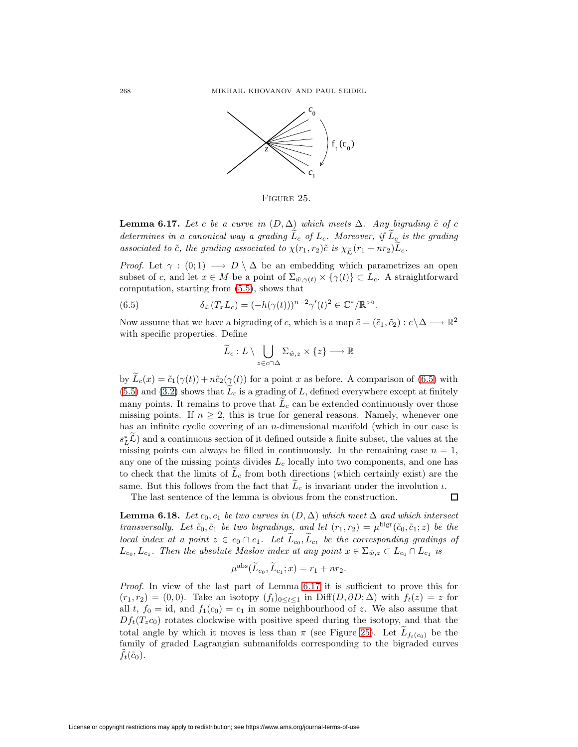

<span id="page-65-1"></span>Figure 25.

**Lemma 6.17.** Let c be a curve in  $(D, \Delta)$  which meets  $\Delta$ . Any bigrading  $\tilde{c}$  of c determines in a canonical way a grading  $\tilde{L}_c$  of  $L_c$ . Moreover, if  $\tilde{L}_c$  is the grading associated to  $\tilde{c}$ , the grading associated to  $\chi(r_1, r_2)\tilde{c}$  is  $\chi_{\tilde{c}}(r_1 + nr_2)\tilde{L}_c$ .

*Proof.* Let  $\gamma : (0,1) \longrightarrow D \setminus \Delta$  be an embedding which parametrizes an open subset of c, and let  $x \in M$  be a point of  $\Sigma_{\hat{w},\gamma(t)} \times {\gamma(t)} \subset L_c$ . A straightforward computation, starting from [\(5.5\)](#page-53-0), shows that

<span id="page-65-0"></span>(6.5)  $\delta_{\mathcal{L}}(T_x L_c) = (-h(\gamma(t)))^{n-2}\gamma'(t)^2 \in \mathbb{C}^*/\mathbb{R}^{>0}.$ 

Now assume that we have a bigrading of c, which is a map  $\tilde{c} = (\tilde{c}_1, \tilde{c}_2) : c \setminus \Delta \longrightarrow \mathbb{R}^2$ with specific properties. Define

$$
\widetilde{L}_c: L \setminus \bigcup_{z \in c \cap \Delta} \Sigma_{\hat{w}, z} \times \{z\} \longrightarrow \mathbb{R}
$$

by  $L_c(x) = \tilde{c}_1(\gamma(t)) + n\tilde{c}_2(\gamma(t))$  for a point x as before. A comparison of [\(6.5\)](#page-65-0) with  $(5.5)$  and  $(3.2)$  shows that  $L_c$  is a grading of L, defined everywhere except at finitely many points. It remains to prove that  $\tilde{L}_c$  can be extended continuously over those missing points. If  $n \geq 2$ , this is true for general reasons. Namely, whenever one has an infinite cyclic covering of an *n*-dimensional manifold (which in our case is  $s_L^*$  and a continuous section of it defined outside a finite subset, the values at the missing points can always be filled in continuously. In the remaining case  $n = 1$ , any one of the missing points divides  $L_c$  locally into two components, and one has to check that the limits of  $L_c$  from both directions (which certainly exist) are the same. But this follows from the fact that  $L_c$  is invariant under the involution  $\iota$ .

The last sentence of the lemma is obvious from the construction.

口

<span id="page-65-2"></span>**Lemma 6.18.** Let  $c_0, c_1$  be two curves in  $(D, \Delta)$  which meet  $\Delta$  and which intersect transversally. Let  $\tilde{c}_0, \tilde{c}_1$  be two bigradings, and let  $(r_1, r_2) = \mu^{\text{bigr}}(\tilde{c}_0, \tilde{c}_1; z)$  be the local index at a point  $z \in c_0 \cap c_1$ . Let  $L_{c_0}, L_{c_1}$  be the corresponding gradings of  $L_{c_0}, L_{c_1}$ . Then the absolute Maslov index at any point  $x \in \Sigma_{\hat{w},z} \subset L_{c_0} \cap L_{c_1}$  is

$$
\mu^{\rm abs}(\widetilde{L}_{c_0}, \widetilde{L}_{c_1}; x) = r_1 + nr_2.
$$

Proof. In view of the last part of Lemma [6.17](#page-64-0) it is sufficient to prove this for  $(r_1, r_2) = (0, 0)$ . Take an isotopy  $(f_t)_{0 \le t \le 1}$  in Diff $(D, \partial D; \Delta)$  with  $f_t(z) = z$  for all t,  $f_0 = id$ , and  $f_1(c_0) = c_1$  in some neighbourhood of z. We also assume that  $Df_t(T_zc_0)$  rotates clockwise with positive speed during the isotopy, and that the total angle by which it moves is less than  $\pi$  (see Figure [25\)](#page-65-1). Let  $L_{f_t(c_0)}$  be the family of graded Lagrangian submanifolds corresponding to the bigraded curves  $f_t(\tilde{c}_0)$ .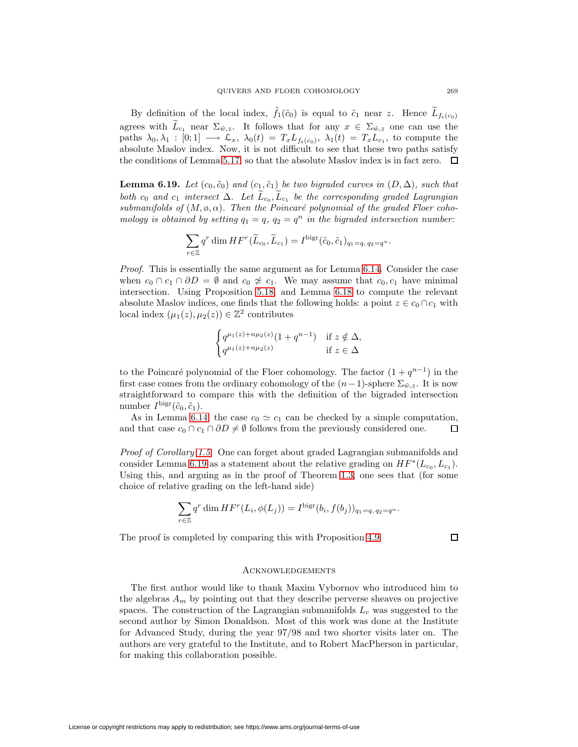By definition of the local index,  $f_1(\tilde{c}_0)$  is equal to  $\tilde{c}_1$  near z. Hence  $L_{f_t(c_0)}$ agrees with  $\tilde{L}_{c_1}$  near  $\Sigma_{\hat{w},z}$ . It follows that for any  $x \in \Sigma_{\hat{w},z}$  one can use the paths  $\lambda_0, \lambda_1 : [0;1] \longrightarrow \mathcal{L}_x$ ,  $\lambda_0(t) = T_x L_{f_t(c_0)}, \lambda_1(t) = T_x L_{c_1}$ , to compute the absolute Maslov index. Now, it is not difficult to see that these two paths satisfy the conditions of Lemma [5.17,](#page-53-1) so that the absolute Maslov index is in fact zero.  $\Box$ 

<span id="page-66-0"></span>**Lemma 6.19.** Let  $(c_0, \tilde{c}_0)$  and  $(c_1, \tilde{c}_1)$  be two bigraded curves in  $(D, \Delta)$ , such that both c<sub>0</sub> and c<sub>1</sub> intersect  $\Delta$ . Let  $L_{c_0}, L_{c_1}$  be the corresponding graded Lagrangian submanifolds of  $(M, \emptyset, \alpha)$ . Then the Poincaré polynomial of the graded Floer cohomology is obtained by setting  $q_1 = q$ ,  $q_2 = q^n$  in the bigraded intersection number:

$$
\sum_{r \in \mathbb{Z}} q^r \dim HF^r(\widetilde{L}_{c_0}, \widetilde{L}_{c_1}) = I^{\text{bigr}}(\widetilde{c}_0, \widetilde{c}_1)_{q_1 = q, q_2 = q^n}.
$$

Proof. This is essentially the same argument as for Lemma [6.14.](#page-62-1) Consider the case when  $c_0 \cap c_1 \cap \partial D = \emptyset$  and  $c_0 \not\cong c_1$ . We may assume that  $c_0, c_1$  have minimal intersection. Using Proposition [5.18,](#page-54-0) and Lemma [6.18](#page-65-2) to compute the relevant absolute Maslov indices, one finds that the following holds: a point  $z \in c_0 \cap c_1$  with local index  $(\mu_1(z), \mu_2(z)) \in \mathbb{Z}^2$  contributes

$$
\begin{cases} q^{\mu_1(z)+n\mu_2(z)}(1+q^{n-1}) & \text{if } z \notin \Delta, \\ q^{\mu_1(z)+n\mu_2(z)} & \text{if } z \in \Delta \end{cases}
$$

to the Poincaré polynomial of the Floer cohomology. The factor  $(1 + q^{n-1})$  in the first case comes from the ordinary cohomology of the  $(n-1)$ -sphere  $\Sigma_{\hat{w},z}$ . It is now straightforward to compare this with the definition of the bigraded intersection number  $I^{\text{bigr}}(\tilde{c}_0, \tilde{c}_1)$ .

As in Lemma [6.14,](#page-62-1) the case  $c_0 \simeq c_1$  can be checked by a simple computation, and that case  $c_0 \cap c_1 \cap \partial D \neq \emptyset$  follows from the previously considered one. 口

Proof of Corollary [1.5.](#page-6-0) One can forget about graded Lagrangian submanifolds and consider Lemma [6.19](#page-66-0) as a statement about the relative grading on  $HF^*(L_{c_0}, L_{c_1})$ . Using this, and arguing as in the proof of Theorem [1.3,](#page-5-2) one sees that (for some choice of relative grading on the left-hand side)

$$
\sum_{r \in \mathbb{Z}} q^r \dim HF^r(L_i, \phi(L_j)) = I^{\text{bigr}}(b_i, f(b_j))_{q_1 = q, q_2 = q^n}.
$$

The proof is completed by comparing this with Proposition [4.9.](#page-40-4)

口

#### **ACKNOWLEDGEMENTS**

The first author would like to thank Maxim Vybornov who introduced him to the algebras  $A_m$  by pointing out that they describe perverse sheaves on projective spaces. The construction of the Lagrangian submanifolds  $L_c$  was suggested to the second author by Simon Donaldson. Most of this work was done at the Institute for Advanced Study, during the year 97/98 and two shorter visits later on. The authors are very grateful to the Institute, and to Robert MacPherson in particular, for making this collaboration possible.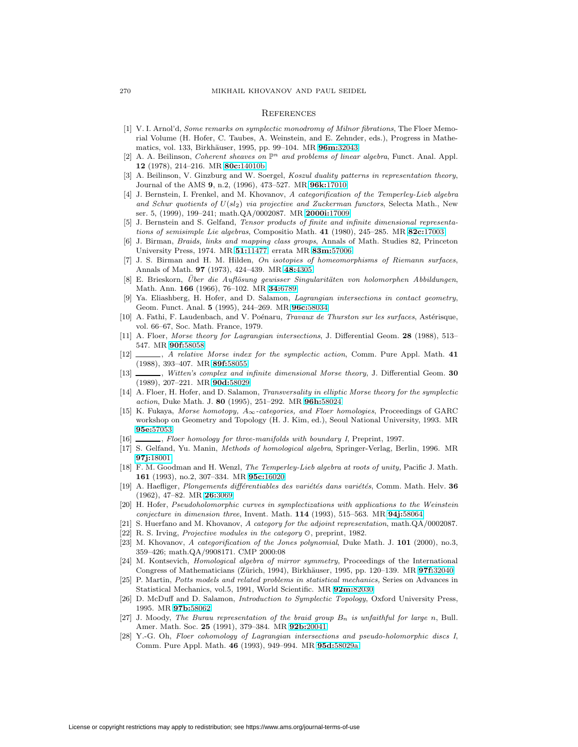#### **REFERENCES**

- <span id="page-67-27"></span>[1] V. I. Arnol'd, Some remarks on symplectic monodromy of Milnor fibrations, The Floer Memorial Volume (H. Hofer, C. Taubes, A. Weinstein, and E. Zehnder, eds.), Progress in Mathematics, vol. 133, Birkh¨auser, 1995, pp. 99–104. MR **96m:**[32043](http://www.ams.org/mathscinet-getitem?mr=96m:32043)
- <span id="page-67-0"></span>[2] A. A. Beilinson, Coherent sheaves on  $\mathbb{P}^n$  and problems of linear algebra, Funct. Anal. Appl. **12** (1978), 214–216. MR **80c:**[14010b](http://www.ams.org/mathscinet-getitem?mr=80c:14010b)
- <span id="page-67-13"></span>[3] A. Beilinson, V. Ginzburg and W. Soergel, *Koszul duality patterns in representation theory*, Journal of the AMS **9**, n.2, (1996), 473–527. MR **96k:**[17010](http://www.ams.org/mathscinet-getitem?mr=96k:17010)
- <span id="page-67-4"></span>[4] J. Bernstein, I. Frenkel, and M. Khovanov, A categorification of the Temperley-Lieb algebra and Schur quotients of  $U(sl_2)$  via projective and Zuckerman functors, Selecta Math., New ser. 5, (1999), 199–241; math.QA/0002087. MR **[2000i:](http://www.ams.org/mathscinet-getitem?mr=2000i:17009)**17009
- <span id="page-67-15"></span><span id="page-67-12"></span>[5] J. Bernstein and S. Gelfand, Tensor products of finite and infinite dimensional representations of semisimple Lie algebras, Compositio Math. **41** (1980), 245–285. MR **82c:**[17003](http://www.ams.org/mathscinet-getitem?mr=82c:17003)
- [6] J. Birman, Braids, links and mapping class groups, Annals of Math. Studies 82, Princeton University Press, 1974. MR **51:**[11477;](http://www.ams.org/mathscinet-getitem?mr=51:11477) errata MR **83m:**[57006](http://www.ams.org/mathscinet-getitem?mr=83m:57006)
- <span id="page-67-7"></span>[7] J. S. Birman and H. M. Hilden, On isotopies of homeomorphisms of Riemann surfaces, Annals of Math. **97** (1973), 424–439. MR **48:**[4305](http://www.ams.org/mathscinet-getitem?mr=48:4305)
- <span id="page-67-8"></span>[8] E. Brieskorn, Über die Auflösung gewisser Singularitäten von holomorphen Abbildungen, Math. Ann. **166** (1966), 76–102. MR **34:**[6789](http://www.ams.org/mathscinet-getitem?mr=34:6789)
- <span id="page-67-22"></span>Ya. Eliashberg, H. Hofer, and D. Salamon, Lagrangian intersections in contact geometry, Geom. Funct. Anal. **5** (1995), 244–269. MR **96c:**[58034](http://www.ams.org/mathscinet-getitem?mr=96c:58034)
- <span id="page-67-18"></span>[10] A. Fathi, F. Laudenbach, and V. Poénaru, Travaux de Thurston sur les surfaces, Astérisque, vol. 66–67, Soc. Math. France, 1979.
- <span id="page-67-25"></span><span id="page-67-19"></span>[11] A. Floer, Morse theory for Lagrangian intersections, J. Differential Geom. **28** (1988), 513– 547. MR **90f:**[58058](http://www.ams.org/mathscinet-getitem?mr=90f:58058)
- [12] , A relative Morse index for the symplectic action, Comm. Pure Appl. Math. **41** (1988), 393–407. MR **89f:**[58055](http://www.ams.org/mathscinet-getitem?mr=89f:58055)
- <span id="page-67-24"></span>[13] , Witten's complex and infinite dimensional Morse theory, J. Differential Geom. **30** (1989), 207–221. MR **90d:**[58029](http://www.ams.org/mathscinet-getitem?mr=90d:58029)
- <span id="page-67-23"></span>[14] A. Floer, H. Hofer, and D. Salamon, Transversality in elliptic Morse theory for the symplectic action, Duke Math. J. **80** (1995), 251–292. MR **96h:**[58024](http://www.ams.org/mathscinet-getitem?mr=96h:58024)
- <span id="page-67-1"></span>[15] K. Fukaya, Morse homotopy,  $A_{\infty}$ -categories, and Floer homologies, Proceedings of GARC workshop on Geometry and Topology (H. J. Kim, ed.), Seoul National University, 1993. MR **95e:**[57053](http://www.ams.org/mathscinet-getitem?mr=95e:57053)
- <span id="page-67-11"></span><span id="page-67-3"></span>[16]  $\_\_\_\_\_\$  Floer homology for three-manifolds with boundary I, Preprint, 1997.
- [17] S. Gelfand, Yu. Manin, Methods of homological algebra, Springer-Verlag, Berlin, 1996. MR **97j:**[18001](http://www.ams.org/mathscinet-getitem?mr=97j:18001)
- <span id="page-67-17"></span>[18] F. M. Goodman and H. Wenzl, The Temperley-Lieb algebra at roots of unity, Pacific J. Math. **161** (1993), no.2, 307–334. MR **95c:**[16020](http://www.ams.org/mathscinet-getitem?mr=95c:16020)
- <span id="page-67-9"></span>[19] A. Haefliger, Plongements différentiables des variétés dans variétés, Comm. Math. Helv. 36 (1962), 47–82. MR **26:**[3069](http://www.ams.org/mathscinet-getitem?mr=26:3069)
- <span id="page-67-21"></span>[20] H. Hofer, Pseudoholomorphic curves in symplectizations with applications to the Weinstein conjecture in dimension three, Invent. Math. **114** (1993), 515–563. MR **94j:**[58064](http://www.ams.org/mathscinet-getitem?mr=94j:58064)
- <span id="page-67-14"></span><span id="page-67-10"></span>[21] S. Huerfano and M. Khovanov, A category for the adjoint representation, math.QA/0002087.
- <span id="page-67-5"></span>[22] R. S. Irving, Projective modules in the category <sup>O</sup>, preprint, 1982.
- [23] M. Khovanov, A categorification of the Jones polynomial, Duke Math. J. **101** (2000), no.3, 359–426; math.QA/9908171. CMP 2000:08
- <span id="page-67-2"></span>[24] M. Kontsevich, Homological algebra of mirror symmetry, Proceedings of the International Congress of Mathematicians (Z¨urich, 1994), Birkh¨auser, 1995, pp. 120–139. MR **97f:**[32040](http://www.ams.org/mathscinet-getitem?mr=97f:32040)
- <span id="page-67-16"></span>[25] P. Martin, Potts models and related problems in statistical mechanics, Series on Advances in Statistical Mechanics, vol.5, 1991, World Scientific. MR **92m:**[82030](http://www.ams.org/mathscinet-getitem?mr=92m:82030)
- <span id="page-67-26"></span>[26] D. McDuff and D. Salamon, Introduction to Symplectic Topology, Oxford University Press, 1995. MR **97b:**[58062](http://www.ams.org/mathscinet-getitem?mr=97b:58062)
- <span id="page-67-6"></span>[27] J. Moody, The Burau representation of the braid group  $B_n$  is unfaithful for large n, Bull. Amer. Math. Soc. **25** (1991), 379–384. MR **92b:**[20041](http://www.ams.org/mathscinet-getitem?mr=92b:20041)
- <span id="page-67-20"></span>[28] Y.-G. Oh, Floer cohomology of Lagrangian intersections and pseudo-holomorphic discs I, Comm. Pure Appl. Math. **46** (1993), 949–994. MR **95d:**[58029a](http://www.ams.org/mathscinet-getitem?mr=95d:58029a)